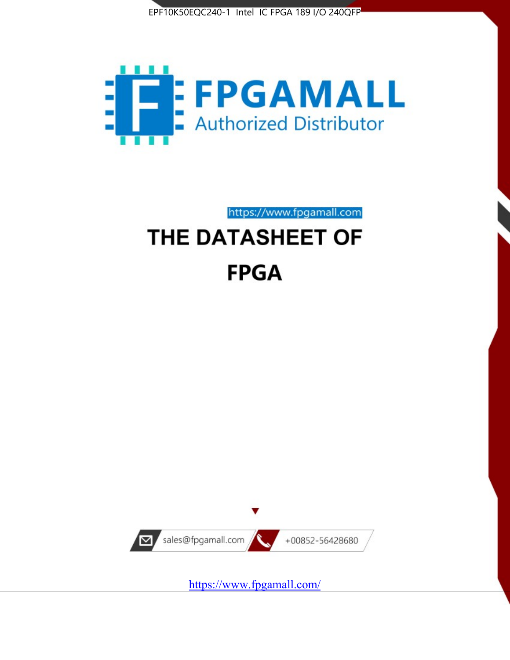



https://www.fpgamall.com THE DATASHEET OF

# **FPGA**



<https://www.fpgamall.com/>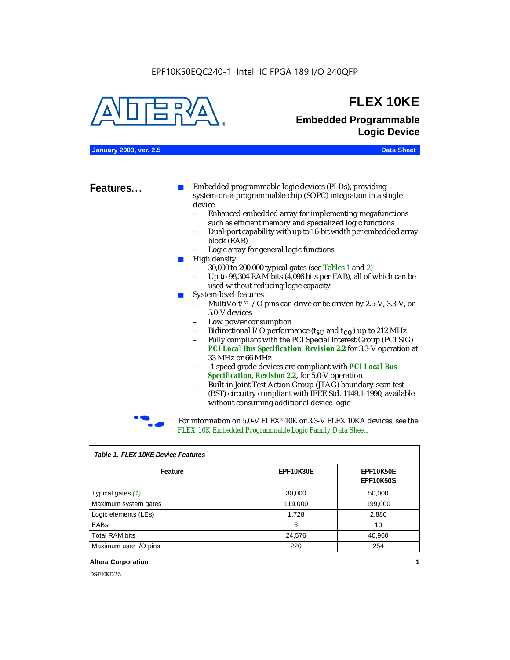

### **FLEX 10KE**

### **Embedded Programmable Logic Device**

**January 2003, ver. 2.5 Data Sheet**

**Features...** ■ Embedded programmable logic devices (PLDs), providing system-on-a-programmable-chip (SOPC) integration in a single device

- Enhanced embedded array for implementing megafunctions such as efficient memory and specialized logic functions
- Dual-port capability with up to 16-bit width per embedded array block (EAB)
- Logic array for general logic functions
- High density
	- 30,000 to 200,000 typical gates (see Tables 1 and 2)
	- Up to 98,304 RAM bits (4,096 bits per EAB), all of which can be used without reducing logic capacity
- System-level features
	- MultiVolt<sup>™</sup> I/O pins can drive or be driven by 2.5-V, 3.3-V, or 5.0-V devices
	- Low power consumption
	- Bidirectional I/O performance  $(t_{SI}$  and  $t_{CO}$ ) up to 212 MHz
	- Fully compliant with the PCI Special Interest Group (PCI SIG) *PCI Local Bus Specification, Revision 2.2* for 3.3-V operation at 33 MHz or 66 MHz
	- -1 speed grade devices are compliant with *PCI Local Bus Specification, Revision 2.2*, for 5.0-V operation
	- Built-in Joint Test Action Group (JTAG) boundary-scan test (BST) circuitry compliant with IEEE Std. 1149.1-1990, available without consuming additional device logic



For information on 5.0-V FLEX<sup>®</sup> 10K or 3.3-V FLEX 10KA devices, see the *FLEX 10K Embedded Programmable Logic Family Data Sheet*.

| Table T. FLEX TUKE Device Features |                  |                                      |  |  |
|------------------------------------|------------------|--------------------------------------|--|--|
| Feature                            | <b>EPF10K30E</b> | <b>EPF10K50E</b><br><b>EPF10K50S</b> |  |  |
| Typical gates (1)                  | 30,000           | 50,000                               |  |  |
| Maximum system gates               | 119,000          | 199,000                              |  |  |
| Logic elements (LEs)               | 1,728            | 2,880                                |  |  |
| EABs                               | 6                | 10                                   |  |  |
| <b>Total RAM bits</b>              | 24,576           | 40,960                               |  |  |
| Maximum user I/O pins              | 220              | 254                                  |  |  |

#### *Table 1. FLEX 10KE Device Features*

#### **Altera Corporation 1**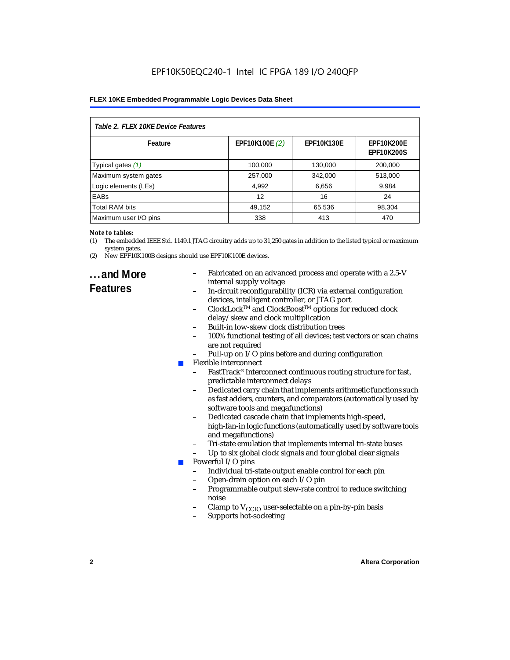| Table 2. FLEX 10KE Device Features |                |                   |                                        |  |
|------------------------------------|----------------|-------------------|----------------------------------------|--|
| Feature                            | EPF10K100E (2) | <b>EPF10K130E</b> | <b>EPF10K200E</b><br><b>EPF10K200S</b> |  |
| Typical gates (1)                  | 100,000        | 130,000           | 200,000                                |  |
| Maximum system gates               | 257,000        | 342,000           | 513,000                                |  |
| Logic elements (LEs)               | 4,992          | 6,656             | 9,984                                  |  |
| <b>EABs</b>                        | 12             | 16                | 24                                     |  |
| <b>Total RAM bits</b>              | 49,152         | 65,536            | 98,304                                 |  |
| Maximum user I/O pins              | 338            | 413               | 470                                    |  |

#### *Note to tables:*

- (1) The embedded IEEE Std. 1149.1 JTAG circuitry adds up to 31,250 gates in addition to the listed typical or maximum system gates.
- (2) New EPF10K100B designs should use EPF10K100E devices.

### **...and More Features**

- Fabricated on an advanced process and operate with a 2.5-V internal supply voltage
- In-circuit reconfigurability (ICR) via external configuration devices, intelligent controller, or JTAG port
- ClockLockTM and ClockBoostTM options for reduced clock delay/skew and clock multiplication
- Built-in low-skew clock distribution trees
- 100% functional testing of all devices; test vectors or scan chains are not required
- Pull-up on I/O pins before and during configuration
- Flexible interconnect
	- FastTrack<sup>®</sup> Interconnect continuous routing structure for fast, predictable interconnect delays
	- Dedicated carry chain that implements arithmetic functions such as fast adders, counters, and comparators (automatically used by software tools and megafunctions)
	- Dedicated cascade chain that implements high-speed, high-fan-in logic functions (automatically used by software tools and megafunctions)
	- Tri-state emulation that implements internal tri-state buses
	- Up to six global clock signals and four global clear signals
- Powerful I/O pins
	- Individual tri-state output enable control for each pin
	- Open-drain option on each I/O pin
	- Programmable output slew-rate control to reduce switching noise
	- Clamp to  $V_{\text{CCIO}}$  user-selectable on a pin-by-pin basis
	- Supports hot-socketing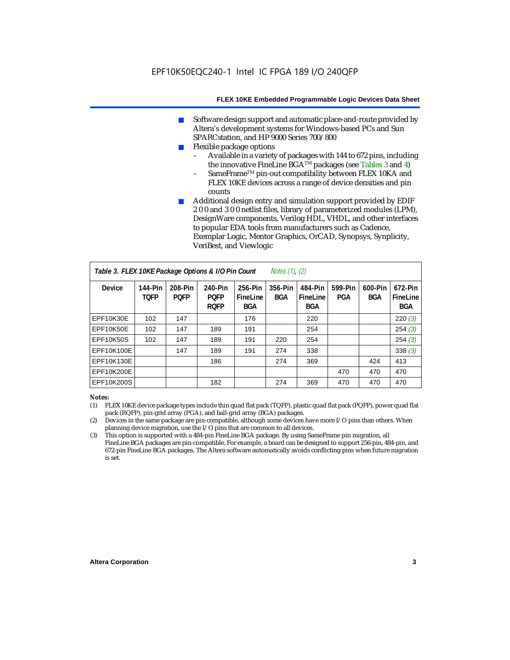- Software design support and automatic place-and-route provided by Altera's development systems for Windows-based PCs and Sun SPARCstation, and HP 9000 Series 700/800
- Flexible package options
	- Available in a variety of packages with 144 to 672 pins, including the innovative FineLine BGA<sup>TM</sup> packages (see Tables 3 and 4)
	- SameFrame™ pin-out compatibility between FLEX 10KA and FLEX 10KE devices across a range of device densities and pin counts
- Additional design entry and simulation support provided by EDIF 2 0 0 and 3 0 0 netlist files, library of parameterized modules (LPM), DesignWare components, Verilog HDL, VHDL, and other interfaces to popular EDA tools from manufacturers such as Cadence, Exemplar Logic, Mentor Graphics, OrCAD, Synopsys, Synplicity, VeriBest, and Viewlogic

| Table 3. FLEX 10KE Package Options & I/O Pin Count<br><i>Notes <math>(1)</math>, <math>(2)</math></i> |                               |                        |                                       |                                   |                |                                   |                |                       |                                   |
|-------------------------------------------------------------------------------------------------------|-------------------------------|------------------------|---------------------------------------|-----------------------------------|----------------|-----------------------------------|----------------|-----------------------|-----------------------------------|
| <b>Device</b>                                                                                         | <b>144-Pin</b><br><b>TOFP</b> | 208-Pin<br><b>POFP</b> | 240-Pin<br><b>PQFP</b><br><b>ROFP</b> | 256-Pin<br>FineLine<br><b>BGA</b> | 356-Pin<br>BGA | 484-Pin<br>FineLine<br><b>BGA</b> | 599-Pin<br>PGA | 600-Pin<br><b>BGA</b> | 672-Pin<br>FineLine<br><b>BGA</b> |
| EPF10K30E                                                                                             | 102                           | 147                    |                                       | 176                               |                | 220                               |                |                       | 220(3)                            |
| EPF10K50E                                                                                             | 102                           | 147                    | 189                                   | 191                               |                | 254                               |                |                       | 254(3)                            |
| <b>EPF10K50S</b>                                                                                      | 102                           | 147                    | 189                                   | 191                               | 220            | 254                               |                |                       | 254(3)                            |
| EPF10K100E                                                                                            |                               | 147                    | 189                                   | 191                               | 274            | 338                               |                |                       | 338(3)                            |
| EPF10K130E                                                                                            |                               |                        | 186                                   |                                   | 274            | 369                               |                | 424                   | 413                               |
| EPF10K200E                                                                                            |                               |                        |                                       |                                   |                |                                   | 470            | 470                   | 470                               |
| EPF10K200S                                                                                            |                               |                        | 182                                   |                                   | 274            | 369                               | 470            | 470                   | 470                               |

#### *Notes:*

- (1) FLEX 10KE device package types include thin quad flat pack (TQFP), plastic quad flat pack (PQFP), power quad flat pack (RQFP), pin-grid array (PGA), and ball-grid array (BGA) packages.
- (2) Devices in the same package are pin-compatible, although some devices have more I/O pins than others. When planning device migration, use the I/O pins that are common to all devices.
- (3) This option is supported with a 484-pin FineLine BGA package. By using SameFrame pin migration, all FineLine BGA packages are pin-compatible. For example, a board can be designed to support 256-pin, 484-pin, and 672-pin FineLine BGA packages. The Altera software automatically avoids conflicting pins when future migration is set.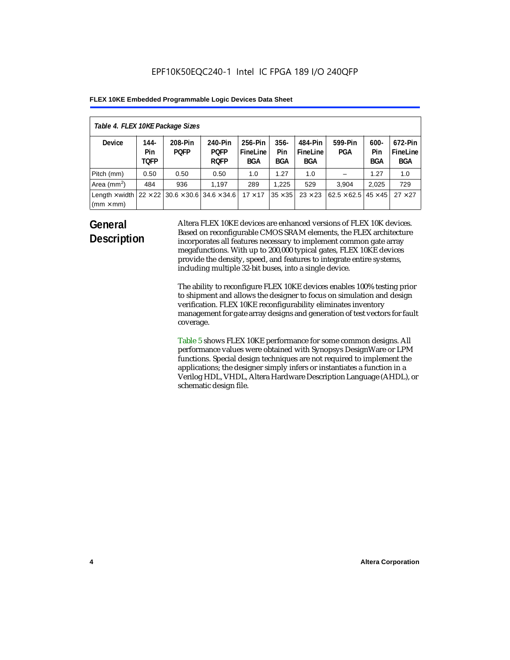| Table 4. FLEX 10KE Package Sizes          |                            |                                                      |                                       |                                   |                       |                            |                                   |                              |                                   |
|-------------------------------------------|----------------------------|------------------------------------------------------|---------------------------------------|-----------------------------------|-----------------------|----------------------------|-----------------------------------|------------------------------|-----------------------------------|
| <b>Device</b>                             | 144-<br>Pin<br><b>TOFP</b> | 208-Pin<br><b>POFP</b>                               | 240-Pin<br><b>POFP</b><br><b>ROFP</b> | 256-Pin<br>FineLine<br><b>BGA</b> | $356 -$<br>Pin<br>BGA | 484-Pin<br>FineLine<br>BGA | 599-Pin<br><b>PGA</b>             | $600 -$<br>Pin<br><b>BGA</b> | 672-Pin<br>FineLine<br><b>BGA</b> |
| Pitch (mm)                                | 0.50                       | 0.50                                                 | 0.50                                  | 1.0                               | 1.27                  | 1.0                        |                                   | 1.27                         | 1.0                               |
| Area $(mm2)$                              | 484                        | 936                                                  | 1.197                                 | 289                               | 1.225                 | 529                        | 3.904                             | 2,025                        | 729                               |
| Length $\times$ width<br>$(mm \times mm)$ |                            | $22 \times 22$ 30.6 $\times$ 30.6 34.6 $\times$ 34.6 |                                       | $17 \times 17$                    | $35 \times 35$        | $23 \times 23$             | $62.5 \times 62.5$ 45 $\times$ 45 |                              | $27 \times 27$                    |

### **General Description**

Altera FLEX 10KE devices are enhanced versions of FLEX 10K devices. Based on reconfigurable CMOS SRAM elements, the FLEX architecture incorporates all features necessary to implement common gate array megafunctions. With up to 200,000 typical gates, FLEX 10KE devices provide the density, speed, and features to integrate entire systems, including multiple 32-bit buses, into a single device.

The ability to reconfigure FLEX 10KE devices enables 100% testing prior to shipment and allows the designer to focus on simulation and design verification. FLEX 10KE reconfigurability eliminates inventory management for gate array designs and generation of test vectors for fault coverage.

Table 5 shows FLEX 10KE performance for some common designs. All performance values were obtained with Synopsys DesignWare or LPM functions. Special design techniques are not required to implement the applications; the designer simply infers or instantiates a function in a Verilog HDL, VHDL, Altera Hardware Description Language (AHDL), or schematic design file.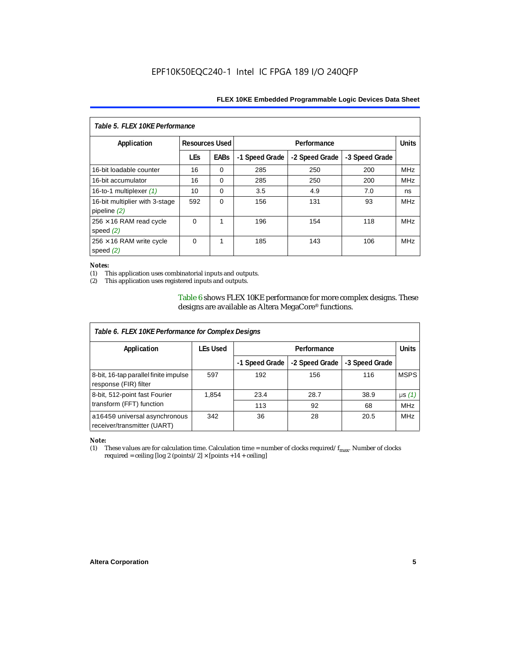| Table 5. FLEX 10KE Performance                   |                       |             |                |                |                |            |  |
|--------------------------------------------------|-----------------------|-------------|----------------|----------------|----------------|------------|--|
| Application                                      | <b>Resources Used</b> |             |                | Performance    |                |            |  |
|                                                  | <b>LEs</b>            | <b>EABs</b> | -1 Speed Grade | -2 Speed Grade | -3 Speed Grade |            |  |
| 16-bit loadable counter                          | 16                    | $\Omega$    | 285            | 250            | 200            | <b>MHz</b> |  |
| 16-bit accumulator                               | 16                    | $\Omega$    | 285            | 250            | 200            | <b>MHz</b> |  |
| 16-to-1 multiplexer $(1)$                        | 10                    | $\Omega$    | 3.5            | 4.9            | 7.0            | ns         |  |
| 16-bit multiplier with 3-stage<br>pipeline $(2)$ | 592                   | $\Omega$    | 156            | 131            | 93             | <b>MHz</b> |  |
| $256 \times 16$ RAM read cycle<br>speed $(2)$    | $\Omega$              | 1           | 196            | 154            | 118            | <b>MHz</b> |  |
| $256 \times 16$ RAM write cycle<br>speed $(2)$   | $\Omega$              | 1           | 185            | 143            | 106            | <b>MHz</b> |  |

#### *Notes:*

(1) This application uses combinatorial inputs and outputs.

This application uses registered inputs and outputs.

Table 6 shows FLEX 10KE performance for more complex designs. These designs are available as Altera MegaCore® functions.

| Table 6. FLEX 10KE Performance for Complex Designs             |                 |                |                |                |              |
|----------------------------------------------------------------|-----------------|----------------|----------------|----------------|--------------|
| Application                                                    | <b>LEs Used</b> | Performance    |                |                | <b>Units</b> |
|                                                                |                 | -1 Speed Grade | -2 Speed Grade | -3 Speed Grade |              |
| 8-bit, 16-tap parallel finite impulse<br>response (FIR) filter | 597             | 192            | 156            | 116            | <b>MSPS</b>  |
| 8-bit, 512-point fast Fourier                                  | 1,854           | 23.4           | 28.7           | 38.9           | $\mu s(1)$   |
| transform (FFT) function                                       |                 | 113            | 92             | 68             | <b>MHz</b>   |
| a16450 universal asynchronous<br>receiver/transmitter (UART)   | 342             | 36             | 28             | 20.5           | <b>MHz</b>   |

## *Note:*<br>(1) 1

These values are for calculation time. Calculation time = number of clocks required/ $f_{max}$ . Number of clocks required = ceiling [log 2 (points)/2]  $\times$  [points +14 + ceiling]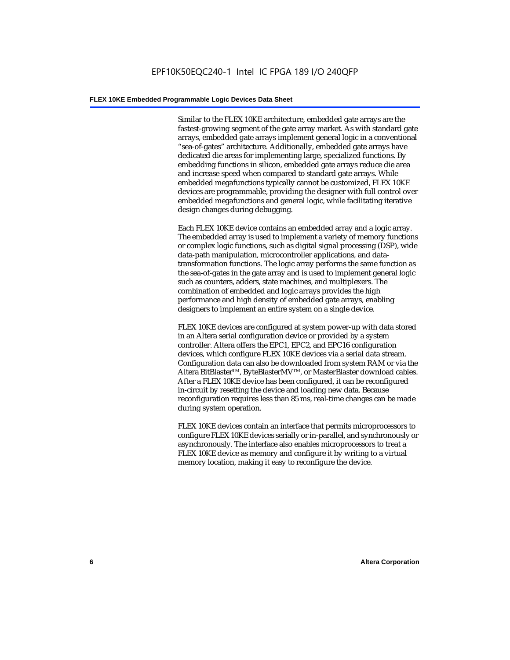Similar to the FLEX 10KE architecture, embedded gate arrays are the fastest-growing segment of the gate array market. As with standard gate arrays, embedded gate arrays implement general logic in a conventional "sea-of-gates" architecture. Additionally, embedded gate arrays have dedicated die areas for implementing large, specialized functions. By embedding functions in silicon, embedded gate arrays reduce die area and increase speed when compared to standard gate arrays. While embedded megafunctions typically cannot be customized, FLEX 10KE devices are programmable, providing the designer with full control over embedded megafunctions and general logic, while facilitating iterative design changes during debugging.

Each FLEX 10KE device contains an embedded array and a logic array. The embedded array is used to implement a variety of memory functions or complex logic functions, such as digital signal processing (DSP), wide data-path manipulation, microcontroller applications, and datatransformation functions. The logic array performs the same function as the sea-of-gates in the gate array and is used to implement general logic such as counters, adders, state machines, and multiplexers. The combination of embedded and logic arrays provides the high performance and high density of embedded gate arrays, enabling designers to implement an entire system on a single device.

FLEX 10KE devices are configured at system power-up with data stored in an Altera serial configuration device or provided by a system controller. Altera offers the EPC1, EPC2, and EPC16 configuration devices, which configure FLEX 10KE devices via a serial data stream. Configuration data can also be downloaded from system RAM or via the Altera BitBlaster™, ByteBlasterMV™, or MasterBlaster download cables. After a FLEX 10KE device has been configured, it can be reconfigured in-circuit by resetting the device and loading new data. Because reconfiguration requires less than 85 ms, real-time changes can be made during system operation.

FLEX 10KE devices contain an interface that permits microprocessors to configure FLEX 10KE devices serially or in-parallel, and synchronously or asynchronously. The interface also enables microprocessors to treat a FLEX 10KE device as memory and configure it by writing to a virtual memory location, making it easy to reconfigure the device.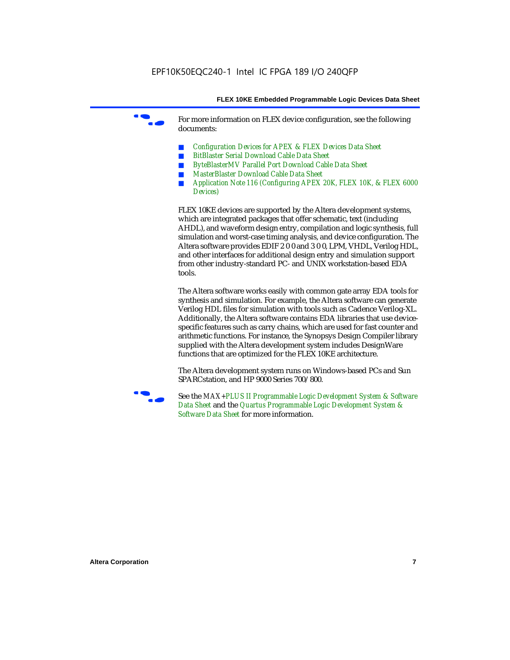For more information on FLEX device configuration, see the following documents:

- *Configuration Devices for APEX & FLEX Devices Data Sheet*
- *BitBlaster Serial Download Cable Data Sheet*
- *ByteBlasterMV Parallel Port Download Cable Data Sheet*
- *MasterBlaster Download Cable Data Sheet*
- *Application Note 116 (Configuring APEX 20K, FLEX 10K, & FLEX 6000 Devices)*

FLEX 10KE devices are supported by the Altera development systems, which are integrated packages that offer schematic, text (including AHDL), and waveform design entry, compilation and logic synthesis, full simulation and worst-case timing analysis, and device configuration. The Altera software provides EDIF 2 0 0 and 3 0 0, LPM, VHDL, Verilog HDL, and other interfaces for additional design entry and simulation support from other industry-standard PC- and UNIX workstation-based EDA tools.

The Altera software works easily with common gate array EDA tools for synthesis and simulation. For example, the Altera software can generate Verilog HDL files for simulation with tools such as Cadence Verilog-XL. Additionally, the Altera software contains EDA libraries that use devicespecific features such as carry chains, which are used for fast counter and arithmetic functions. For instance, the Synopsys Design Compiler library supplied with the Altera development system includes DesignWare functions that are optimized for the FLEX 10KE architecture.

The Altera development system runs on Windows-based PCs and Sun SPARCstation, and HP 9000 Series 700/800.



See the *MAX+PLUS II Programmable Logic Development System & Software Data Sheet* and the *Quartus Programmable Logic Development System & Software Data Sheet* for more information.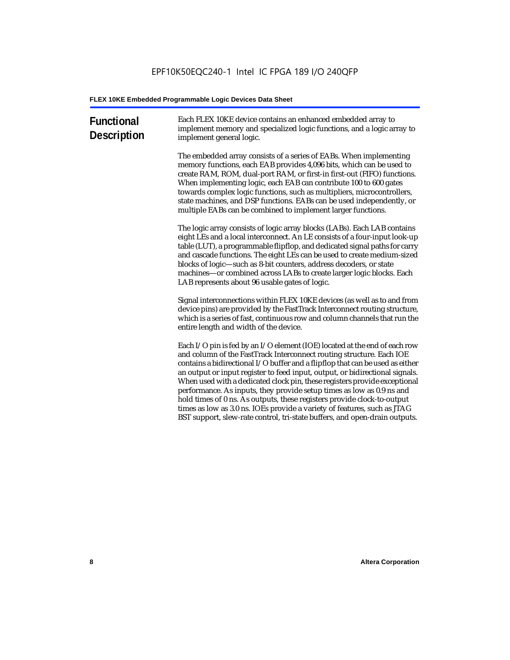| <b>Functional</b><br><b>Description</b> | Each FLEX 10KE device contains an enhanced embedded array to<br>implement memory and specialized logic functions, and a logic array to<br>implement general logic.                                                                                                                                                                                                                                                                                                                                                                                                                                                                                                                                             |
|-----------------------------------------|----------------------------------------------------------------------------------------------------------------------------------------------------------------------------------------------------------------------------------------------------------------------------------------------------------------------------------------------------------------------------------------------------------------------------------------------------------------------------------------------------------------------------------------------------------------------------------------------------------------------------------------------------------------------------------------------------------------|
|                                         | The embedded array consists of a series of EABs. When implementing<br>memory functions, each EAB provides 4,096 bits, which can be used to<br>create RAM, ROM, dual-port RAM, or first-in first-out (FIFO) functions.<br>When implementing logic, each EAB can contribute 100 to 600 gates<br>towards complex logic functions, such as multipliers, microcontrollers,<br>state machines, and DSP functions. EABs can be used independently, or<br>multiple EABs can be combined to implement larger functions.                                                                                                                                                                                                 |
|                                         | The logic array consists of logic array blocks (LABs). Each LAB contains<br>eight LEs and a local interconnect. An LE consists of a four-input look-up<br>table (LUT), a programmable flipflop, and dedicated signal paths for carry<br>and cascade functions. The eight LEs can be used to create medium-sized<br>blocks of logic-such as 8-bit counters, address decoders, or state<br>machines-or combined across LABs to create larger logic blocks. Each<br>LAB represents about 96 usable gates of logic.                                                                                                                                                                                                |
|                                         | Signal interconnections within FLEX 10KE devices (as well as to and from<br>device pins) are provided by the FastTrack Interconnect routing structure,<br>which is a series of fast, continuous row and column channels that run the<br>entire length and width of the device.                                                                                                                                                                                                                                                                                                                                                                                                                                 |
|                                         | Each I/O pin is fed by an I/O element (IOE) located at the end of each row<br>and column of the FastTrack Interconnect routing structure. Each IOE<br>contains a bidirectional I/O buffer and a flipflop that can be used as either<br>an output or input register to feed input, output, or bidirectional signals.<br>When used with a dedicated clock pin, these registers provide exceptional<br>performance. As inputs, they provide setup times as low as 0.9 ns and<br>hold times of 0 ns. As outputs, these registers provide clock-to-output<br>times as low as 3.0 ns. IOEs provide a variety of features, such as JTAG<br>BST support, slew-rate control, tri-state buffers, and open-drain outputs. |
|                                         |                                                                                                                                                                                                                                                                                                                                                                                                                                                                                                                                                                                                                                                                                                                |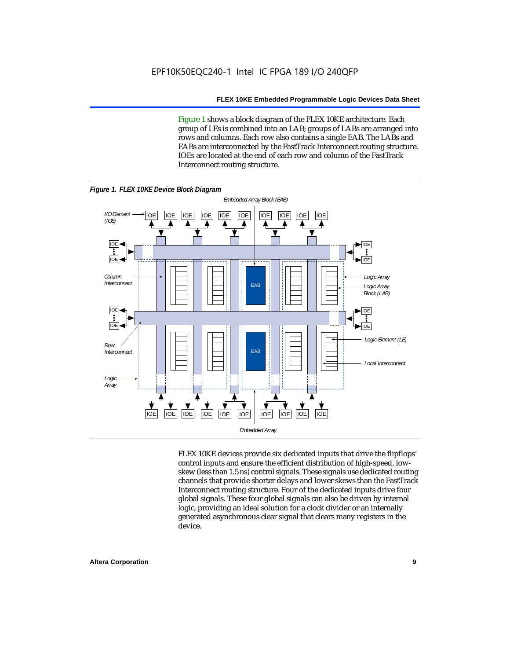Figure 1 shows a block diagram of the FLEX 10KE architecture. Each group of LEs is combined into an LAB; groups of LABs are arranged into rows and columns. Each row also contains a single EAB. The LABs and EABs are interconnected by the FastTrack Interconnect routing structure. IOEs are located at the end of each row and column of the FastTrack Interconnect routing structure.



FLEX 10KE devices provide six dedicated inputs that drive the flipflops' control inputs and ensure the efficient distribution of high-speed, lowskew (less than 1.5 ns) control signals. These signals use dedicated routing channels that provide shorter delays and lower skews than the FastTrack Interconnect routing structure. Four of the dedicated inputs drive four global signals. These four global signals can also be driven by internal logic, providing an ideal solution for a clock divider or an internally generated asynchronous clear signal that clears many registers in the device.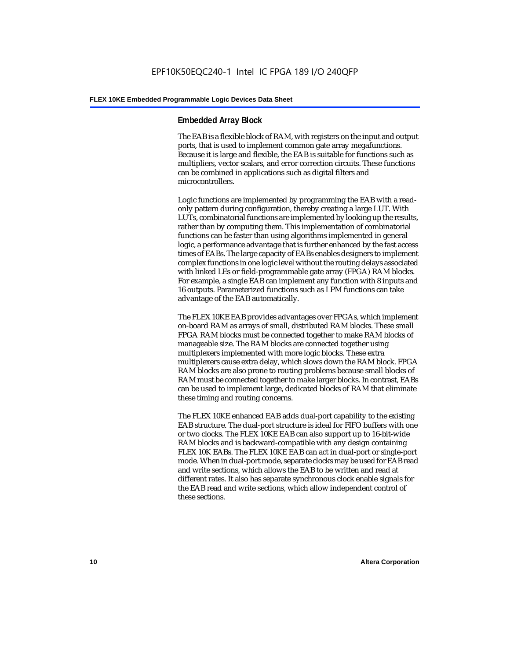#### **Embedded Array Block**

The EAB is a flexible block of RAM, with registers on the input and output ports, that is used to implement common gate array megafunctions. Because it is large and flexible, the EAB is suitable for functions such as multipliers, vector scalars, and error correction circuits. These functions can be combined in applications such as digital filters and microcontrollers.

Logic functions are implemented by programming the EAB with a readonly pattern during configuration, thereby creating a large LUT. With LUTs, combinatorial functions are implemented by looking up the results, rather than by computing them. This implementation of combinatorial functions can be faster than using algorithms implemented in general logic, a performance advantage that is further enhanced by the fast access times of EABs. The large capacity of EABs enables designers to implement complex functions in one logic level without the routing delays associated with linked LEs or field-programmable gate array (FPGA) RAM blocks. For example, a single EAB can implement any function with 8 inputs and 16 outputs. Parameterized functions such as LPM functions can take advantage of the EAB automatically.

The FLEX 10KE EAB provides advantages over FPGAs, which implement on-board RAM as arrays of small, distributed RAM blocks. These small FPGA RAM blocks must be connected together to make RAM blocks of manageable size. The RAM blocks are connected together using multiplexers implemented with more logic blocks. These extra multiplexers cause extra delay, which slows down the RAM block. FPGA RAM blocks are also prone to routing problems because small blocks of RAM must be connected together to make larger blocks. In contrast, EABs can be used to implement large, dedicated blocks of RAM that eliminate these timing and routing concerns.

The FLEX 10KE enhanced EAB adds dual-port capability to the existing EAB structure. The dual-port structure is ideal for FIFO buffers with one or two clocks. The FLEX 10KE EAB can also support up to 16-bit-wide RAM blocks and is backward-compatible with any design containing FLEX 10K EABs. The FLEX 10KE EAB can act in dual-port or single-port mode. When in dual-port mode, separate clocks may be used for EAB read and write sections, which allows the EAB to be written and read at different rates. It also has separate synchronous clock enable signals for the EAB read and write sections, which allow independent control of these sections.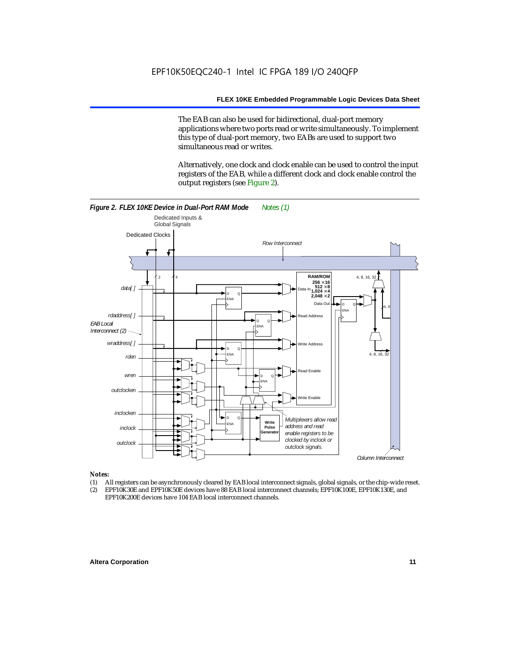The EAB can also be used for bidirectional, dual-port memory applications where two ports read or write simultaneously. To implement this type of dual-port memory, two EABs are used to support two simultaneous read or writes.

Alternatively, one clock and clock enable can be used to control the input registers of the EAB, while a different clock and clock enable control the output registers (see Figure 2).



#### *Notes:*

- (1) All registers can be asynchronously cleared by EAB local interconnect signals, global signals, or the chip-wide reset.
- (2) EPF10K30E and EPF10K50E devices have 88 EAB local interconnect channels; EPF10K100E, EPF10K130E, and EPF10K200E devices have 104 EAB local interconnect channels.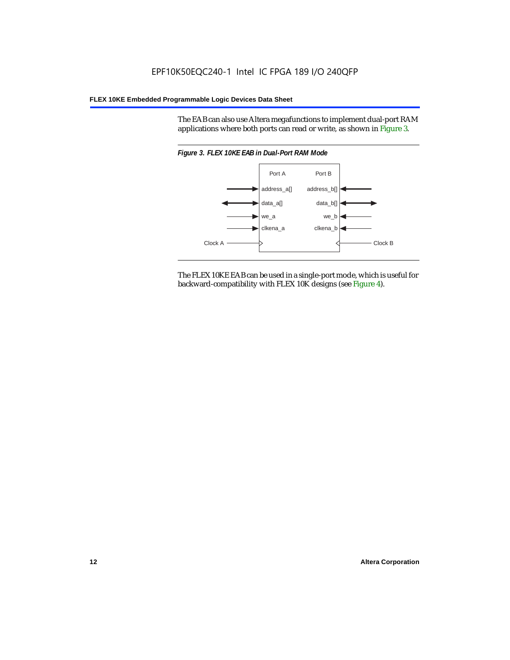The EAB can also use Altera megafunctions to implement dual-port RAM applications where both ports can read or write, as shown in Figure 3.



The FLEX 10KE EAB can be used in a single-port mode, which is useful for backward-compatibility with FLEX 10K designs (see Figure 4).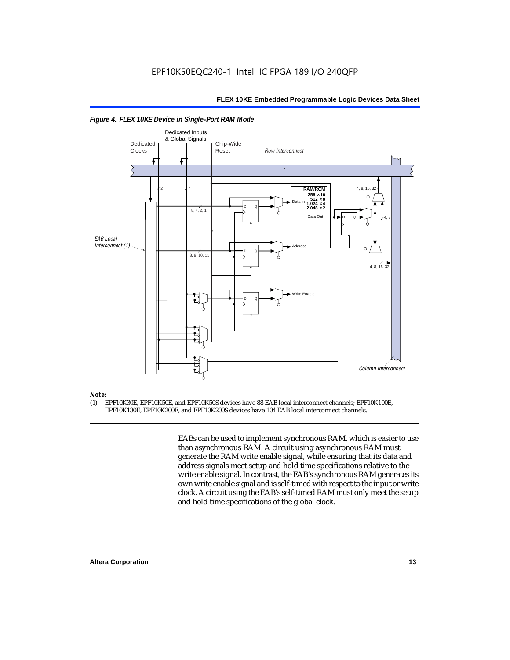

#### *Figure 4. FLEX 10KE Device in Single-Port RAM Mode*

### *Note:*<br>(1) **F**

(1) EPF10K30E, EPF10K50E, and EPF10K50S devices have 88 EAB local interconnect channels; EPF10K100E, EPF10K130E, EPF10K200E, and EPF10K200S devices have 104 EAB local interconnect channels.

> EABs can be used to implement synchronous RAM, which is easier to use than asynchronous RAM. A circuit using asynchronous RAM must generate the RAM write enable signal, while ensuring that its data and address signals meet setup and hold time specifications relative to the write enable signal. In contrast, the EAB's synchronous RAM generates its own write enable signal and is self-timed with respect to the input or write clock. A circuit using the EAB's self-timed RAM must only meet the setup and hold time specifications of the global clock.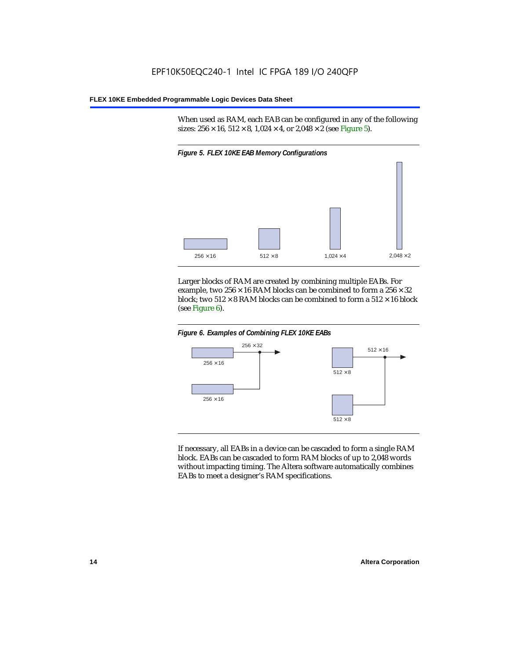When used as RAM, each EAB can be configured in any of the following sizes:  $256 \times 16$ ,  $512 \times 8$ ,  $1,024 \times 4$ , or  $2,048 \times 2$  (see Figure 5).



Larger blocks of RAM are created by combining multiple EABs. For example, two  $256 \times 16$  RAM blocks can be combined to form a  $256 \times 32$ block; two  $512 \times 8$  RAM blocks can be combined to form a  $512 \times 16$  block (see Figure 6).





If necessary, all EABs in a device can be cascaded to form a single RAM block. EABs can be cascaded to form RAM blocks of up to 2,048 words without impacting timing. The Altera software automatically combines EABs to meet a designer's RAM specifications.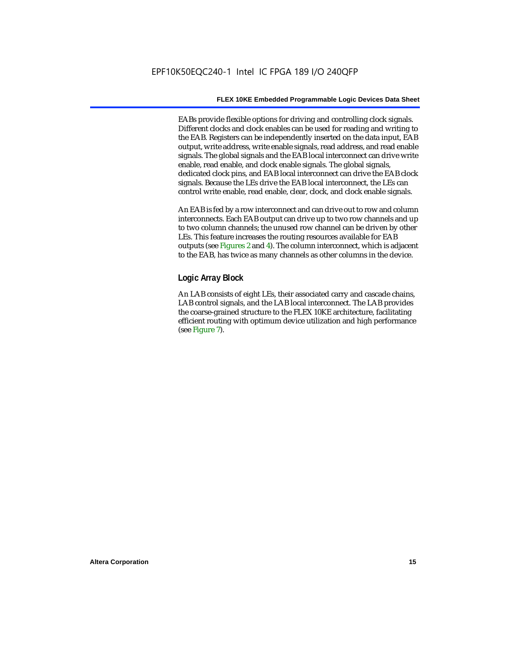EABs provide flexible options for driving and controlling clock signals. Different clocks and clock enables can be used for reading and writing to the EAB. Registers can be independently inserted on the data input, EAB output, write address, write enable signals, read address, and read enable signals. The global signals and the EAB local interconnect can drive write enable, read enable, and clock enable signals. The global signals, dedicated clock pins, and EAB local interconnect can drive the EAB clock signals. Because the LEs drive the EAB local interconnect, the LEs can control write enable, read enable, clear, clock, and clock enable signals.

An EAB is fed by a row interconnect and can drive out to row and column interconnects. Each EAB output can drive up to two row channels and up to two column channels; the unused row channel can be driven by other LEs. This feature increases the routing resources available for EAB outputs (see Figures 2 and 4). The column interconnect, which is adjacent to the EAB, has twice as many channels as other columns in the device.

#### **Logic Array Block**

An LAB consists of eight LEs, their associated carry and cascade chains, LAB control signals, and the LAB local interconnect. The LAB provides the coarse-grained structure to the FLEX 10KE architecture, facilitating efficient routing with optimum device utilization and high performance (see Figure 7).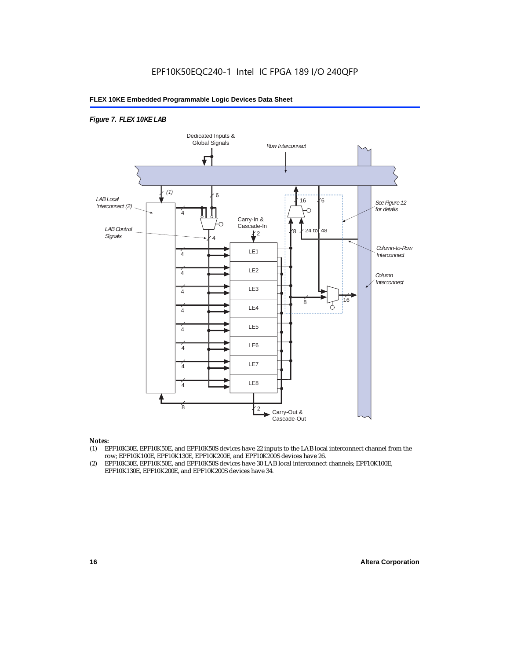#### *Figure 7. FLEX 10KE LAB*



#### *Notes:*

- (1) EPF10K30E, EPF10K50E, and EPF10K50S devices have 22 inputs to the LAB local interconnect channel from the row; EPF10K100E, EPF10K130E, EPF10K200E, and EPF10K200S devices have 26.
- (2) EPF10K30E, EPF10K50E, and EPF10K50S devices have 30 LAB local interconnect channels; EPF10K100E, EPF10K130E, EPF10K200E, and EPF10K200S devices have 34.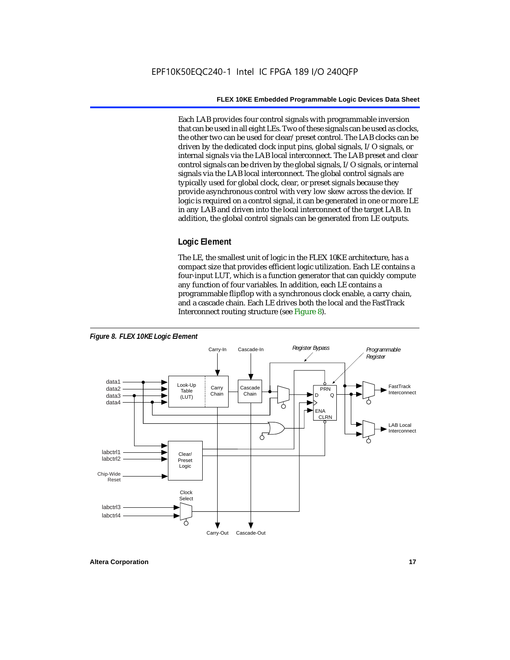Each LAB provides four control signals with programmable inversion that can be used in all eight LEs. Two of these signals can be used as clocks, the other two can be used for clear/preset control. The LAB clocks can be driven by the dedicated clock input pins, global signals, I/O signals, or internal signals via the LAB local interconnect. The LAB preset and clear control signals can be driven by the global signals, I/O signals, or internal signals via the LAB local interconnect. The global control signals are typically used for global clock, clear, or preset signals because they provide asynchronous control with very low skew across the device. If logic is required on a control signal, it can be generated in one or more LE in any LAB and driven into the local interconnect of the target LAB. In addition, the global control signals can be generated from LE outputs.

#### **Logic Element**

The LE, the smallest unit of logic in the FLEX 10KE architecture, has a compact size that provides efficient logic utilization. Each LE contains a four-input LUT, which is a function generator that can quickly compute any function of four variables. In addition, each LE contains a programmable flipflop with a synchronous clock enable, a carry chain, and a cascade chain. Each LE drives both the local and the FastTrack Interconnect routing structure (see Figure 8).

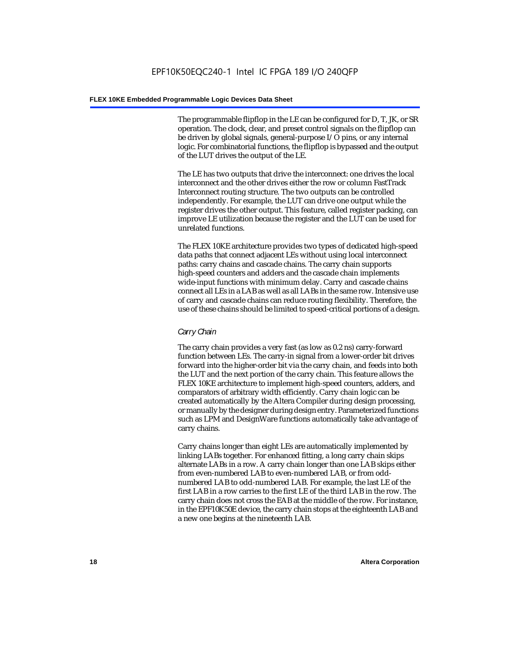The programmable flipflop in the LE can be configured for D, T, JK, or SR operation. The clock, clear, and preset control signals on the flipflop can be driven by global signals, general-purpose I/O pins, or any internal logic. For combinatorial functions, the flipflop is bypassed and the output of the LUT drives the output of the LE.

The LE has two outputs that drive the interconnect: one drives the local interconnect and the other drives either the row or column FastTrack Interconnect routing structure. The two outputs can be controlled independently. For example, the LUT can drive one output while the register drives the other output. This feature, called register packing, can improve LE utilization because the register and the LUT can be used for unrelated functions.

The FLEX 10KE architecture provides two types of dedicated high-speed data paths that connect adjacent LEs without using local interconnect paths: carry chains and cascade chains. The carry chain supports high-speed counters and adders and the cascade chain implements wide-input functions with minimum delay. Carry and cascade chains connect all LEs in a LAB as well as all LABs in the same row. Intensive use of carry and cascade chains can reduce routing flexibility. Therefore, the use of these chains should be limited to speed-critical portions of a design.

#### *Carry Chain*

The carry chain provides a very fast (as low as 0.2 ns) carry-forward function between LEs. The carry-in signal from a lower-order bit drives forward into the higher-order bit via the carry chain, and feeds into both the LUT and the next portion of the carry chain. This feature allows the FLEX 10KE architecture to implement high-speed counters, adders, and comparators of arbitrary width efficiently. Carry chain logic can be created automatically by the Altera Compiler during design processing, or manually by the designer during design entry. Parameterized functions such as LPM and DesignWare functions automatically take advantage of carry chains.

Carry chains longer than eight LEs are automatically implemented by linking LABs together. For enhanced fitting, a long carry chain skips alternate LABs in a row. A carry chain longer than one LAB skips either from even-numbered LAB to even-numbered LAB, or from oddnumbered LAB to odd-numbered LAB. For example, the last LE of the first LAB in a row carries to the first LE of the third LAB in the row. The carry chain does not cross the EAB at the middle of the row. For instance, in the EPF10K50E device, the carry chain stops at the eighteenth LAB and a new one begins at the nineteenth LAB.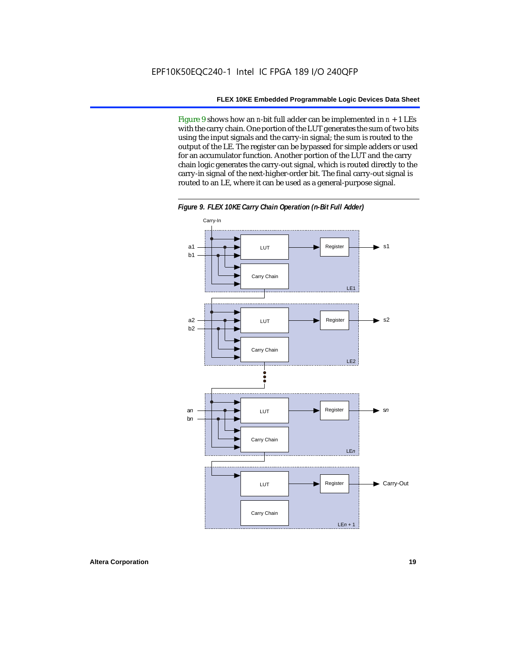Figure 9 shows how an *n*-bit full adder can be implemented in *n* + 1 LEs with the carry chain. One portion of the LUT generates the sum of two bits using the input signals and the carry-in signal; the sum is routed to the output of the LE. The register can be bypassed for simple adders or used for an accumulator function. Another portion of the LUT and the carry chain logic generates the carry-out signal, which is routed directly to the carry-in signal of the next-higher-order bit. The final carry-out signal is routed to an LE, where it can be used as a general-purpose signal.



*Figure 9. FLEX 10KE Carry Chain Operation (n-Bit Full Adder)*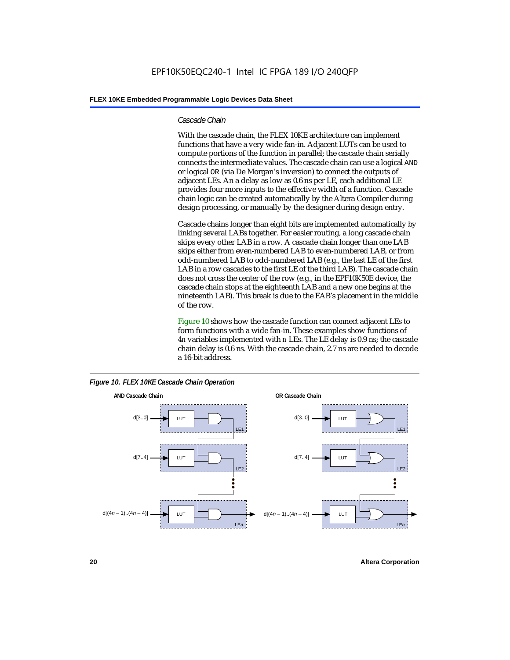#### *Cascade Chain*

With the cascade chain, the FLEX 10KE architecture can implement functions that have a very wide fan-in. Adjacent LUTs can be used to compute portions of the function in parallel; the cascade chain serially connects the intermediate values. The cascade chain can use a logical AND or logical OR (via De Morgan's inversion) to connect the outputs of adjacent LEs. An a delay as low as 0.6 ns per LE, each additional LE provides four more inputs to the effective width of a function. Cascade chain logic can be created automatically by the Altera Compiler during design processing, or manually by the designer during design entry.

Cascade chains longer than eight bits are implemented automatically by linking several LABs together. For easier routing, a long cascade chain skips every other LAB in a row. A cascade chain longer than one LAB skips either from even-numbered LAB to even-numbered LAB, or from odd-numbered LAB to odd-numbered LAB (e.g., the last LE of the first LAB in a row cascades to the first LE of the third LAB). The cascade chain does not cross the center of the row (e.g., in the EPF10K50E device, the cascade chain stops at the eighteenth LAB and a new one begins at the nineteenth LAB). This break is due to the EAB's placement in the middle of the row.

Figure 10 shows how the cascade function can connect adjacent LEs to form functions with a wide fan-in. These examples show functions of 4*n* variables implemented with *n* LEs. The LE delay is 0.9 ns; the cascade chain delay is 0.6 ns. With the cascade chain, 2.7 ns are needed to decode a 16-bit address.



*Figure 10. FLEX 10KE Cascade Chain Operation*

**20 Altera Corporation**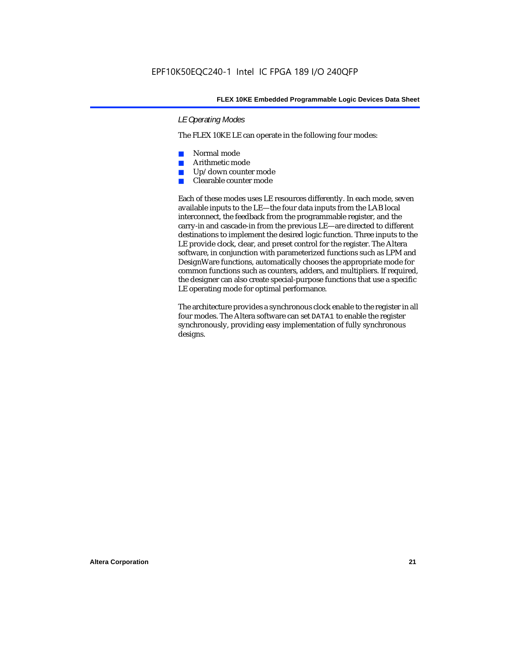#### *LE Operating Modes*

The FLEX 10KE LE can operate in the following four modes:

- Normal mode
- Arithmetic mode
- Up/down counter mode
- Clearable counter mode

Each of these modes uses LE resources differently. In each mode, seven available inputs to the LE—the four data inputs from the LAB local interconnect, the feedback from the programmable register, and the carry-in and cascade-in from the previous LE—are directed to different destinations to implement the desired logic function. Three inputs to the LE provide clock, clear, and preset control for the register. The Altera software, in conjunction with parameterized functions such as LPM and DesignWare functions, automatically chooses the appropriate mode for common functions such as counters, adders, and multipliers. If required, the designer can also create special-purpose functions that use a specific LE operating mode for optimal performance.

The architecture provides a synchronous clock enable to the register in all four modes. The Altera software can set DATA1 to enable the register synchronously, providing easy implementation of fully synchronous designs.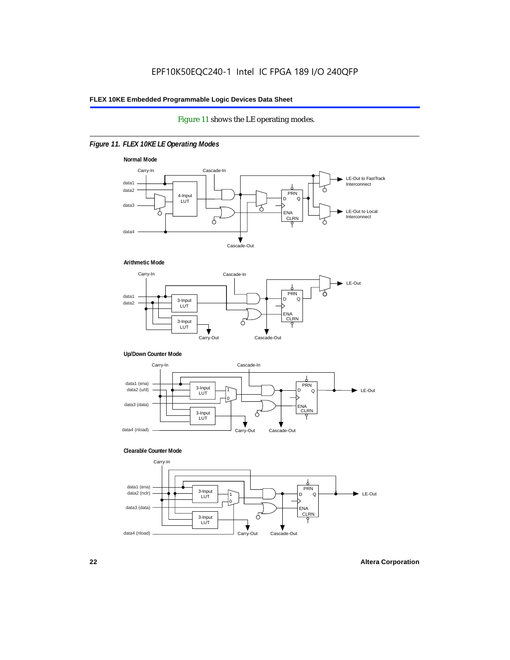#### Figure 11 shows the LE operating modes.

#### *Figure 11. FLEX 10KE LE Operating Modes*









#### **Clearable Counter Mode**

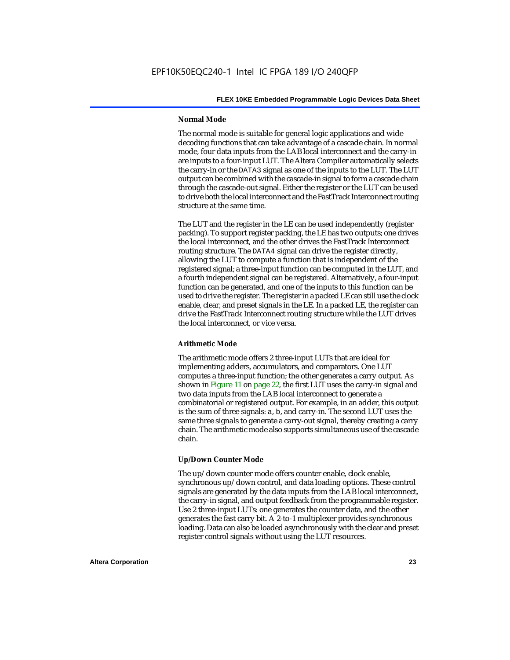#### **Normal Mode**

The normal mode is suitable for general logic applications and wide decoding functions that can take advantage of a cascade chain. In normal mode, four data inputs from the LAB local interconnect and the carry-in are inputs to a four-input LUT. The Altera Compiler automatically selects the carry-in or the DATA3 signal as one of the inputs to the LUT. The LUT output can be combined with the cascade-in signal to form a cascade chain through the cascade-out signal. Either the register or the LUT can be used to drive both the local interconnect and the FastTrack Interconnect routing structure at the same time.

The LUT and the register in the LE can be used independently (register packing). To support register packing, the LE has two outputs; one drives the local interconnect, and the other drives the FastTrack Interconnect routing structure. The DATA4 signal can drive the register directly, allowing the LUT to compute a function that is independent of the registered signal; a three-input function can be computed in the LUT, and a fourth independent signal can be registered. Alternatively, a four-input function can be generated, and one of the inputs to this function can be used to drive the register. The register in a packed LE can still use the clock enable, clear, and preset signals in the LE. In a packed LE, the register can drive the FastTrack Interconnect routing structure while the LUT drives the local interconnect, or vice versa.

#### **Arithmetic Mode**

The arithmetic mode offers 2 three-input LUTs that are ideal for implementing adders, accumulators, and comparators. One LUT computes a three-input function; the other generates a carry output. As shown in Figure 11 on page 22, the first LUT uses the carry-in signal and two data inputs from the LAB local interconnect to generate a combinatorial or registered output. For example, in an adder, this output is the sum of three signals: a, b, and carry-in. The second LUT uses the same three signals to generate a carry-out signal, thereby creating a carry chain. The arithmetic mode also supports simultaneous use of the cascade chain.

#### **Up/Down Counter Mode**

The up/down counter mode offers counter enable, clock enable, synchronous up/down control, and data loading options. These control signals are generated by the data inputs from the LAB local interconnect, the carry-in signal, and output feedback from the programmable register. Use 2 three-input LUTs: one generates the counter data, and the other generates the fast carry bit. A 2-to-1 multiplexer provides synchronous loading. Data can also be loaded asynchronously with the clear and preset register control signals without using the LUT resources.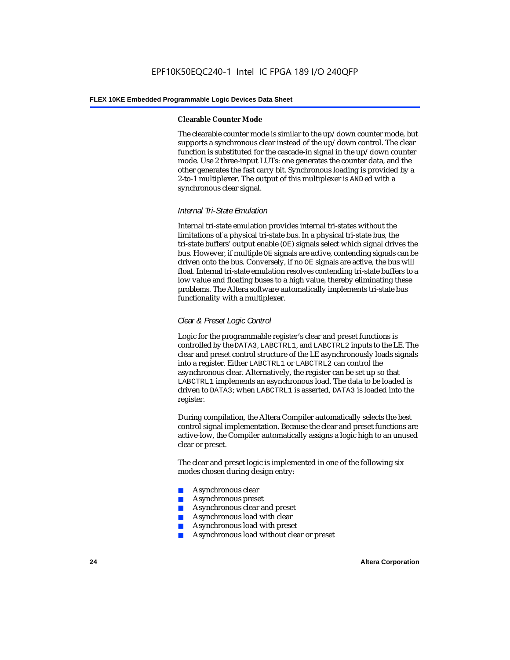#### **Clearable Counter Mode**

The clearable counter mode is similar to the up/down counter mode, but supports a synchronous clear instead of the up/down control. The clear function is substituted for the cascade-in signal in the up/down counter mode. Use 2 three-input LUTs: one generates the counter data, and the other generates the fast carry bit. Synchronous loading is provided by a 2-to-1 multiplexer. The output of this multiplexer is ANDed with a synchronous clear signal.

#### *Internal Tri-State Emulation*

Internal tri-state emulation provides internal tri-states without the limitations of a physical tri-state bus. In a physical tri-state bus, the tri-state buffers' output enable (OE) signals select which signal drives the bus. However, if multiple OE signals are active, contending signals can be driven onto the bus. Conversely, if no OE signals are active, the bus will float. Internal tri-state emulation resolves contending tri-state buffers to a low value and floating buses to a high value, thereby eliminating these problems. The Altera software automatically implements tri-state bus functionality with a multiplexer.

#### *Clear & Preset Logic Control*

Logic for the programmable register's clear and preset functions is controlled by the DATA3, LABCTRL1, and LABCTRL2 inputs to the LE. The clear and preset control structure of the LE asynchronously loads signals into a register. Either LABCTRL1 or LABCTRL2 can control the asynchronous clear. Alternatively, the register can be set up so that LABCTRL1 implements an asynchronous load. The data to be loaded is driven to DATA3; when LABCTRL1 is asserted, DATA3 is loaded into the register.

During compilation, the Altera Compiler automatically selects the best control signal implementation. Because the clear and preset functions are active-low, the Compiler automatically assigns a logic high to an unused clear or preset.

The clear and preset logic is implemented in one of the following six modes chosen during design entry:

- Asynchronous clear
- Asynchronous preset
- Asynchronous clear and preset
- Asynchronous load with clear
- Asynchronous load with preset
- Asynchronous load without clear or preset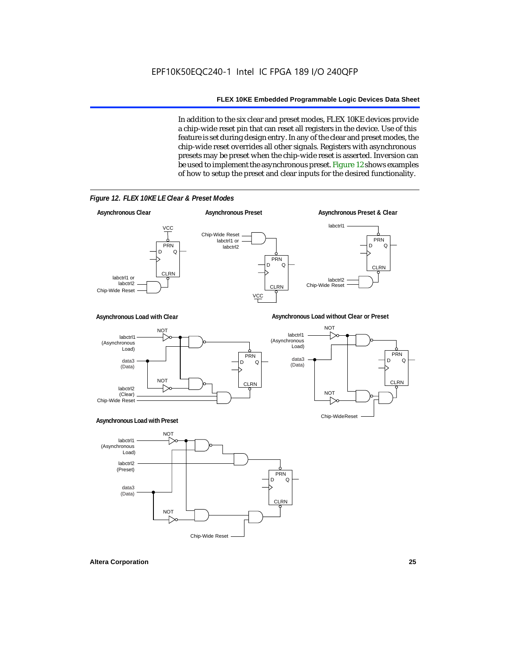In addition to the six clear and preset modes, FLEX 10KE devices provide a chip-wide reset pin that can reset all registers in the device. Use of this feature is set during design entry. In any of the clear and preset modes, the chip-wide reset overrides all other signals. Registers with asynchronous presets may be preset when the chip-wide reset is asserted. Inversion can be used to implement the asynchronous preset. Figure 12 shows examples of how to setup the preset and clear inputs for the desired functionality.

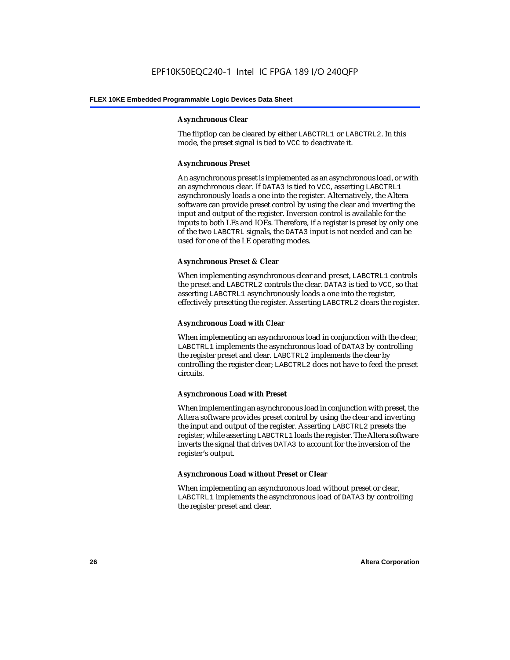#### **Asynchronous Clear**

The flipflop can be cleared by either LABCTRL1 or LABCTRL2. In this mode, the preset signal is tied to VCC to deactivate it.

#### **Asynchronous Preset**

An asynchronous preset is implemented as an asynchronous load, or with an asynchronous clear. If DATA3 is tied to VCC, asserting LABCTRL1 asynchronously loads a one into the register. Alternatively, the Altera software can provide preset control by using the clear and inverting the input and output of the register. Inversion control is available for the inputs to both LEs and IOEs. Therefore, if a register is preset by only one of the two LABCTRL signals, the DATA3 input is not needed and can be used for one of the LE operating modes.

#### **Asynchronous Preset & Clear**

When implementing asynchronous clear and preset, LABCTRL1 controls the preset and LABCTRL2 controls the clear. DATA3 is tied to VCC, so that asserting LABCTRL1 asynchronously loads a one into the register, effectively presetting the register. Asserting LABCTRL2 clears the register.

#### **Asynchronous Load with Clear**

When implementing an asynchronous load in conjunction with the clear, LABCTRL1 implements the asynchronous load of DATA3 by controlling the register preset and clear. LABCTRL2 implements the clear by controlling the register clear; LABCTRL2 does not have to feed the preset circuits.

#### **Asynchronous Load with Preset**

When implementing an asynchronous load in conjunction with preset, the Altera software provides preset control by using the clear and inverting the input and output of the register. Asserting LABCTRL2 presets the register, while asserting LABCTRL1 loads the register. The Altera software inverts the signal that drives DATA3 to account for the inversion of the register's output.

#### **Asynchronous Load without Preset or Clear**

When implementing an asynchronous load without preset or clear, LABCTRL1 implements the asynchronous load of DATA3 by controlling the register preset and clear.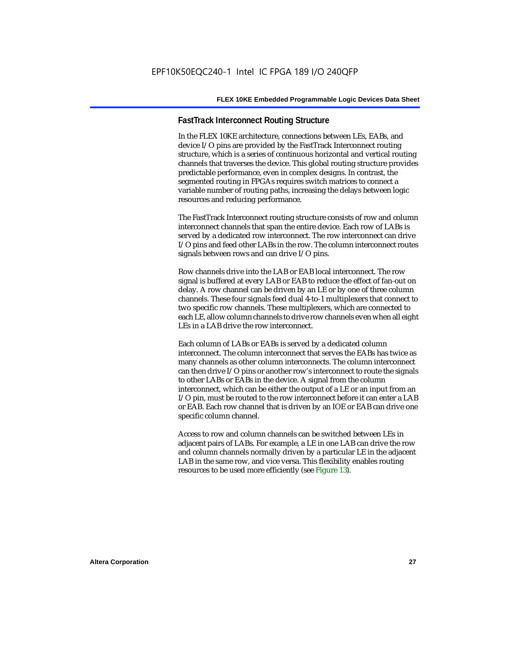#### **FastTrack Interconnect Routing Structure**

In the FLEX 10KE architecture, connections between LEs, EABs, and device I/O pins are provided by the FastTrack Interconnect routing structure, which is a series of continuous horizontal and vertical routing channels that traverses the device. This global routing structure provides predictable performance, even in complex designs. In contrast, the segmented routing in FPGAs requires switch matrices to connect a variable number of routing paths, increasing the delays between logic resources and reducing performance.

The FastTrack Interconnect routing structure consists of row and column interconnect channels that span the entire device. Each row of LABs is served by a dedicated row interconnect. The row interconnect can drive I/O pins and feed other LABs in the row. The column interconnect routes signals between rows and can drive I/O pins.

Row channels drive into the LAB or EAB local interconnect. The row signal is buffered at every LAB or EAB to reduce the effect of fan-out on delay. A row channel can be driven by an LE or by one of three column channels. These four signals feed dual 4-to-1 multiplexers that connect to two specific row channels. These multiplexers, which are connected to each LE, allow column channels to drive row channels even when all eight LEs in a LAB drive the row interconnect.

Each column of LABs or EABs is served by a dedicated column interconnect. The column interconnect that serves the EABs has twice as many channels as other column interconnects. The column interconnect can then drive I/O pins or another row's interconnect to route the signals to other LABs or EABs in the device. A signal from the column interconnect, which can be either the output of a LE or an input from an I/O pin, must be routed to the row interconnect before it can enter a LAB or EAB. Each row channel that is driven by an IOE or EAB can drive one specific column channel.

Access to row and column channels can be switched between LEs in adjacent pairs of LABs. For example, a LE in one LAB can drive the row and column channels normally driven by a particular LE in the adjacent LAB in the same row, and vice versa. This flexibility enables routing resources to be used more efficiently (see Figure 13).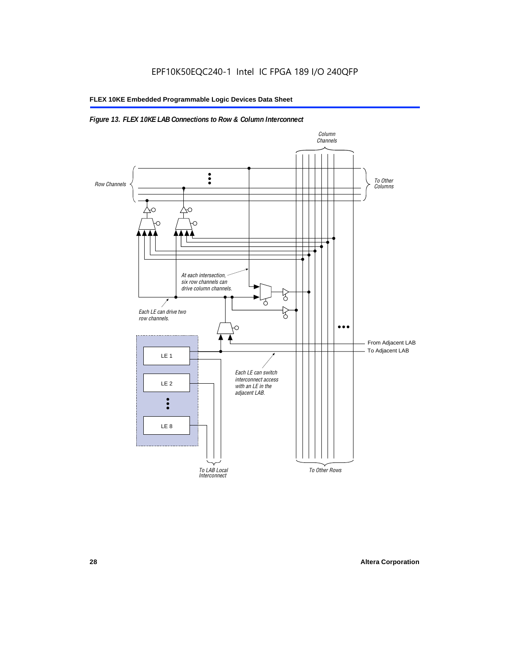#### *Figure 13. FLEX 10KE LAB Connections to Row & Column Interconnect*

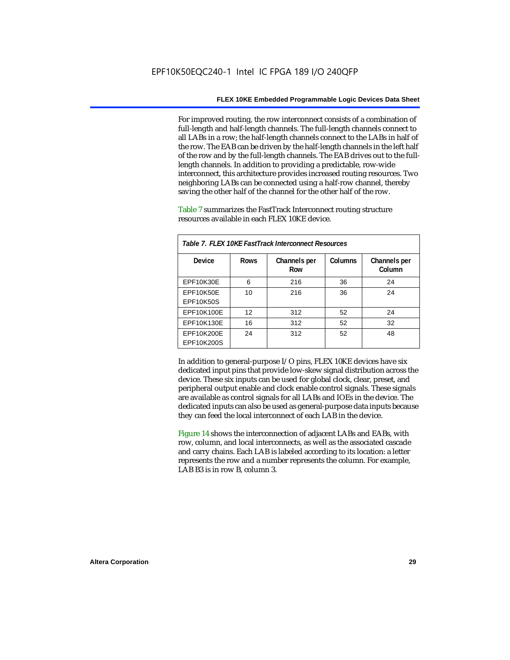For improved routing, the row interconnect consists of a combination of full-length and half-length channels. The full-length channels connect to all LABs in a row; the half-length channels connect to the LABs in half of the row. The EAB can be driven by the half-length channels in the left half of the row and by the full-length channels. The EAB drives out to the fulllength channels. In addition to providing a predictable, row-wide interconnect, this architecture provides increased routing resources. Two neighboring LABs can be connected using a half-row channel, thereby saving the other half of the channel for the other half of the row.

Table 7 summarizes the FastTrack Interconnect routing structure resources available in each FLEX 10KE device.

| Table 7. FLEX 10KE FastTrack Interconnect Resources |             |                     |         |                        |
|-----------------------------------------------------|-------------|---------------------|---------|------------------------|
| Device                                              | <b>Rows</b> | Channels per<br>Row | Columns | Channels per<br>Column |
| <b>EPF10K30E</b>                                    | 6           | 216                 | 36      | 24                     |
| EPF10K50E<br>EPF10K50S                              | 10          | 216                 | 36      | 24                     |
| EPF10K100E                                          | 12          | 312                 | 52      | 24                     |
| EPF10K130E                                          | 16          | 312                 | 52      | 32                     |
| EPF10K200E<br>EPF10K200S                            | 24          | 312                 | 52      | 48                     |

In addition to general-purpose I/O pins, FLEX 10KE devices have six dedicated input pins that provide low-skew signal distribution across the device. These six inputs can be used for global clock, clear, preset, and peripheral output enable and clock enable control signals. These signals are available as control signals for all LABs and IOEs in the device. The dedicated inputs can also be used as general-purpose data inputs because they can feed the local interconnect of each LAB in the device.

Figure 14 shows the interconnection of adjacent LABs and EABs, with row, column, and local interconnects, as well as the associated cascade and carry chains. Each LAB is labeled according to its location: a letter represents the row and a number represents the column. For example, LAB B3 is in row B, column 3.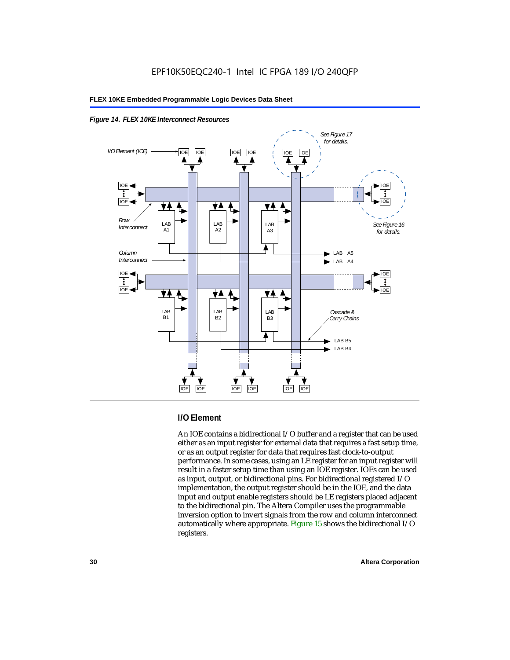



#### **I/O Element**

An IOE contains a bidirectional I/O buffer and a register that can be used either as an input register for external data that requires a fast setup time, or as an output register for data that requires fast clock-to-output performance. In some cases, using an LE register for an input register will result in a faster setup time than using an IOE register. IOEs can be used as input, output, or bidirectional pins. For bidirectional registered I/O implementation, the output register should be in the IOE, and the data input and output enable registers should be LE registers placed adjacent to the bidirectional pin. The Altera Compiler uses the programmable inversion option to invert signals from the row and column interconnect automatically where appropriate. Figure 15 shows the bidirectional I/O registers.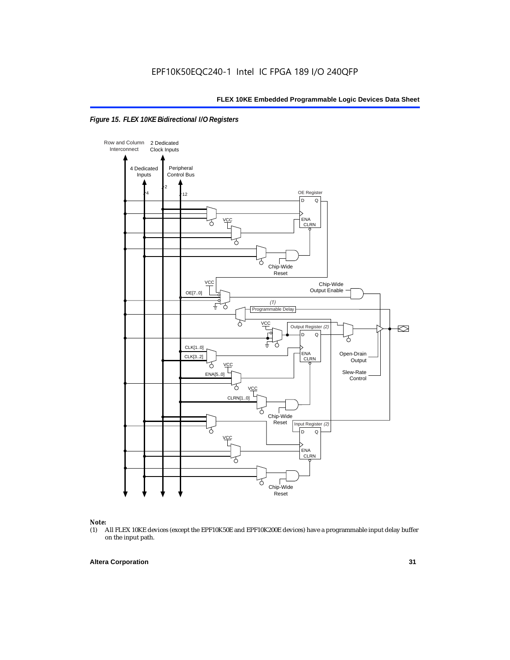



### *Note:*<br>(1) *A*

(1) All FLEX 10KE devices (except the EPF10K50E and EPF10K200E devices) have a programmable input delay buffer on the input path.

#### **Altera Corporation 31**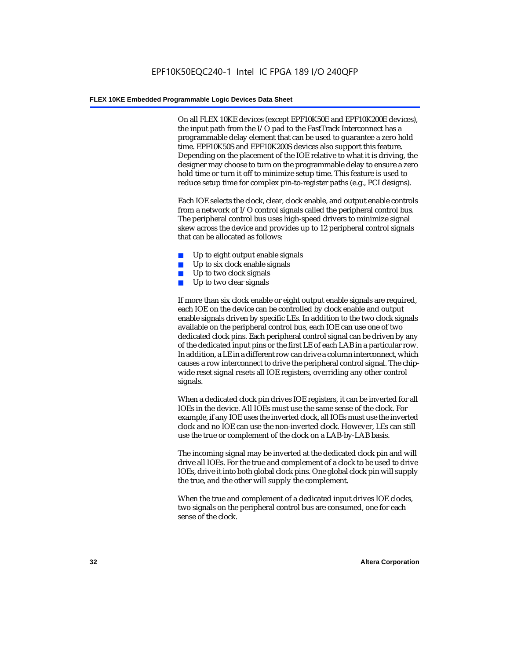On all FLEX 10KE devices (except EPF10K50E and EPF10K200E devices), the input path from the I/O pad to the FastTrack Interconnect has a programmable delay element that can be used to guarantee a zero hold time. EPF10K50S and EPF10K200S devices also support this feature. Depending on the placement of the IOE relative to what it is driving, the designer may choose to turn on the programmable delay to ensure a zero hold time or turn it off to minimize setup time. This feature is used to reduce setup time for complex pin-to-register paths (e.g., PCI designs).

Each IOE selects the clock, clear, clock enable, and output enable controls from a network of I/O control signals called the peripheral control bus. The peripheral control bus uses high-speed drivers to minimize signal skew across the device and provides up to 12 peripheral control signals that can be allocated as follows:

- Up to eight output enable signals
- Up to six clock enable signals
- Up to two clock signals
- Up to two clear signals

If more than six clock enable or eight output enable signals are required, each IOE on the device can be controlled by clock enable and output enable signals driven by specific LEs. In addition to the two clock signals available on the peripheral control bus, each IOE can use one of two dedicated clock pins. Each peripheral control signal can be driven by any of the dedicated input pins or the first LE of each LAB in a particular row. In addition, a LE in a different row can drive a column interconnect, which causes a row interconnect to drive the peripheral control signal. The chipwide reset signal resets all IOE registers, overriding any other control signals.

When a dedicated clock pin drives IOE registers, it can be inverted for all IOEs in the device. All IOEs must use the same sense of the clock. For example, if any IOE uses the inverted clock, all IOEs must use the inverted clock and no IOE can use the non-inverted clock. However, LEs can still use the true or complement of the clock on a LAB-by-LAB basis.

The incoming signal may be inverted at the dedicated clock pin and will drive all IOEs. For the true and complement of a clock to be used to drive IOEs, drive it into both global clock pins. One global clock pin will supply the true, and the other will supply the complement.

When the true and complement of a dedicated input drives IOE clocks, two signals on the peripheral control bus are consumed, one for each sense of the clock.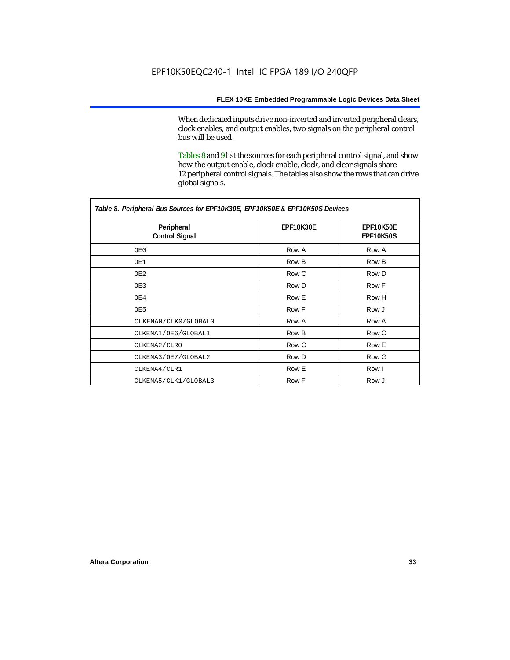When dedicated inputs drive non-inverted and inverted peripheral clears, clock enables, and output enables, two signals on the peripheral control bus will be used.

Tables 8 and 9 list the sources for each peripheral control signal, and show how the output enable, clock enable, clock, and clear signals share 12 peripheral control signals. The tables also show the rows that can drive global signals.

| Table 8. Peripheral Bus Sources for EPF10K30E, EPF10K50E & EPF10K50S Devices |                  |                               |  |  |
|------------------------------------------------------------------------------|------------------|-------------------------------|--|--|
| Peripheral<br><b>Control Signal</b>                                          | <b>EPF10K30E</b> | EPF10K50E<br><b>EPF10K50S</b> |  |  |
| OE0                                                                          | Row A            | Row A                         |  |  |
| OE1                                                                          | Row B            | Row B                         |  |  |
| OE2                                                                          | Row C            | Row D                         |  |  |
| OE3                                                                          | Row D            | Row F                         |  |  |
| OE4                                                                          | Row E            | Row H                         |  |  |
| OE5                                                                          | Row F            | Row J                         |  |  |
| CLKENA0/CLK0/GLOBAL0                                                         | Row A            | Row A                         |  |  |
| CLKENA1/OE6/GLOBAL1                                                          | Row B            | Row C                         |  |  |
| CLKENA2/CLR0                                                                 | Row C            | Row E                         |  |  |
| CLKENA3/OE7/GLOBAL2                                                          | Row D            | Row G                         |  |  |
| CLKENA4/CLR1                                                                 | Row E            | Row I                         |  |  |
| CLKENA5/CLK1/GLOBAL3                                                         | Row F            | Row J                         |  |  |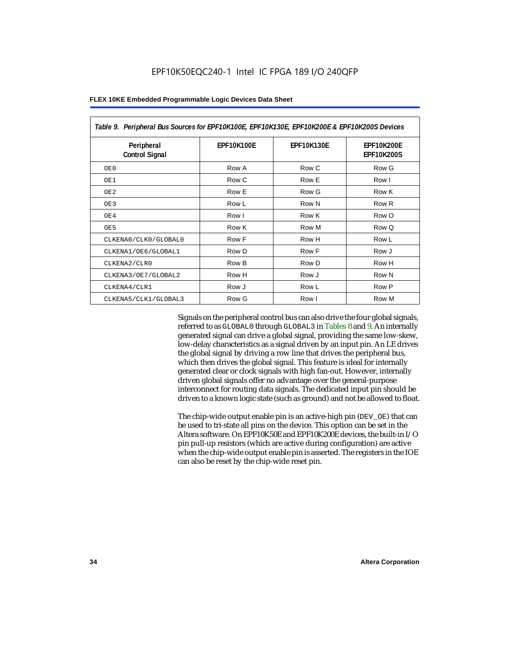| Table 9. Peripheral Bus Sources for EPF10K100E, EPF10K130E, EPF10K200E & EPF10K200S Devices |                   |                   |                                        |  |
|---------------------------------------------------------------------------------------------|-------------------|-------------------|----------------------------------------|--|
| Peripheral<br><b>Control Signal</b>                                                         | <b>EPF10K100E</b> | <b>EPF10K130E</b> | <b>EPF10K200E</b><br><b>EPF10K200S</b> |  |
| OE0                                                                                         | Row A             | Row C             | Row G                                  |  |
| OE1                                                                                         | Row C             | Row E             | Row I                                  |  |
| OE <sub>2</sub>                                                                             | Row E             | Row G             | Row K                                  |  |
| OE3                                                                                         | Row L             | Row N             | Row <sub>R</sub>                       |  |
| OE4                                                                                         | Row I             | Row K             | Row O                                  |  |
| OE5                                                                                         | Row K             | Row M             | Row Q                                  |  |
| CLKENA0/CLK0/GLOBAL0                                                                        | Row F             | Row H             | Row L                                  |  |
| CLKENA1/OE6/GLOBAL1                                                                         | Row D             | Row F             | Row J                                  |  |
| CLKENA2/CLR0                                                                                | Row B             | Row D             | Row H                                  |  |
| CLKENA3/OE7/GLOBAL2                                                                         | Row H             | Row J             | Row N                                  |  |
| CLKENA4/CLR1                                                                                | Row J             | Row L             | Row P                                  |  |
| CLKENA5/CLK1/GLOBAL3                                                                        | Row G             | Row I             | Row M                                  |  |

Signals on the peripheral control bus can also drive the four global signals, referred to as GLOBAL0 through GLOBAL3 in Tables 8 and 9. An internally generated signal can drive a global signal, providing the same low-skew, low-delay characteristics as a signal driven by an input pin. An LE drives the global signal by driving a row line that drives the peripheral bus, which then drives the global signal. This feature is ideal for internally generated clear or clock signals with high fan-out. However, internally driven global signals offer no advantage over the general-purpose interconnect for routing data signals. The dedicated input pin should be driven to a known logic state (such as ground) and not be allowed to float.

The chip-wide output enable pin is an active-high pin (DEV\_OE) that can be used to tri-state all pins on the device. This option can be set in the Altera software. On EPF10K50E and EPF10K200E devices, the built-in I/O pin pull-up resistors (which are active during configuration) are active when the chip-wide output enable pin is asserted. The registers in the IOE can also be reset by the chip-wide reset pin.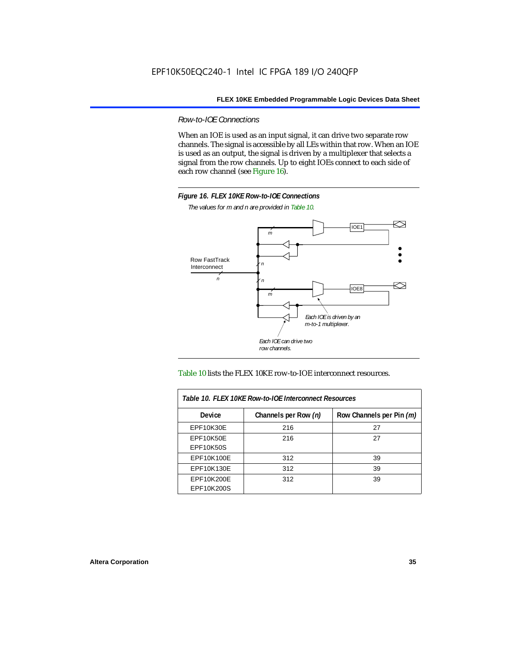*Row-to-IOE Connections*

When an IOE is used as an input signal, it can drive two separate row channels. The signal is accessible by all LEs within that row. When an IOE is used as an output, the signal is driven by a multiplexer that selects a signal from the row channels. Up to eight IOEs connect to each side of each row channel (see Figure 16).



*The values for m and n are provided in Table 10.*





| Table 10. FLEX 10KE Row-to-IOE Interconnect Resources |                      |                          |  |  |
|-------------------------------------------------------|----------------------|--------------------------|--|--|
| <b>Device</b>                                         | Channels per Row (n) | Row Channels per Pin (m) |  |  |
| <b>EPF10K30E</b>                                      | 216                  | 27                       |  |  |
| <b>EPF10K50E</b>                                      | 216                  | 27                       |  |  |
| <b>EPF10K50S</b>                                      |                      |                          |  |  |
| EPF10K100E                                            | 312                  | 39                       |  |  |
| EPF10K130E                                            | 312                  | 39                       |  |  |
| EPF10K200E<br>EPF10K200S                              | 312                  | 39                       |  |  |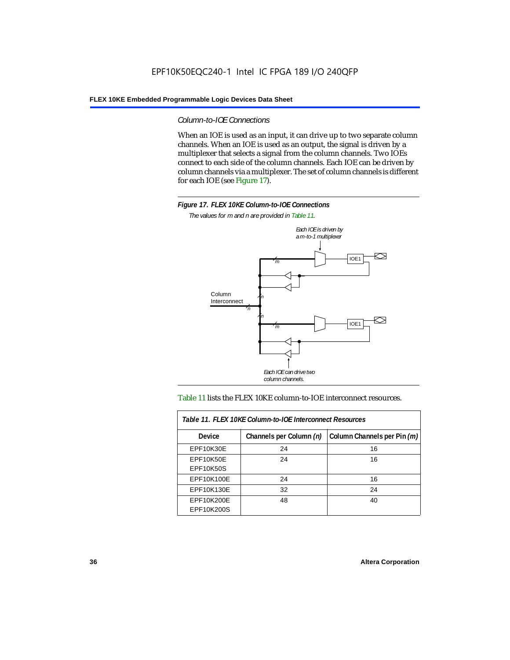*Column-to-IOE Connections*

When an IOE is used as an input, it can drive up to two separate column channels. When an IOE is used as an output, the signal is driven by a multiplexer that selects a signal from the column channels. Two IOEs connect to each side of the column channels. Each IOE can be driven by column channels via a multiplexer. The set of column channels is different for each IOE (see Figure 17).



*The values for m and n are provided in Table 11.*



#### Table 11 lists the FLEX 10KE column-to-IOE interconnect resources.

| Table 11. FLEX 10KE Column-to-IOE Interconnect Resources |                         |                             |  |  |  |
|----------------------------------------------------------|-------------------------|-----------------------------|--|--|--|
| <b>Device</b>                                            | Channels per Column (n) | Column Channels per Pin (m) |  |  |  |
| EPF10K30E                                                | 24                      | 16                          |  |  |  |
| EPF10K50E<br><b>EPF10K50S</b>                            | 24                      | 16                          |  |  |  |
| EPF10K100E                                               | 24                      | 16                          |  |  |  |
| EPF10K130E                                               | 32                      | 24                          |  |  |  |
| EPF10K200E<br>EPF10K200S                                 | 48                      | 40                          |  |  |  |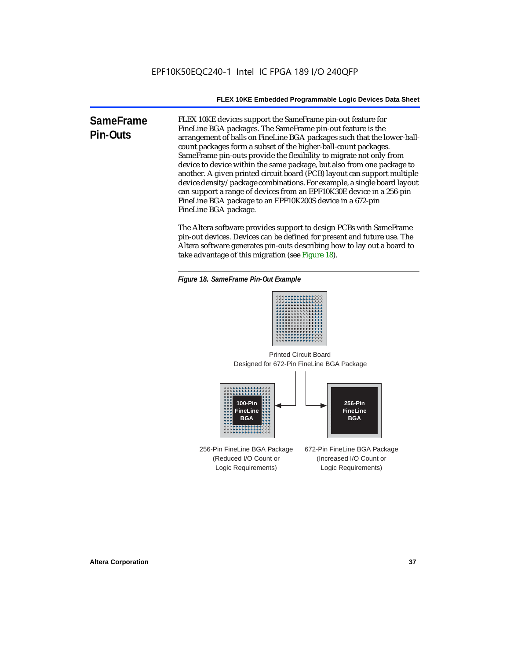**SameFrame Pin-Outs** FLEX 10KE devices support the SameFrame pin-out feature for FineLine BGA packages. The SameFrame pin-out feature is the arrangement of balls on FineLine BGA packages such that the lower-ballcount packages form a subset of the higher-ball-count packages. SameFrame pin-outs provide the flexibility to migrate not only from device to device within the same package, but also from one package to another. A given printed circuit board (PCB) layout can support multiple device density/package combinations. For example, a single board layout can support a range of devices from an EPF10K30E device in a 256-pin FineLine BGA package to an EPF10K200S device in a 672-pin FineLine BGA package.

> The Altera software provides support to design PCBs with SameFrame pin-out devices. Devices can be defined for present and future use. The Altera software generates pin-outs describing how to lay out a board to take advantage of this migration (see Figure 18).





Designed for 672-Pin FineLine BGA Package Printed Circuit Board



256-Pin FineLine BGA Package (Reduced I/O Count or Logic Requirements) 672-Pin FineLine BGA Package (Increased I/O Count or Logic Requirements)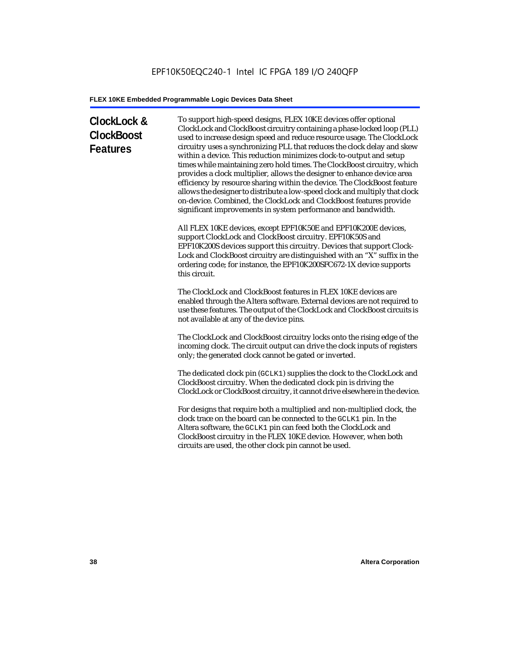# **ClockLock & ClockBoost Features**

To support high-speed designs, FLEX 10KE devices offer optional ClockLock and ClockBoost circuitry containing a phase-locked loop (PLL) used to increase design speed and reduce resource usage. The ClockLock circuitry uses a synchronizing PLL that reduces the clock delay and skew within a device. This reduction minimizes clock-to-output and setup times while maintaining zero hold times. The ClockBoost circuitry, which provides a clock multiplier, allows the designer to enhance device area efficiency by resource sharing within the device. The ClockBoost feature allows the designer to distribute a low-speed clock and multiply that clock on-device. Combined, the ClockLock and ClockBoost features provide significant improvements in system performance and bandwidth.

All FLEX 10KE devices, except EPF10K50E and EPF10K200E devices, support ClockLock and ClockBoost circuitry. EPF10K50S and EPF10K200S devices support this circuitry. Devices that support Clock-Lock and ClockBoost circuitry are distinguished with an "X" suffix in the ordering code; for instance, the EPF10K200SFC672-1X device supports this circuit.

The ClockLock and ClockBoost features in FLEX 10KE devices are enabled through the Altera software. External devices are not required to use these features. The output of the ClockLock and ClockBoost circuits is not available at any of the device pins.

The ClockLock and ClockBoost circuitry locks onto the rising edge of the incoming clock. The circuit output can drive the clock inputs of registers only; the generated clock cannot be gated or inverted.

The dedicated clock pin (GCLK1) supplies the clock to the ClockLock and ClockBoost circuitry. When the dedicated clock pin is driving the ClockLock or ClockBoost circuitry, it cannot drive elsewhere in the device.

For designs that require both a multiplied and non-multiplied clock, the clock trace on the board can be connected to the GCLK1 pin. In the Altera software, the GCLK1 pin can feed both the ClockLock and ClockBoost circuitry in the FLEX 10KE device. However, when both circuits are used, the other clock pin cannot be used.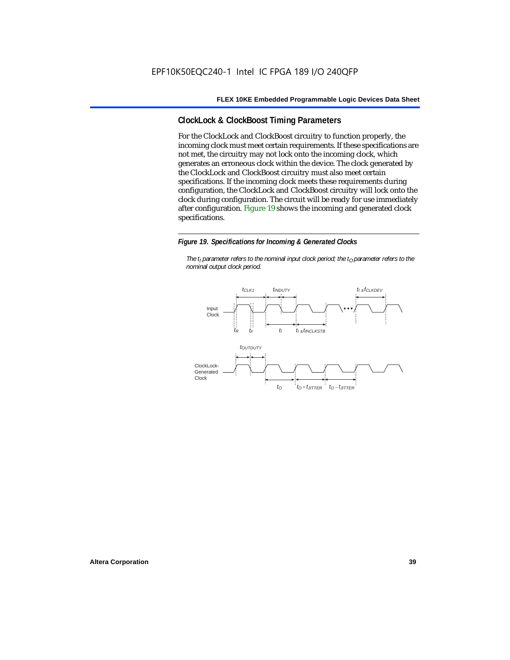## **ClockLock & ClockBoost Timing Parameters**

For the ClockLock and ClockBoost circuitry to function properly, the incoming clock must meet certain requirements. If these specifications are not met, the circuitry may not lock onto the incoming clock, which generates an erroneous clock within the device. The clock generated by the ClockLock and ClockBoost circuitry must also meet certain specifications. If the incoming clock meets these requirements during configuration, the ClockLock and ClockBoost circuitry will lock onto the clock during configuration. The circuit will be ready for use immediately after configuration. Figure 19 shows the incoming and generated clock specifications.

#### *Figure 19. Specifications for Incoming & Generated Clocks*

*The t<sub>I</sub> parameter refers to the nominal input clock period; the t<sub>0</sub> parameter refers to the nominal output clock period.*

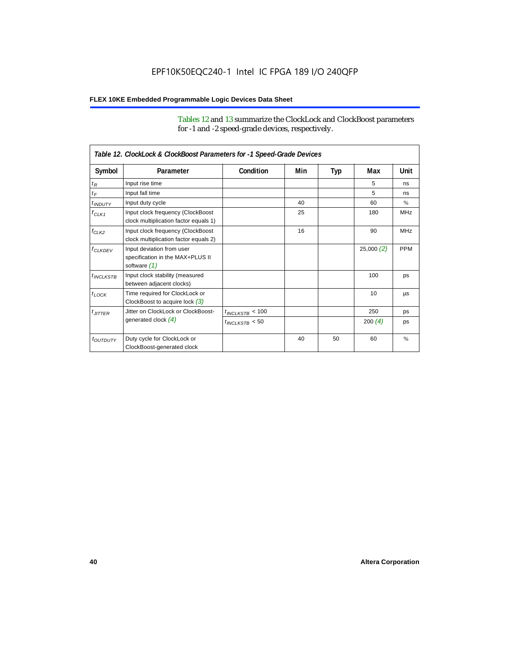Tables 12 and 13 summarize the ClockLock and ClockBoost parameters for -1 and -2 speed-grade devices, respectively.

| Table 12. ClockLock & ClockBoost Parameters for -1 Speed-Grade Devices |                                                                               |                      |     |     |           |               |
|------------------------------------------------------------------------|-------------------------------------------------------------------------------|----------------------|-----|-----|-----------|---------------|
| Symbol                                                                 | Parameter                                                                     | Condition            | Min | Typ | Max       | Unit          |
| $t_R$                                                                  | Input rise time                                                               |                      |     |     | 5         | ns            |
| $t_F$                                                                  | Input fall time                                                               |                      |     |     | 5         | ns            |
| $t$ <sub>INDUTY</sub>                                                  | Input duty cycle                                                              |                      | 40  |     | 60        | $\%$          |
| $f_{CLK1}$                                                             | Input clock frequency (ClockBoost<br>clock multiplication factor equals 1)    |                      | 25  |     | 180       | <b>MHz</b>    |
| $f_{CLK2}$                                                             | Input clock frequency (ClockBoost<br>clock multiplication factor equals 2)    |                      | 16  |     | 90        | <b>MHz</b>    |
| $f_{CLKDEV}$                                                           | Input deviation from user<br>specification in the MAX+PLUS II<br>software (1) |                      |     |     | 25,000(2) | <b>PPM</b>    |
| $t_{INCLKSTB}$                                                         | Input clock stability (measured<br>between adjacent clocks)                   |                      |     |     | 100       | ps            |
| $t_{\text{LOCK}}$                                                      | Time required for ClockLock or<br>ClockBoost to acquire lock $(3)$            |                      |     |     | 10        | μs            |
| $t_{JITTER}$                                                           | Jitter on ClockLock or ClockBoost-                                            | $t_{INCLKSTB} < 100$ |     |     | 250       | ps            |
|                                                                        | generated clock $(4)$                                                         | $t_{INCLKSTB}$ < 50  |     |     | 200 $(4)$ | ps            |
| <i>toutbuty</i>                                                        | Duty cycle for ClockLock or<br>ClockBoost-generated clock                     |                      | 40  | 50  | 60        | $\frac{9}{6}$ |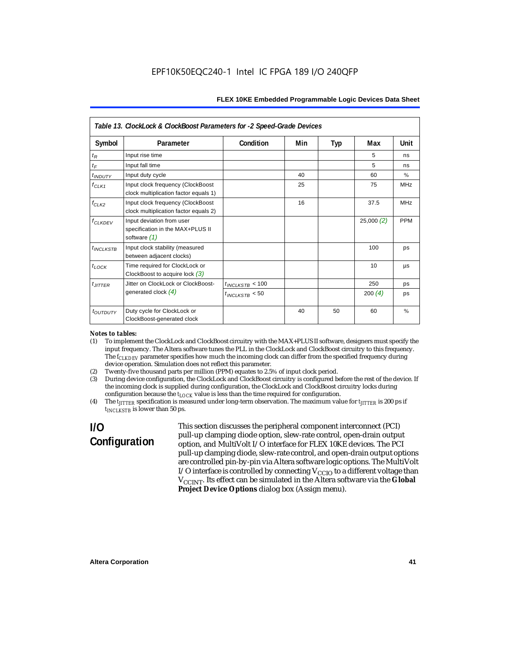| Table 13. ClockLock & ClockBoost Parameters for -2 Speed-Grade Devices |                                                                               |                      |     |     |           |            |
|------------------------------------------------------------------------|-------------------------------------------------------------------------------|----------------------|-----|-----|-----------|------------|
| Symbol                                                                 | Parameter                                                                     | Condition            | Min | Typ | Max       | Unit       |
| $t_{R}$                                                                | Input rise time                                                               |                      |     |     | 5         | ns         |
| $t_F$                                                                  | Input fall time                                                               |                      |     |     | 5         | ns         |
| $t_{INDUTY}$                                                           | Input duty cycle                                                              |                      | 40  |     | 60        | $\%$       |
| $f_{CLK1}$                                                             | Input clock frequency (ClockBoost<br>clock multiplication factor equals 1)    |                      | 25  |     | 75        | <b>MHz</b> |
| $f_{CLK2}$                                                             | Input clock frequency (ClockBoost<br>clock multiplication factor equals 2)    |                      | 16  |     | 37.5      | <b>MHz</b> |
| $f_{\ensuremath{\text{CLKDFV}}}$                                       | Input deviation from user<br>specification in the MAX+PLUS II<br>software (1) |                      |     |     | 25,000(2) | <b>PPM</b> |
| $t_{INCLKSTB}$                                                         | Input clock stability (measured<br>between adjacent clocks)                   |                      |     |     | 100       | ps         |
| $t_{LOCK}$                                                             | Time required for ClockLock or<br>ClockBoost to acquire lock $(3)$            |                      |     |     | 10        | μs         |
| $t_{JITTER}$                                                           | Jitter on ClockLock or ClockBoost-                                            | $t_{INCLKSTB}$ < 100 |     |     | 250       | ps         |
|                                                                        | generated clock $(4)$                                                         | $t_{INCLKSTB}$ < 50  |     |     | 200 $(4)$ | ps         |
| t <sub>OUTDUTY</sub>                                                   | Duty cycle for ClockLock or<br>ClockBoost-generated clock                     |                      | 40  | 50  | 60        | $\%$       |

#### *Notes to tables:*

- (1) To implement the ClockLock and ClockBoost circuitry with the MAX+PLUS II software, designers must specify the input frequency. The Altera software tunes the PLL in the ClockLock and ClockBoost circuitry to this frequency. The *f<sub>CLKDEV</sub>* parameter specifies how much the incoming clock can differ from the specified frequency during device operation. Simulation does not reflect this parameter.
- (2) Twenty-five thousand parts per million (PPM) equates to 2.5% of input clock period.<br>(3) During device configuration, the ClockLock and ClockBoost circuitry is configured b
- (3) During device configuration, the ClockLock and ClockBoost circuitry is configured before the rest of the device. If the incoming clock is supplied during configuration, the ClockLock and ClockBoost circuitry locks during configuration because the  $t_{LOCK}$  value is less than the time required for configuration.
- (4) The *tJITTER* specification is measured under long-term observation. The maximum value for *tJITTER* is 200 ps if  $t_{INCI KSTB}$  is lower than 50 ps.

# **I/O Configuration**

This section discusses the peripheral component interconnect (PCI) pull-up clamping diode option, slew-rate control, open-drain output option, and MultiVolt I/O interface for FLEX 10KE devices. The PCI pull-up clamping diode, slew-rate control, and open-drain output options are controlled pin-by-pin via Altera software logic options. The MultiVolt I/O interface is controlled by connecting  $V_{CCIO}$  to a different voltage than V<sub>CCINT</sub>. Its effect can be simulated in the Altera software via the Global **Project Device Options** dialog box (Assign menu).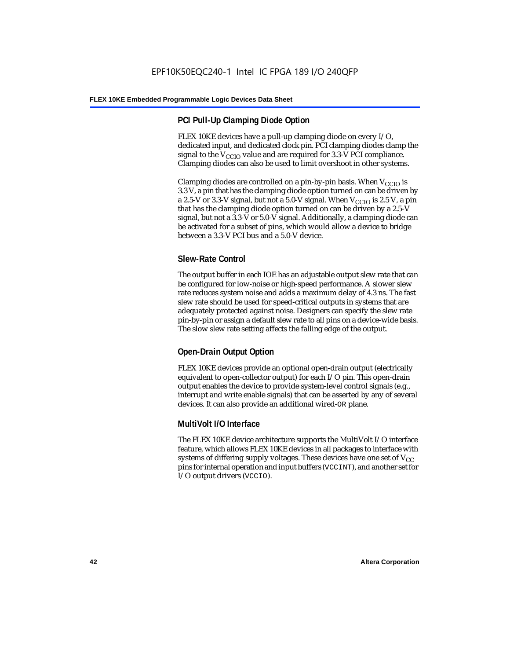## **PCI Pull-Up Clamping Diode Option**

FLEX 10KE devices have a pull-up clamping diode on every I/O, dedicated input, and dedicated clock pin. PCI clamping diodes clamp the signal to the  $V_{\text{CCIO}}$  value and are required for 3.3-V PCI compliance. Clamping diodes can also be used to limit overshoot in other systems.

Clamping diodes are controlled on a pin-by-pin basis. When  $V_{\text{CCIO}}$  is 3.3 V, a pin that has the clamping diode option turned on can be driven by a 2.5-V or 3.3-V signal, but not a 5.0-V signal. When  $V_{CCIO}$  is 2.5 V, a pin that has the clamping diode option turned on can be driven by a 2.5-V signal, but not a 3.3-V or 5.0-V signal. Additionally, a clamping diode can be activated for a subset of pins, which would allow a device to bridge between a 3.3-V PCI bus and a 5.0-V device.

## **Slew-Rate Control**

The output buffer in each IOE has an adjustable output slew rate that can be configured for low-noise or high-speed performance. A slower slew rate reduces system noise and adds a maximum delay of 4.3 ns. The fast slew rate should be used for speed-critical outputs in systems that are adequately protected against noise. Designers can specify the slew rate pin-by-pin or assign a default slew rate to all pins on a device-wide basis. The slow slew rate setting affects the falling edge of the output.

## **Open-Drain Output Option**

FLEX 10KE devices provide an optional open-drain output (electrically equivalent to open-collector output) for each I/O pin. This open-drain output enables the device to provide system-level control signals (e.g., interrupt and write enable signals) that can be asserted by any of several devices. It can also provide an additional wired-OR plane.

## **MultiVolt I/O Interface**

The FLEX 10KE device architecture supports the MultiVolt I/O interface feature, which allows FLEX 10KE devices in all packages to interface with systems of differing supply voltages. These devices have one set of  $V_{CC}$ pins for internal operation and input buffers (VCCINT), and another set for I/O output drivers (VCCIO).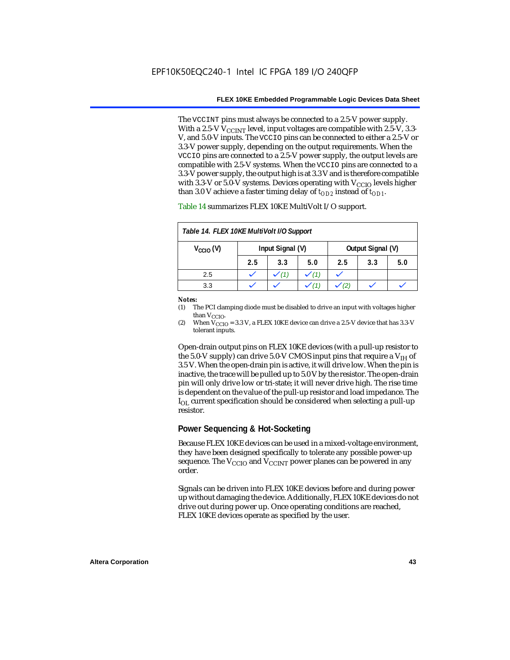The VCCINT pins must always be connected to a 2.5-V power supply. With a 2.5-V  $V_{CCMT}$  level, input voltages are compatible with 2.5-V, 3.3-V, and 5.0-V inputs. The VCCIO pins can be connected to either a 2.5-V or 3.3-V power supply, depending on the output requirements. When the VCCIO pins are connected to a 2.5-V power supply, the output levels are compatible with 2.5-V systems. When the VCCIO pins are connected to a 3.3-V power supply, the output high is at 3.3 V and is therefore compatible with 3.3-V or 5.0-V systems. Devices operating with  $V_{CCIO}$  levels higher than 3.0 V achieve a faster timing delay of  $t_{OD2}$  instead of  $t_{OD1}$ .

| Table 14. FLEX 10KE MultiVolt I/O Support |                  |     |     |                   |     |     |
|-------------------------------------------|------------------|-----|-----|-------------------|-----|-----|
| $V_{\text{CCIO}}(V)$                      | Input Signal (V) |     |     | Output Signal (V) |     |     |
|                                           | 2.5              | 3.3 | 5.0 | 2.5               | 3.3 | 5.0 |
| 2.5                                       |                  |     |     |                   |     |     |
| 3.3                                       |                  |     |     |                   |     |     |

Table 14 summarizes FLEX 10KE MultiVolt I/O support.

#### *Notes:*

(1) The PCI clamping diode must be disabled to drive an input with voltages higher than  $V_{CCIO}$ .

(2) When  $V_{\text{CCIO}} = 3.3$  V, a FLEX 10KE device can drive a 2.5-V device that has 3.3-V tolerant inputs.

Open-drain output pins on FLEX 10KE devices (with a pull-up resistor to the 5.0-V supply) can drive 5.0-V CMOS input pins that require a  $V_{\text{H}}$  of 3.5 V. When the open-drain pin is active, it will drive low. When the pin is inactive, the trace will be pulled up to 5.0 V by the resistor. The open-drain pin will only drive low or tri-state; it will never drive high. The rise time is dependent on the value of the pull-up resistor and load impedance. The  $I_{\text{OL}}$  current specification should be considered when selecting a pull-up resistor.

### **Power Sequencing & Hot-Socketing**

Because FLEX 10KE devices can be used in a mixed-voltage environment, they have been designed specifically to tolerate any possible power-up sequence. The  $V_{\text{CCIO}}$  and  $V_{\text{CCINT}}$  power planes can be powered in any order.

Signals can be driven into FLEX 10KE devices before and during power up without damaging the device. Additionally, FLEX 10KE devices do not drive out during power up. Once operating conditions are reached, FLEX 10KE devices operate as specified by the user.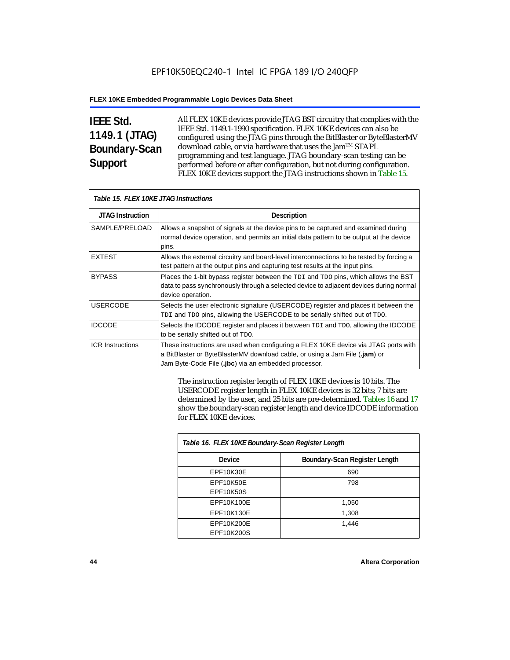# **IEEE Std. 1149.1 (JTAG) Boundary-Scan Support**

All FLEX 10KE devices provide JTAG BST circuitry that complies with the IEEE Std. 1149.1-1990 specification. FLEX 10KE devices can also be configured using the JTAG pins through the BitBlaster or ByteBlasterMV download cable, or via hardware that uses the Jam™ STAPL programming and test language. JTAG boundary-scan testing can be performed before or after configuration, but not during configuration. FLEX 10KE devices support the JTAG instructions shown in Table 15.

| Table 15. FLEX 10KE JTAG Instructions |                                                                                                                                                                                                                            |  |  |  |
|---------------------------------------|----------------------------------------------------------------------------------------------------------------------------------------------------------------------------------------------------------------------------|--|--|--|
| <b>JTAG Instruction</b>               | <b>Description</b>                                                                                                                                                                                                         |  |  |  |
| SAMPLE/PRELOAD                        | Allows a snapshot of signals at the device pins to be captured and examined during<br>normal device operation, and permits an initial data pattern to be output at the device<br>pins.                                     |  |  |  |
| <b>EXTEST</b>                         | Allows the external circuitry and board-level interconnections to be tested by forcing a<br>test pattern at the output pins and capturing test results at the input pins.                                                  |  |  |  |
| <b>BYPASS</b>                         | Places the 1-bit bypass register between the TDI and TDO pins, which allows the BST<br>data to pass synchronously through a selected device to adjacent devices during normal<br>device operation.                         |  |  |  |
| <b>USERCODE</b>                       | Selects the user electronic signature (USERCODE) register and places it between the<br>TDI and TDO pins, allowing the USERCODE to be serially shifted out of TDO.                                                          |  |  |  |
| <b>IDCODE</b>                         | Selects the IDCODE register and places it between TDI and TDO, allowing the IDCODE<br>to be serially shifted out of TDO.                                                                                                   |  |  |  |
| <b>ICR Instructions</b>               | These instructions are used when configuring a FLEX 10KE device via JTAG ports with<br>a BitBlaster or ByteBlasterMV download cable, or using a Jam File (.jam) or<br>Jam Byte-Code File (.jbc) via an embedded processor. |  |  |  |

The instruction register length of FLEX 10KE devices is 10 bits. The USERCODE register length in FLEX 10KE devices is 32 bits; 7 bits are determined by the user, and 25 bits are pre-determined. Tables 16 and 17 show the boundary-scan register length and device IDCODE information for FLEX 10KE devices.

| Table 16. FLEX 10KE Boundary-Scan Register Length |                               |  |  |
|---------------------------------------------------|-------------------------------|--|--|
| Device                                            | Boundary-Scan Register Length |  |  |
| EPF10K30E                                         | 690                           |  |  |
| EPF10K50E                                         | 798                           |  |  |
| <b>EPF10K50S</b>                                  |                               |  |  |
| EPF10K100E                                        | 1,050                         |  |  |
| EPF10K130E                                        | 1,308                         |  |  |
| EPF10K200E                                        | 1.446                         |  |  |
| EPF10K200S                                        |                               |  |  |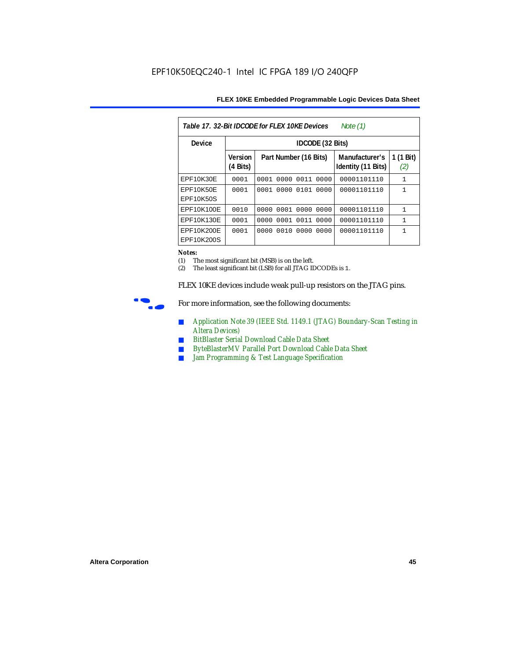| Table 17, 32-Bit IDCODE for FLEX 10KE Devices<br>Note $(1)$ |                            |                              |                                      |                  |  |  |  |
|-------------------------------------------------------------|----------------------------|------------------------------|--------------------------------------|------------------|--|--|--|
| Device                                                      |                            | <b>IDCODE</b> (32 Bits)      |                                      |                  |  |  |  |
|                                                             | <b>Version</b><br>(4 Bits) | Part Number (16 Bits)        | Manufacturer's<br>Identity (11 Bits) | 1 (1 Bit)<br>(2) |  |  |  |
| EPF10K30E                                                   | 0001                       | 0000<br>0011<br>0001<br>0000 | 00001101110                          | 1                |  |  |  |
| EPF10K50E<br>EPF10K50S                                      | 0001                       | 0000<br>0101<br>0001<br>0000 | 00001101110                          | 1                |  |  |  |
| EPF10K100E                                                  | 0010                       | 0000 0001 0000 0000          | 00001101110                          | 1                |  |  |  |
| EPF10K130E                                                  | 0001                       | 0001<br>0011<br>0000<br>0000 | 00001101110                          | 1                |  |  |  |
| EPF10K200E<br>EPF10K200S                                    | 0001                       | 0010<br>0000<br>0000<br>0000 | 00001101110                          | 1                |  |  |  |

#### *Notes:*

(1) The most significant bit (MSB) is on the left.

(2) The least significant bit (LSB) for all JTAG IDCODEs is 1.

FLEX 10KE devices include weak pull-up resistors on the JTAG pins.



For more information, see the following documents:

- *Application Note 39 (IEEE Std. 1149.1 (JTAG) Boundary-Scan Testing in Altera Devices)*
- *BitBlaster Serial Download Cable Data Sheet*
- *ByteBlasterMV Parallel Port Download Cable Data Sheet*
- *Jam Programming & Test Language Specification*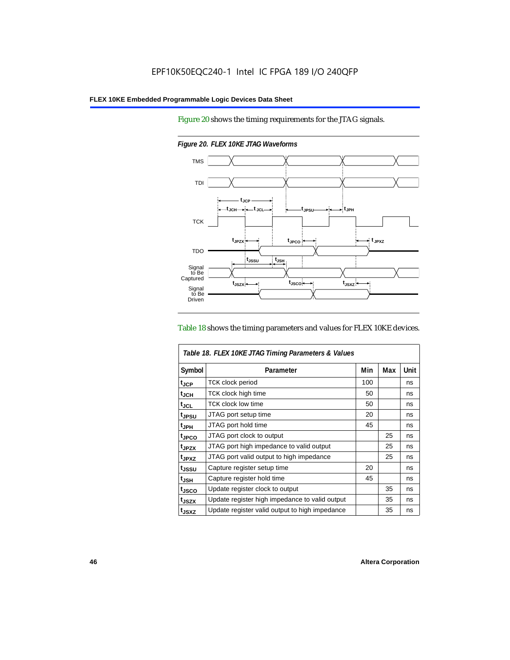Figure 20 shows the timing requirements for the JTAG signals.



*Figure 20. FLEX 10KE JTAG Waveforms*

### Table 18 shows the timing parameters and values for FLEX 10KE devices.

| Table 18. FLEX 10KE JTAG Timing Parameters & Values |                                                |     |     |             |  |
|-----------------------------------------------------|------------------------------------------------|-----|-----|-------------|--|
| Symbol                                              | Parameter                                      | Min | Max | <b>Unit</b> |  |
| t <sub>JCP</sub>                                    | <b>TCK clock period</b>                        | 100 |     | ns          |  |
| t <sub>JCH</sub>                                    | TCK clock high time                            | 50  |     | ns          |  |
| $t_{\sf JCL}$                                       | TCK clock low time                             | 50  |     | ns          |  |
| tjpsu                                               | JTAG port setup time                           | 20  |     | ns          |  |
| t <sub>JPH</sub>                                    | JTAG port hold time                            | 45  |     | ns          |  |
| tjpco                                               | JTAG port clock to output                      |     | 25  | ns          |  |
| t <sub>JPZX</sub>                                   | JTAG port high impedance to valid output       |     | 25  | ns          |  |
| t <sub>JPXZ</sub>                                   | JTAG port valid output to high impedance       |     | 25  | ns          |  |
| tjssu                                               | Capture register setup time                    | 20  |     | ns          |  |
| $t_{\mathsf{JSH}}$                                  | Capture register hold time                     | 45  |     | ns          |  |
| tjsco                                               | Update register clock to output                |     | 35  | ns          |  |
| t <sub>JSZX</sub>                                   | Update register high impedance to valid output |     | 35  | ns          |  |
| t <sub>JSXZ</sub>                                   | Update register valid output to high impedance |     | 35  | ns          |  |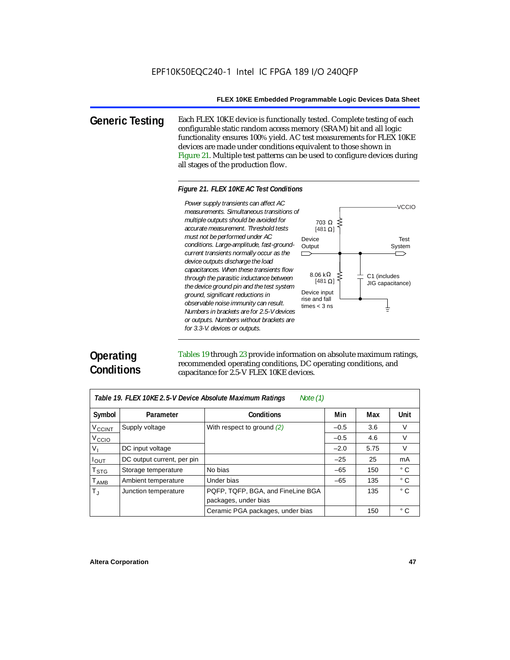**Generic Testing** Each FLEX 10KE device is functionally tested. Complete testing of each configurable static random access memory (SRAM) bit and all logic functionality ensures 100% yield. AC test measurements for FLEX 10KE devices are made under conditions equivalent to those shown in Figure 21. Multiple test patterns can be used to configure devices during all stages of the production flow.

#### *Figure 21. FLEX 10KE AC Test Conditions*

*measurements. Simultaneous transitions of multiple outputs should be avoided for accurate measurement. Threshold tests must not be performed under AC conditions. Large-amplitude, fast-groundcurrent transients normally occur as the device outputs discharge the load capacitances. When these transients flow through the parasitic inductance between the device ground pin and the test system ground, significant reductions in observable noise immunity can result. Numbers in brackets are for 2.5-V devices or outputs. Numbers without brackets are for 3.3-V. devices or outputs.*



# **Operating Conditions**

Tables 19 through 23 provide information on absolute maximum ratings, recommended operating conditions, DC operating conditions, and capacitance for 2.5-V FLEX 10KE devices.

| Table 19. FLEX 10KE 2.5-V Device Absolute Maximum Ratings<br>Note $(1)$ |                            |                                   |        |      |              |  |  |
|-------------------------------------------------------------------------|----------------------------|-----------------------------------|--------|------|--------------|--|--|
| Symbol                                                                  | Parameter                  | <b>Conditions</b>                 | Min    | Max  | <b>Unit</b>  |  |  |
| V <sub>CCINT</sub>                                                      | Supply voltage             | With respect to ground $(2)$      | $-0.5$ | 3.6  | $\vee$       |  |  |
| V <sub>CCIO</sub>                                                       |                            |                                   | $-0.5$ | 4.6  | V            |  |  |
| $V_{\parallel}$                                                         | DC input voltage           |                                   | $-2.0$ | 5.75 | $\vee$       |  |  |
| $I_{OUT}$                                                               | DC output current, per pin |                                   | $-25$  | 25   | mA           |  |  |
| $\mathsf{T}_{\textsf{STG}}$                                             | Storage temperature        | No bias                           | $-65$  | 150  | $^{\circ}$ C |  |  |
| $T_{AMB}$                                                               | Ambient temperature        | Under bias                        | $-65$  | 135  | $^{\circ}$ C |  |  |
| $T_{\rm J}$                                                             | Junction temperature       | PQFP, TQFP, BGA, and FineLine BGA |        | 135  | $^{\circ}$ C |  |  |
|                                                                         |                            | packages, under bias              |        |      |              |  |  |
|                                                                         |                            | Ceramic PGA packages, under bias  |        | 150  | $^{\circ}$ C |  |  |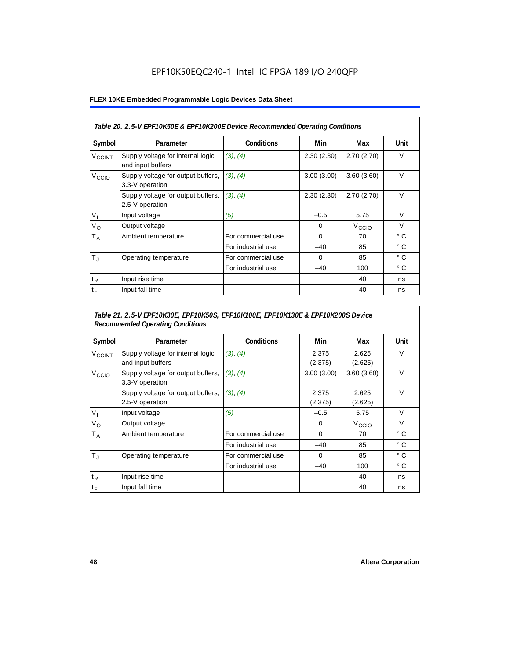## EPF10K50EQC240-1 Intel IC FPGA 189 I/O 240QFP

### **FLEX 10KE Embedded Programmable Logic Devices Data Sheet**

| Table 20. 2.5-V EPF10K50E & EPF10K200E Device Recommended Operating Conditions |                                                        |                    |            |                   |              |  |
|--------------------------------------------------------------------------------|--------------------------------------------------------|--------------------|------------|-------------------|--------------|--|
| Symbol                                                                         | Parameter                                              | <b>Conditions</b>  | Min        | Max               | <b>Unit</b>  |  |
| <b>V<sub>CCINT</sub></b>                                                       | Supply voltage for internal logic<br>and input buffers | (3), (4)           | 2.30(2.30) | 2.70(2.70)        | $\vee$       |  |
| V <sub>CCIO</sub>                                                              | Supply voltage for output buffers,<br>3.3-V operation  | (3), (4)           | 3.00(3.00) | 3.60(3.60)        | $\vee$       |  |
|                                                                                | Supply voltage for output buffers,<br>2.5-V operation  | (3), (4)           | 2.30(2.30) | 2.70(2.70)        | $\vee$       |  |
| $V_{1}$                                                                        | Input voltage                                          | (5)                | $-0.5$     | 5.75              | $\vee$       |  |
| $V_{\rm O}$                                                                    | Output voltage                                         |                    | 0          | V <sub>ccio</sub> | V            |  |
| Т <sub>А</sub>                                                                 | Ambient temperature                                    | For commercial use | $\Omega$   | 70                | $^{\circ}$ C |  |
|                                                                                |                                                        | For industrial use | $-40$      | 85                | $^{\circ}$ C |  |
| $T_{\rm J}$                                                                    | Operating temperature                                  | For commercial use | $\Omega$   | 85                | $^{\circ}$ C |  |
|                                                                                |                                                        | For industrial use | $-40$      | 100               | $^{\circ}$ C |  |
| $t_{R}$                                                                        | Input rise time                                        |                    |            | 40                | ns           |  |
| $t_F$                                                                          | Input fall time                                        |                    |            | 40                | ns           |  |

## *Table 21. 2.5-V EPF10K30E, EPF10K50S, EPF10K100E, EPF10K130E & EPF10K200S Device Recommended Operating Conditions*

| Symbol                   | Parameter                                              | <b>Conditions</b>  | Min              | Max               | Unit         |
|--------------------------|--------------------------------------------------------|--------------------|------------------|-------------------|--------------|
| <b>V<sub>CCINT</sub></b> | Supply voltage for internal logic<br>and input buffers | (3), (4)           | 2.375<br>(2.375) | 2.625<br>(2.625)  | $\vee$       |
| V <sub>CCIO</sub>        | Supply voltage for output buffers,<br>3.3-V operation  | (3), (4)           | 3.00(3.00)       | 3.60(3.60)        | $\vee$       |
|                          | Supply voltage for output buffers,<br>2.5-V operation  | (3), (4)           | 2.375<br>(2.375) | 2.625<br>(2.625)  | $\vee$       |
| $V_{1}$                  | Input voltage                                          | (5)                | $-0.5$           | 5.75              | $\vee$       |
| $V_{\rm O}$              | Output voltage                                         |                    | 0                | V <sub>CCIO</sub> | $\vee$       |
| $T_A$                    | Ambient temperature                                    | For commercial use | 0                | 70                | ° C          |
|                          |                                                        | For industrial use | $-40$            | 85                | $^{\circ}$ C |
| $T_{\rm J}$              | Operating temperature                                  | For commercial use | $\mathbf 0$      | 85                | °C           |
|                          |                                                        | For industrial use | $-40$            | 100               | $^{\circ}$ C |
| $t_{R}$                  | Input rise time                                        |                    |                  | 40                | ns           |
| $t_F$                    | Input fall time                                        |                    |                  | 40                | ns           |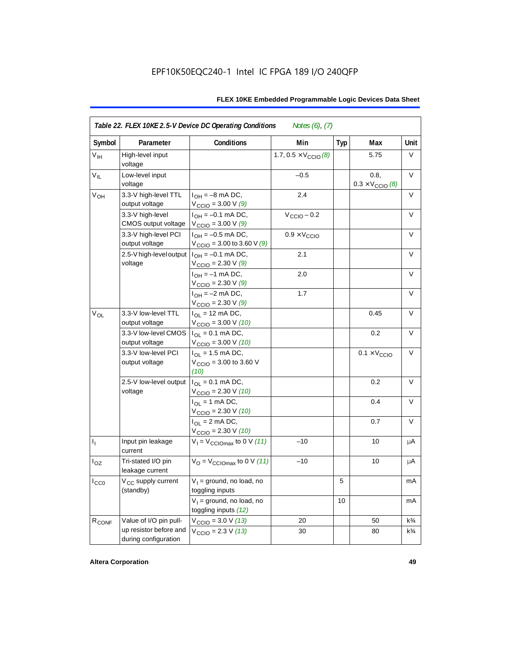| Symbol          | Parameter                                      | <b>Conditions</b>                                                       | Min                                  | <b>Typ</b> | Max                                      | Unit           |
|-----------------|------------------------------------------------|-------------------------------------------------------------------------|--------------------------------------|------------|------------------------------------------|----------------|
| $V_{\text{IH}}$ | High-level input<br>voltage                    |                                                                         | 1.7, $0.5 \times V_{\text{CCIO}}(8)$ |            | 5.75                                     | V              |
| $V_{IL}$        | Low-level input<br>voltage                     |                                                                         | $-0.5$                               |            | 0.8,<br>$0.3 \times V_{\text{CCIO}}$ (8) | V              |
| $V_{OH}$        | 3.3-V high-level TTL<br>output voltage         | $I_{OH} = -8$ mA DC,<br>$V_{\text{CCIO}} = 3.00 V(9)$                   | 2.4                                  |            |                                          | V              |
|                 | 3.3-V high-level<br>CMOS output voltage        | $I_{OH} = -0.1$ mA DC,<br>$V_{\text{CCIO}} = 3.00 V (9)$                | $V_{\text{CCIO}} - 0.2$              |            |                                          | V              |
|                 | 3.3-V high-level PCI<br>output voltage         | $I_{OH} = -0.5$ mA DC,<br>$V_{\text{CCIO}} = 3.00$ to 3.60 V (9)        | $0.9 \times V_{\text{CCIO}}$         |            |                                          | $\vee$         |
|                 | 2.5-V high-level output<br>voltage             | $I_{OH} = -0.1$ mA DC,<br>$V_{\text{CCIO}} = 2.30 \text{ V} (9)$        | 2.1                                  |            |                                          | V              |
|                 |                                                | $I_{OH} = -1$ mA DC,<br>$V_{\text{CCIO}} = 2.30 \text{ V} (9)$          | 2.0                                  |            |                                          | $\vee$         |
|                 |                                                | $I_{OH} = -2$ mA DC,<br>$V_{\text{CCIO}} = 2.30 \text{ V} (9)$          | 1.7                                  |            |                                          | $\vee$         |
| $V_{OL}$        | 3.3-V low-level TTL<br>output voltage          | $I_{\text{OI}} = 12 \text{ mA DC}$ ,<br>$V_{\text{CCIO}} = 3.00 V (10)$ |                                      |            | 0.45                                     | $\vee$         |
|                 | 3.3-V low-level CMOS<br>output voltage         | $I_{OL} = 0.1$ mA DC,<br>$V_{\text{CCIO}} = 3.00 \text{ V} (10)$        |                                      |            | 0.2                                      | $\vee$         |
|                 | 3.3-V low-level PCI<br>output voltage          | $I_{OL}$ = 1.5 mA DC,<br>$V_{\text{CCIO}} = 3.00$ to 3.60 V<br>(10)     |                                      |            | $0.1 \times V_{\text{CCIO}}$             | V              |
|                 | 2.5-V low-level output<br>voltage              | $I_{OL} = 0.1$ mA DC,<br>$V_{\text{CCIO}} = 2.30 V (10)$                |                                      |            | 0.2                                      | $\vee$         |
|                 |                                                | $I_{\Omega}$ = 1 mA DC,<br>$V_{\text{CCIO}} = 2.30 V (10)$              |                                      |            | 0.4                                      | V              |
|                 |                                                | $I_{OL}$ = 2 mA DC,<br>$V_{\text{CCIO}} = 2.30 V (10)$                  |                                      |            | 0.7                                      | V              |
| $I_1$           | Input pin leakage<br>current                   | $V_1 = V_{\text{CCIOMax}}$ to 0 V (11)                                  | $-10$                                |            | 10                                       | μA             |
| $I_{OZ}$        | Tri-stated I/O pin<br>leakage current          | $V_{\text{O}} = V_{\text{CCIOMax}}$ to 0 V (11)                         | $-10$                                |            | 10                                       | μA             |
| $I_{CC0}$       | V <sub>CC</sub> supply current<br>(standby)    | $V_1$ = ground, no load, no<br>toggling inputs                          |                                      | 5          |                                          | mA             |
|                 |                                                | $V_1$ = ground, no load, no<br>toggling inputs (12)                     |                                      | 10         |                                          | mA             |
| $R_{CONF}$      | Value of I/O pin pull-                         | $V_{\text{CCIO}} = 3.0 V (13)$                                          | 20                                   |            | 50                                       | $k\frac{3}{4}$ |
|                 | up resistor before and<br>during configuration | $V_{\text{CCIO}} = 2.3 V (13)$                                          | 30                                   |            | 80                                       | $k\frac{3}{4}$ |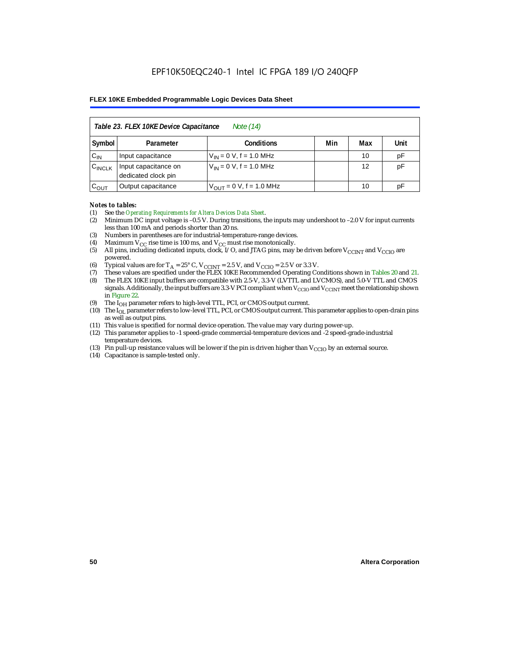|                    | Table 23. FLEX 10KE Device Capacitance<br>Note (14) |                              |     |     |      |  |  |
|--------------------|-----------------------------------------------------|------------------------------|-----|-----|------|--|--|
| Symbol             | Parameter                                           | <b>Conditions</b>            | Min | Max | Unit |  |  |
| $C_{IN}$           | Input capacitance                                   | $V_{IN} = 0 V$ , f = 1.0 MHz |     | 10  | pF   |  |  |
| $C_{\text{INCLK}}$ | Input capacitance on<br>dedicated clock pin         | $V_{IN} = 0 V$ , f = 1.0 MHz |     | 12  | pF   |  |  |
| $C_{OUT}$          | Output capacitance                                  | $V_{OUT} = 0 V, f = 1.0 MHz$ |     | 10  | рF   |  |  |

#### *Notes to tables:*

- (1) See the *Operating Requirements for Altera Devices Data Sheet*.
- (2) Minimum DC input voltage is –0.5 V. During transitions, the inputs may undershoot to –2.0 V for input currents less than 100 mA and periods shorter than 20 ns.
- (3) Numbers in parentheses are for industrial-temperature-range devices.
- (4) Maximum  $V_{CC}$  rise time is 100 ms, and  $V_{CC}$  must rise monotonically.<br>(5) All pins, including dedicated inputs, clock, I/O, and JTAG pins, may
- All pins, including dedicated inputs, clock, I/O, and JTAG pins, may be driven before  $V_{CCTNT}$  and  $V_{CCTO}$  are powered.
- (6) Typical values are for  $T_A = 25^\circ$  C,  $V_{CClNT} = 2.5$  V, and  $V_{CClO} = 2.5$  V or 3.3 V.<br>(7) These values are specified under the FLEX 10KE Recommended Operating Co
- (7) These values are specified under the FLEX 10KE Recommended Operating Conditions shown in Tables 20 and 21.<br>(8) The FLEX 10KE input buffers are compatible with 2.5-V. 3.3-V (LVTTL and LVCMOS), and 5.0-V TTL and CMOS (8) The FLEX 10KE input buffers are compatible with 2.5-V, 3.3-V (LVTTL and LVCMOS), and 5.0-V TTL and CMOS
- signals. Additionally, the input buffers are 3.3-V PCI compliant when  $V_{\rm CCD}$  and  $V_{\rm CCINT}$  meet the relationship shown in Figure 22.
- (9) The  $I<sub>OH</sub>$  parameter refers to high-level TTL, PCI, or CMOS output current.
- (10) The IOL parameter refers to low-level TTL, PCI, or CMOS output current. This parameter applies to open-drain pins as well as output pins.
- (11) This value is specified for normal device operation. The value may vary during power-up.
- (12) This parameter applies to -1 speed-grade commercial-temperature devices and -2 speed-grade-industrial temperature devices.
- (13) Pin pull-up resistance values will be lower if the pin is driven higher than  $V_{CCIO}$  by an external source.
- (14) Capacitance is sample-tested only.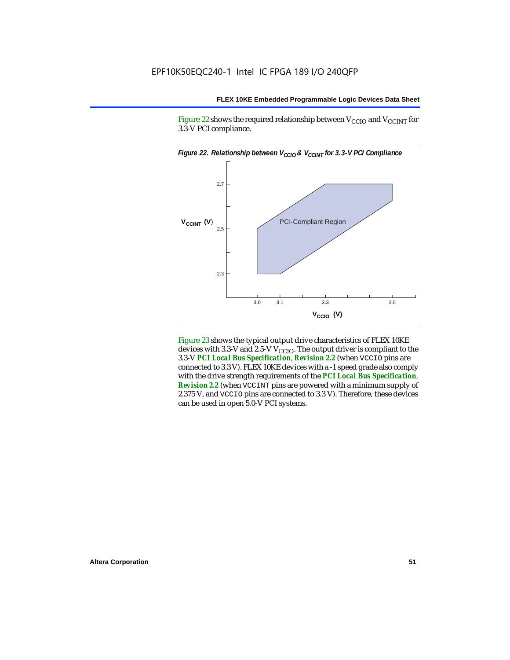Figure 22 shows the required relationship between  $V_{\text{CCIO}}$  and  $V_{\text{CCINT}}$  for 3.3-V PCI compliance.



Figure 23 shows the typical output drive characteristics of FLEX 10KE devices with 3.3-V and 2.5-V  $V_{\text{CCIO}}$ . The output driver is compliant to the 3.3-V *PCI Local Bus Specification*, *Revision 2.2* (when VCCIO pins are connected to 3.3 V). FLEX 10KE devices with a -1 speed grade also comply with the drive strength requirements of the *PCI Local Bus Specification*, *Revision 2.2* (when VCCINT pins are powered with a minimum supply of 2.375 V, and VCCIO pins are connected to 3.3 V). Therefore, these devices can be used in open 5.0-V PCI systems.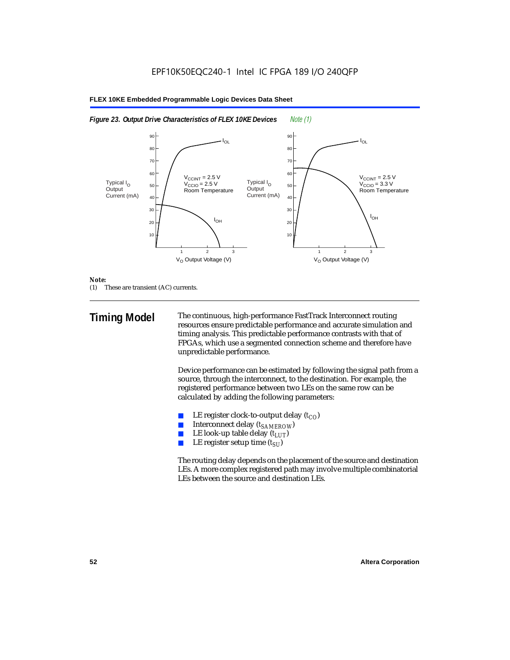



#### *Note:*

(1) These are transient (AC) currents.

**Timing Model** The continuous, high-performance FastTrack Interconnect routing resources ensure predictable performance and accurate simulation and timing analysis. This predictable performance contrasts with that of FPGAs, which use a segmented connection scheme and therefore have unpredictable performance.

> Device performance can be estimated by following the signal path from a source, through the interconnect, to the destination. For example, the registered performance between two LEs on the same row can be calculated by adding the following parameters:

- LE register clock-to-output delay  $(t_{CO})$
- **■** Interconnect delay  $(t_{SAMEROW})$ <br> **■** I.E look-up table delay  $(t_{LUT})$
- LE look-up table delay  $(t_{LUT})$
- LE register setup time  $(t_{SI})$

The routing delay depends on the placement of the source and destination LEs. A more complex registered path may involve multiple combinatorial LEs between the source and destination LEs.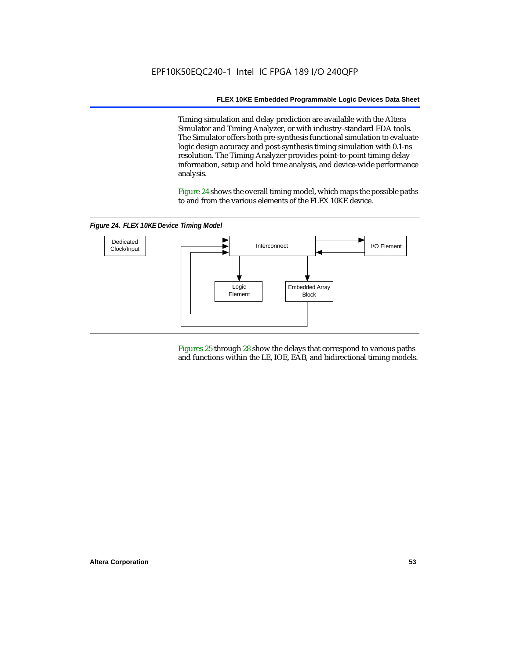Timing simulation and delay prediction are available with the Altera Simulator and Timing Analyzer, or with industry-standard EDA tools. The Simulator offers both pre-synthesis functional simulation to evaluate logic design accuracy and post-synthesis timing simulation with 0.1-ns resolution. The Timing Analyzer provides point-to-point timing delay information, setup and hold time analysis, and device-wide performance analysis.

Figure 24 shows the overall timing model, which maps the possible paths to and from the various elements of the FLEX 10KE device.

*Figure 24. FLEX 10KE Device Timing Model*



Figures 25 through 28 show the delays that correspond to various paths and functions within the LE, IOE, EAB, and bidirectional timing models.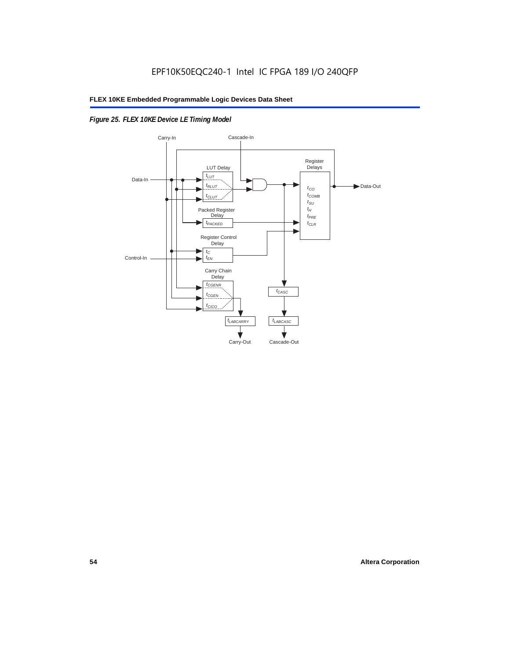## *Figure 25. FLEX 10KE Device LE Timing Model*

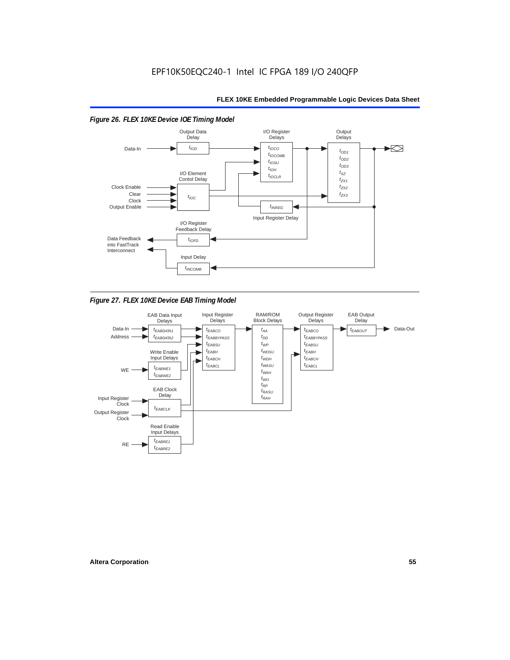#### *Figure 26. FLEX 10KE Device IOE Timing Model* Output Data I/O Register **Output Delays** Delays **Delay**  $t_{\text{IOD}}$  $t_{IOCO}$  $\blacktriangleright$ Data-In  $t_{OD1}$  $t_{IOCOMB}$  $t_{OD2}$  $t_{IOSU}$  $t_{OD3}$  $t_{IOH}$ I/O Element  $t_{\chi z}$  $t_{IOCLR}$ Contol Delay  $t_{ZX1}$ Clock Enable  $t_{ZX2}$ Clear  $t_{7X3}$  $t_{IOC}$ Clock Output Enable  $t_{INREG}$ Input Register Delay I/O Register Feedback Delay Data Feedback  $t_{IOFD}$ into FastTrack Interconnect Input Delay  $t_{INCOMB}$

*Figure 27. FLEX 10KE Device EAB Timing Model*

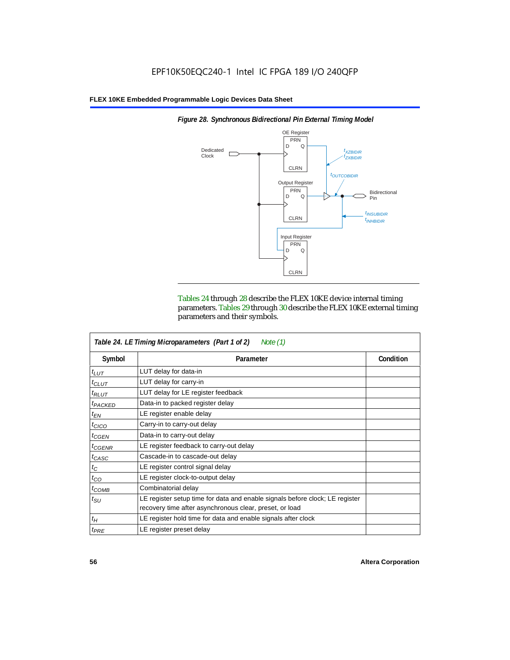

*Figure 28. Synchronous Bidirectional Pin External Timing Model*

Tables 24 through 28 describe the FLEX 10KE device internal timing parameters. Tables 29 through 30 describe the FLEX 10KE external timing parameters and their symbols.

|                     | Table 24. LE Timing Microparameters (Part 1 of 2)<br>Note $(1)$                                                                         |           |
|---------------------|-----------------------------------------------------------------------------------------------------------------------------------------|-----------|
| Symbol              | Parameter                                                                                                                               | Condition |
| $t_{LUT}$           | LUT delay for data-in                                                                                                                   |           |
| $t_{CLUT}$          | LUT delay for carry-in                                                                                                                  |           |
| $t_{RLUT}$          | LUT delay for LE register feedback                                                                                                      |           |
| <sup>t</sup> PACKED | Data-in to packed register delay                                                                                                        |           |
| $t_{EN}$            | LE register enable delay                                                                                                                |           |
| $t_{CICO}$          | Carry-in to carry-out delay                                                                                                             |           |
| $t_{GEN}$           | Data-in to carry-out delay                                                                                                              |           |
| ${}^t$ CGENR        | LE register feedback to carry-out delay                                                                                                 |           |
| $t_{CASC}$          | Cascade-in to cascade-out delay                                                                                                         |           |
| $t_C$               | LE register control signal delay                                                                                                        |           |
| $t_{CO}$            | LE register clock-to-output delay                                                                                                       |           |
| $t_{COMB}$          | Combinatorial delay                                                                                                                     |           |
| $t_{\rm SU}$        | LE register setup time for data and enable signals before clock; LE register<br>recovery time after asynchronous clear, preset, or load |           |
| $t_H$               | LE register hold time for data and enable signals after clock                                                                           |           |
| $t_{PRE}$           | LE register preset delay                                                                                                                |           |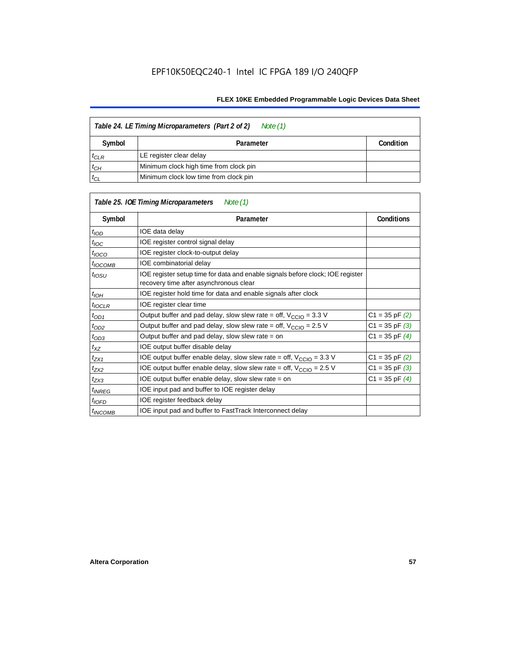| Table 24. LE Timing Microparameters (Part 2 of 2)<br>Note (1) |                                        |           |  |  |
|---------------------------------------------------------------|----------------------------------------|-----------|--|--|
| Symbol                                                        | Parameter                              | Condition |  |  |
| $t_{CLR}$                                                     | LE register clear delay                |           |  |  |
| $t_{CH}$                                                      | Minimum clock high time from clock pin |           |  |  |
| $t_{CL}$                                                      | Minimum clock low time from clock pin  |           |  |  |

|                     | Table 25. IOE Timing Microparameters<br>Note (1)                                                                         |                    |
|---------------------|--------------------------------------------------------------------------------------------------------------------------|--------------------|
| Symbol              | Parameter                                                                                                                | <b>Conditions</b>  |
| $t_{\mathit{IOD}}$  | IOE data delay                                                                                                           |                    |
| $t_{\text{IOC}}$    | IOE register control signal delay                                                                                        |                    |
| $t_{\text{IOCO}}$   | IOE register clock-to-output delay                                                                                       |                    |
| $t_{IOCOMB}$        | IOE combinatorial delay                                                                                                  |                    |
| $t_{IOSU}$          | IOE register setup time for data and enable signals before clock; IOE register<br>recovery time after asynchronous clear |                    |
| $t_{IOH}$           | IOE register hold time for data and enable signals after clock                                                           |                    |
| $t_{IOCLR}$         | IOE register clear time                                                                                                  |                    |
| $t_{OD1}$           | Output buffer and pad delay, slow slew rate = off, $V_{\text{CCIO}} = 3.3$ V                                             | $C1 = 35$ pF $(2)$ |
| $t_{OD2}$           | Output buffer and pad delay, slow slew rate = off, $V_{\text{CCIO}} = 2.5$ V                                             | $C1 = 35$ pF $(3)$ |
| $t_{OD3}$           | Output buffer and pad delay, slow slew rate $=$ on                                                                       | $C1 = 35$ pF $(4)$ |
| $t_{XZ}$            | IOE output buffer disable delay                                                                                          |                    |
| $t_{ZX1}$           | IOE output buffer enable delay, slow slew rate = off, $V_{\text{CCIO}} = 3.3 \text{ V}$                                  | $C1 = 35$ pF $(2)$ |
| t <sub>ZX2</sub>    | IOE output buffer enable delay, slow slew rate = off, $V_{\text{CCIO}} = 2.5 V$                                          | $C1 = 35$ pF $(3)$ |
| $t_{ZX3}$           | IOE output buffer enable delay, slow slew rate $=$ on                                                                    | $C1 = 35$ pF $(4)$ |
| <sup>t</sup> INREG  | IOE input pad and buffer to IOE register delay                                                                           |                    |
| $t_{IOFD}$          | IOE register feedback delay                                                                                              |                    |
| <sup>t</sup> INCOMB | IOE input pad and buffer to FastTrack Interconnect delay                                                                 |                    |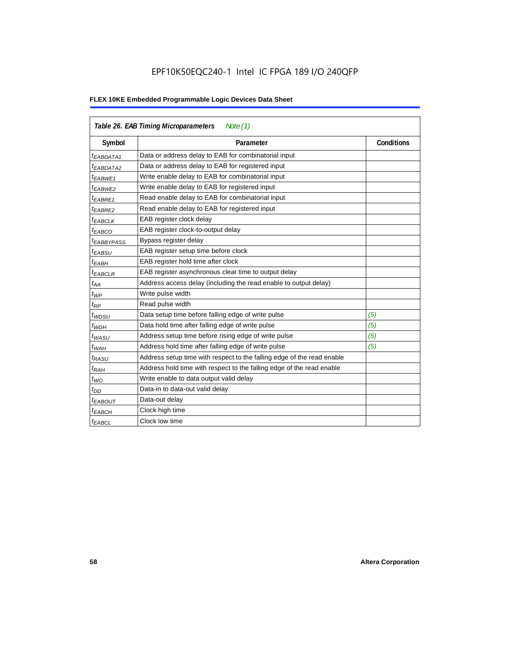|                        | Table 26. EAB Timing Microparameters<br>Note $(1)$                     |                   |  |  |  |  |
|------------------------|------------------------------------------------------------------------|-------------------|--|--|--|--|
| Symbol                 | Parameter                                                              | <b>Conditions</b> |  |  |  |  |
| $t_{EABDATA1}$         | Data or address delay to EAB for combinatorial input                   |                   |  |  |  |  |
| <sup>t</sup> EABDATA2  | Data or address delay to EAB for registered input                      |                   |  |  |  |  |
| t <sub>EABWE1</sub>    | Write enable delay to EAB for combinatorial input                      |                   |  |  |  |  |
| <sup>t</sup> EABWE2    | Write enable delay to EAB for registered input                         |                   |  |  |  |  |
| <sup>t</sup> EABRE1    | Read enable delay to EAB for combinatorial input                       |                   |  |  |  |  |
| t <sub>EABRE2</sub>    | Read enable delay to EAB for registered input                          |                   |  |  |  |  |
| $t_{EABCLK}$           | EAB register clock delay                                               |                   |  |  |  |  |
| $t_{EABCO}$            | EAB register clock-to-output delay                                     |                   |  |  |  |  |
| <sup>t</sup> EABBYPASS | Bypass register delay                                                  |                   |  |  |  |  |
| t <sub>EABSU</sub>     | EAB register setup time before clock                                   |                   |  |  |  |  |
| t <sub>EABH</sub>      | EAB register hold time after clock                                     |                   |  |  |  |  |
| <sup>t</sup> EABCLR    | EAB register asynchronous clear time to output delay                   |                   |  |  |  |  |
| $t_{AA}$               | Address access delay (including the read enable to output delay)       |                   |  |  |  |  |
| $t_{WP}$               | Write pulse width                                                      |                   |  |  |  |  |
| $t_{RP}$               | Read pulse width                                                       |                   |  |  |  |  |
| $t_{WDSU}$             | Data setup time before falling edge of write pulse                     | (5)               |  |  |  |  |
| $t_{WDH}$              | Data hold time after falling edge of write pulse                       | (5)               |  |  |  |  |
| $t_{WASU}$             | Address setup time before rising edge of write pulse                   | (5)               |  |  |  |  |
| $t_{WAH}$              | Address hold time after falling edge of write pulse                    | (5)               |  |  |  |  |
| t <sub>RASU</sub>      | Address setup time with respect to the falling edge of the read enable |                   |  |  |  |  |
| $t_{RAH}$              | Address hold time with respect to the falling edge of the read enable  |                   |  |  |  |  |
| $t_{WO}$               | Write enable to data output valid delay                                |                   |  |  |  |  |
| $t_{DD}$               | Data-in to data-out valid delay                                        |                   |  |  |  |  |
| <sup>t</sup> EABOUT    | Data-out delay                                                         |                   |  |  |  |  |
| <sup>t</sup> EABCH     | Clock high time                                                        |                   |  |  |  |  |
| <sup>t</sup> EABCL     | Clock low time                                                         |                   |  |  |  |  |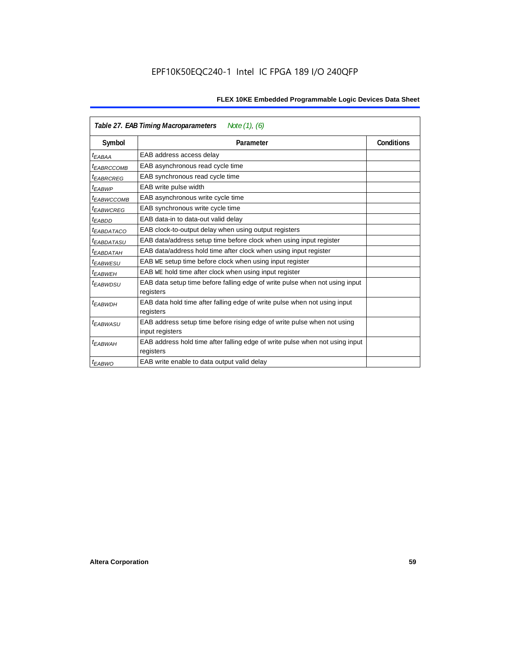|                        | Table 27. EAB Timing Macroparameters<br>Note (1), (6)                                     |                   |
|------------------------|-------------------------------------------------------------------------------------------|-------------------|
| Symbol                 | Parameter                                                                                 | <b>Conditions</b> |
| <sup>t</sup> EABAA     | EAB address access delay                                                                  |                   |
| <sup>t</sup> EABRCCOMB | EAB asynchronous read cycle time                                                          |                   |
| <sup>t</sup> EABRCREG  | EAB synchronous read cycle time                                                           |                   |
| <sup>t</sup> EABWP     | EAB write pulse width                                                                     |                   |
| <sup>t</sup> ЕАВWССОМВ | EAB asynchronous write cycle time                                                         |                   |
| <sup>t</sup> EABWCREG  | EAB synchronous write cycle time                                                          |                   |
| t <sub>EABDD</sub>     | EAB data-in to data-out valid delay                                                       |                   |
| <sup>t</sup> EABDATACO | EAB clock-to-output delay when using output registers                                     |                   |
| <sup>t</sup> EABDATASU | EAB data/address setup time before clock when using input register                        |                   |
| <sup>t</sup> EABDATAH  | EAB data/address hold time after clock when using input register                          |                   |
| <sup>t</sup> EABWESU   | EAB WE setup time before clock when using input register                                  |                   |
| t <sub>FARWFH</sub>    | EAB WE hold time after clock when using input register                                    |                   |
| t <sub>EABWDSU</sub>   | EAB data setup time before falling edge of write pulse when not using input               |                   |
|                        | registers                                                                                 |                   |
| <sup>t</sup> EABWDH    | EAB data hold time after falling edge of write pulse when not using input                 |                   |
|                        | registers                                                                                 |                   |
| <sup>t</sup> EABWASU   | EAB address setup time before rising edge of write pulse when not using                   |                   |
|                        | input registers                                                                           |                   |
| <sup>t</sup> EABWAH    | EAB address hold time after falling edge of write pulse when not using input<br>registers |                   |
| <sup>t</sup> EABWO     | EAB write enable to data output valid delay                                               |                   |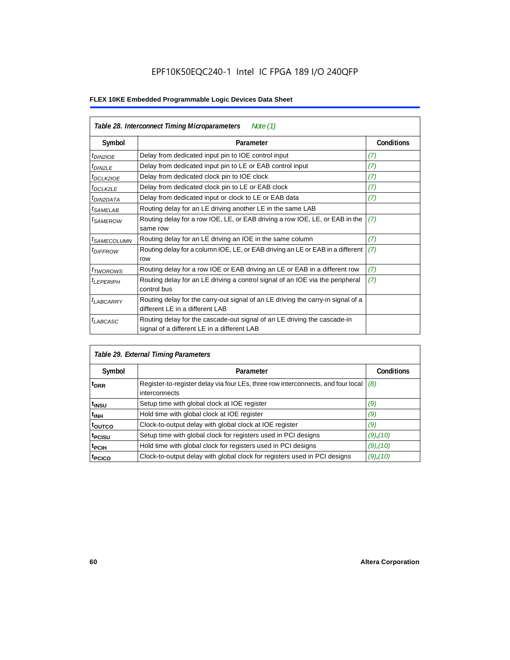| Table 28. Interconnect Timing Microparameters<br>Note $(1)$ |                                                                                                                         |                   |  |  |  |
|-------------------------------------------------------------|-------------------------------------------------------------------------------------------------------------------------|-------------------|--|--|--|
| Symbol                                                      | Parameter                                                                                                               | <b>Conditions</b> |  |  |  |
| $tD$ IN2IOE                                                 | Delay from dedicated input pin to IOE control input                                                                     | (7)               |  |  |  |
| $t_{DIN2LE}$                                                | Delay from dedicated input pin to LE or EAB control input                                                               | (7)               |  |  |  |
| t <sub>DCLK2IOE</sub>                                       | Delay from dedicated clock pin to IOE clock                                                                             | (7)               |  |  |  |
| $t_{DCLK2LE}$                                               | Delay from dedicated clock pin to LE or EAB clock                                                                       | (7)               |  |  |  |
| <sup>t</sup> DIN2DATA                                       | Delay from dedicated input or clock to LE or EAB data                                                                   | (7)               |  |  |  |
| <sup>t</sup> SAMELAB                                        | Routing delay for an LE driving another LE in the same LAB                                                              |                   |  |  |  |
| <i>t</i> SAMEROW                                            | Routing delay for a row IOE, LE, or EAB driving a row IOE, LE, or EAB in the<br>same row                                | (7)               |  |  |  |
| <sup>t</sup> SAMECOLUMN                                     | Routing delay for an LE driving an IOE in the same column                                                               | (7)               |  |  |  |
| <i>t<sub>DIFFROW</sub></i>                                  | Routing delay for a column IOE, LE, or EAB driving an LE or EAB in a different<br>row                                   | (7)               |  |  |  |
| <i>t</i> <sub>TWOROWS</sub>                                 | Routing delay for a row IOE or EAB driving an LE or EAB in a different row                                              | (7)               |  |  |  |
| <sup>t</sup> LEPERIPH                                       | Routing delay for an LE driving a control signal of an IOE via the peripheral<br>control bus                            | (7)               |  |  |  |
| t <sub>LABCARRY</sub>                                       | Routing delay for the carry-out signal of an LE driving the carry-in signal of a<br>different LE in a different LAB     |                   |  |  |  |
| $t_{LABCASC}$                                               | Routing delay for the cascade-out signal of an LE driving the cascade-in<br>signal of a different LE in a different LAB |                   |  |  |  |

|                    | Table 29. External Timing Parameters                                                              |                   |  |  |  |  |
|--------------------|---------------------------------------------------------------------------------------------------|-------------------|--|--|--|--|
| Symbol             | Parameter                                                                                         | <b>Conditions</b> |  |  |  |  |
| <sup>t</sup> DRR   | Register-to-register delay via four LEs, three row interconnects, and four local<br>interconnects | (8)               |  |  |  |  |
| t <sub>insu</sub>  | Setup time with global clock at IOE register                                                      | (9)               |  |  |  |  |
| $t_{\rm INH}$      | Hold time with global clock at IOE register                                                       | (9)               |  |  |  |  |
| toutco             | Clock-to-output delay with global clock at IOE register                                           | (9)               |  |  |  |  |
| t <sub>PCISU</sub> | Setup time with global clock for registers used in PCI designs                                    | $(9)$ , $(10)$    |  |  |  |  |
| <sup>t</sup> PCIH  | Hold time with global clock for registers used in PCI designs                                     | $(9)$ , $(10)$    |  |  |  |  |
| <sup>T</sup> PCICO | Clock-to-output delay with global clock for registers used in PCI designs                         | $(9)$ , $(10)$    |  |  |  |  |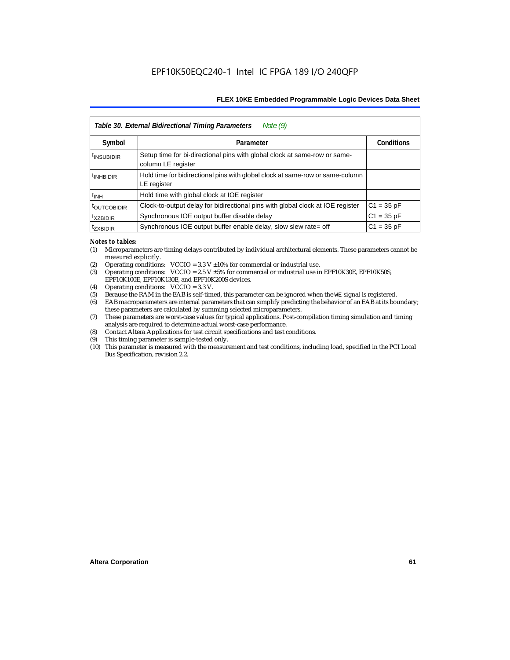|                           | Table 30. External Bidirectional Timing Parameters<br>Note $(9)$                                |                   |
|---------------------------|-------------------------------------------------------------------------------------------------|-------------------|
| Symbol                    | Parameter                                                                                       | <b>Conditions</b> |
| <sup>t</sup> INSUBIDIR    | Setup time for bi-directional pins with global clock at same-row or same-<br>column LE register |                   |
| <sup>t</sup> INHBIDIR     | Hold time for bidirectional pins with global clock at same-row or same-column<br>LE register    |                   |
| $t_{INH}$                 | Hold time with global clock at IOE register                                                     |                   |
| <b><i>LOUTCOBIDIR</i></b> | Clock-to-output delay for bidirectional pins with global clock at IOE register                  | $C1 = 35 pF$      |
| <sup>t</sup> xzbidir      | Synchronous IOE output buffer disable delay                                                     | $C1 = 35 pF$      |
| <sup>T</sup> ZXBIDIR      | Synchronous IOE output buffer enable delay, slow slew rate= off                                 | $C1 = 35 pF$      |

#### *Notes to tables:*

- (1) Microparameters are timing delays contributed by individual architectural elements. These parameters cannot be measured explicitly.
- (2) Operating conditions:  $VCCIO = 3.3 V ±10%$  for commercial or industrial use.<br>(3) Operating conditions:  $VCCIO = 2.5 V ±5%$  for commercial or industrial use in
- Operating conditions: VCCIO =  $2.5$  V  $\pm 5$ % for commercial or industrial use in EPF10K30E, EPF10K50S, EPF10K100E, EPF10K130E, and EPF10K200S devices.
- (4) Operating conditions: VCCIO = 3.3 V.
- (5) Because the RAM in the EAB is self-timed, this parameter can be ignored when the WE signal is registered.<br>(6) EAB macroparameters are internal parameters that can simplify predicting the behavior of an EAB at its bor
- EAB macroparameters are internal parameters that can simplify predicting the behavior of an EAB at its boundary; these parameters are calculated by summing selected microparameters.
- (7) These parameters are worst-case values for typical applications. Post-compilation timing simulation and timing analysis are required to determine actual worst-case performance.
- (8) Contact Altera Applications for test circuit specifications and test conditions.
- (9) This timing parameter is sample-tested only.
- (10) This parameter is measured with the measurement and test conditions, including load, specified in the PCI Local Bus Specification, revision 2.2.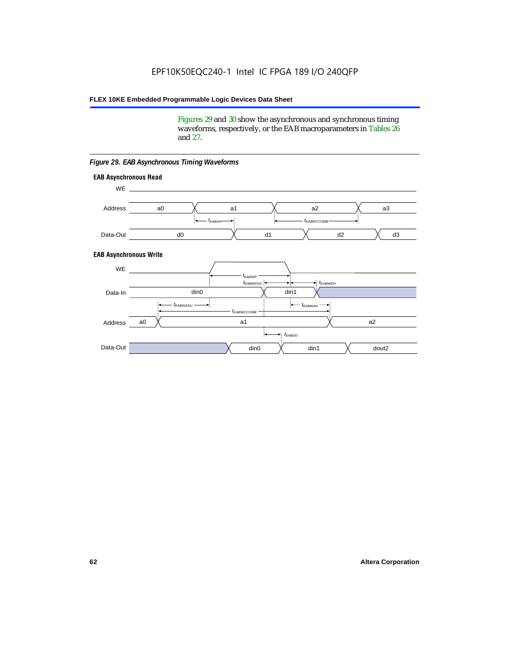Figures 29 and 30 show the asynchronous and synchronous timing waveforms, respectively, or the EAB macroparameters in Tables 26 and 27.

**EAB Asynchronous Write EAB Asynchronous Read** WE. a0 d0 d3  $t_{EABRCCOMB}$ a1 *《*、 a2 *《*、 a3 d2  $t_{FABA}$ d1 Address Data-Out WE a0 din1  $\chi$  dout2  $t_{EABDD}$ a1 a2 din1 din0  $t_{EABWCCOMB}$  $t_{EABWASU}$   $\longrightarrow$  $t_{EABWDSU}$  +  $\longrightarrow$   $t_{EABWDH}$  $t_{EABWP}$ Data-In din0 Address Data-Out

#### *Figure 29. EAB Asynchronous Timing Waveforms*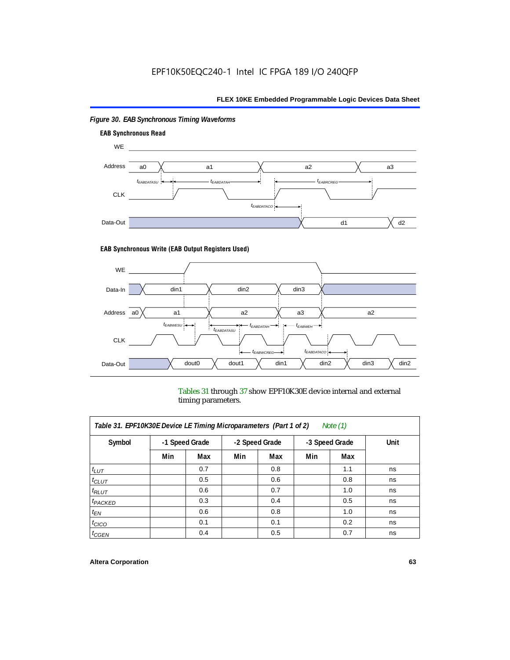

## *Figure 30. EAB Synchronous Timing Waveforms*

### **EAB Synchronous Write (EAB Output Registers Used)**



Tables 31 through 37 show EPF10K30E device internal and external timing parameters.

| Table 31. EPF10K30E Device LE Timing Microparameters (Part 1 of 2)<br>Note $(1)$ |     |                |     |                |     |                |      |
|----------------------------------------------------------------------------------|-----|----------------|-----|----------------|-----|----------------|------|
| Symbol                                                                           |     | -1 Speed Grade |     | -2 Speed Grade |     | -3 Speed Grade | Unit |
|                                                                                  | Min | Max            | Min | Max            | Min | Max            |      |
| $t_{LUT}$                                                                        |     | 0.7            |     | 0.8            |     | 1.1            | ns   |
| $t_{CLUT}$                                                                       |     | 0.5            |     | 0.6            |     | 0.8            | ns   |
| $t_{RLUT}$                                                                       |     | 0.6            |     | 0.7            |     | 1.0            | ns   |
| <sup>t</sup> PACKED                                                              |     | 0.3            |     | 0.4            |     | 0.5            | ns   |
| $t_{EN}$                                                                         |     | 0.6            |     | 0.8            |     | 1.0            | ns   |
| $t_{CICO}$                                                                       |     | 0.1            |     | 0.1            |     | 0.2            | ns   |
| $t_{\text{G}\text{E}\text{N}}$                                                   |     | 0.4            |     | 0.5            |     | 0.7            | ns   |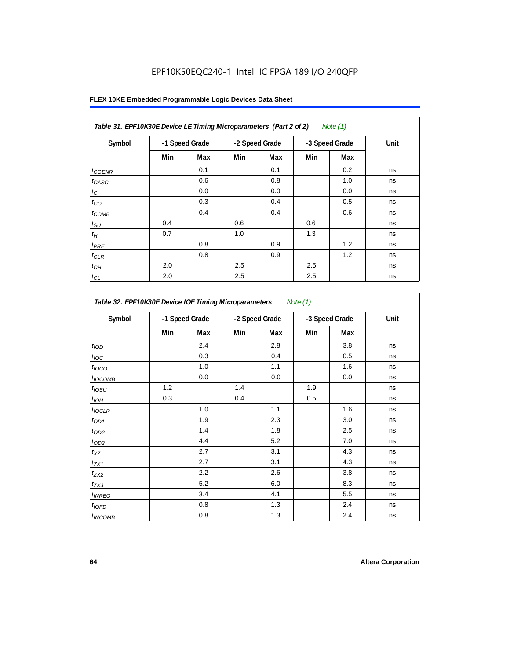|                 | Table 31. EPF10K30E Device LE Timing Microparameters (Part 2 of 2)<br>Note $(1)$ |                |     |                |     |                |      |
|-----------------|----------------------------------------------------------------------------------|----------------|-----|----------------|-----|----------------|------|
| Symbol          |                                                                                  | -1 Speed Grade |     | -2 Speed Grade |     | -3 Speed Grade | Unit |
|                 | Min                                                                              | Max            | Min | Max            | Min | Max            |      |
| $t_{GENR}$      |                                                                                  | 0.1            |     | 0.1            |     | 0.2            | ns   |
| $t_{CASC}$      |                                                                                  | 0.6            |     | 0.8            |     | 1.0            | ns   |
| $t_{\rm C}$     |                                                                                  | 0.0            |     | 0.0            |     | 0.0            | ns   |
| $t_{CO}$        |                                                                                  | 0.3            |     | 0.4            |     | 0.5            | ns   |
| $t_{COMB}$      |                                                                                  | 0.4            |     | 0.4            |     | 0.6            | ns   |
| $t_{\text{SU}}$ | 0.4                                                                              |                | 0.6 |                | 0.6 |                | ns   |
| $t_H\,$         | 0.7                                                                              |                | 1.0 |                | 1.3 |                | ns   |
| $t_{PRE}$       |                                                                                  | 0.8            |     | 0.9            |     | 1.2            | ns   |
| $t_{CLR}$       |                                                                                  | 0.8            |     | 0.9            |     | 1.2            | ns   |
| $t_{CH}$        | 2.0                                                                              |                | 2.5 |                | 2.5 |                | ns   |
| $t_{CL}$        | 2.0                                                                              |                | 2.5 |                | 2.5 |                | ns   |

| Symbol            | -1 Speed Grade |     | -2 Speed Grade |     | -3 Speed Grade |     | Unit |
|-------------------|----------------|-----|----------------|-----|----------------|-----|------|
|                   | Min            | Max | Min            | Max | Min            | Max |      |
| t <sub>IOD</sub>  |                | 2.4 |                | 2.8 |                | 3.8 | ns   |
| $t_{\text{IOC}}$  |                | 0.3 |                | 0.4 |                | 0.5 | ns   |
| t <sub>IOCO</sub> |                | 1.0 |                | 1.1 |                | 1.6 | ns   |
| $t_{IOCOMB}$      |                | 0.0 |                | 0.0 |                | 0.0 | ns   |
| $t_{IOSU}$        | 1.2            |     | 1.4            |     | 1.9            |     | ns   |
| $t_{IOH}$         | 0.3            |     | 0.4            |     | 0.5            |     | ns   |
| $t_{IOCLR}$       |                | 1.0 |                | 1.1 |                | 1.6 | ns   |
| $t_{OD1}$         |                | 1.9 |                | 2.3 |                | 3.0 | ns   |
| $t_{OD2}$         |                | 1.4 |                | 1.8 |                | 2.5 | ns   |
| $t_{OD3}$         |                | 4.4 |                | 5.2 |                | 7.0 | ns   |
| $t_{XZ}$          |                | 2.7 |                | 3.1 |                | 4.3 | ns   |
| $t_{ZX1}$         |                | 2.7 |                | 3.1 |                | 4.3 | ns   |
| $t_{ZX2}$         |                | 2.2 |                | 2.6 |                | 3.8 | ns   |
| $t_{ZX3}$         |                | 5.2 |                | 6.0 |                | 8.3 | ns   |
| $t_{INREG}$       |                | 3.4 |                | 4.1 |                | 5.5 | ns   |
| $t_{IQED}$        |                | 0.8 |                | 1.3 |                | 2.4 | ns   |
| $t_{INCOMB}$      |                | 0.8 |                | 1.3 |                | 2.4 | ns   |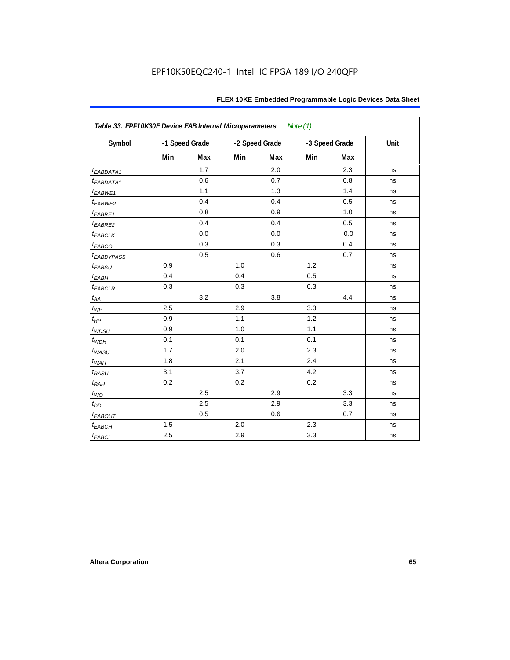| FLEX 10KE Embedded Programmable Logic Devices Data Sheet |  |  |
|----------------------------------------------------------|--|--|
|----------------------------------------------------------|--|--|

| Table 33. EPF10K30E Device EAB Internal Microparameters<br>Note $(1)$ |     |                |     |                |     |                |      |  |  |
|-----------------------------------------------------------------------|-----|----------------|-----|----------------|-----|----------------|------|--|--|
| Symbol                                                                |     | -1 Speed Grade |     | -2 Speed Grade |     | -3 Speed Grade | Unit |  |  |
|                                                                       | Min | <b>Max</b>     | Min | Max            | Min | Max            |      |  |  |
| t <sub>EABDATA1</sub>                                                 |     | 1.7            |     | 2.0            |     | 2.3            | ns   |  |  |
| t <sub>EABDATA1</sub>                                                 |     | 0.6            |     | 0.7            |     | 0.8            | ns   |  |  |
| t <sub>EABWE1</sub>                                                   |     | 1.1            |     | 1.3            |     | 1.4            | ns   |  |  |
| t <sub>EABWE2</sub>                                                   |     | 0.4            |     | 0.4            |     | 0.5            | ns   |  |  |
| $t_{EABRE1}$                                                          |     | 0.8            |     | 0.9            |     | 1.0            | ns   |  |  |
| t <sub>EABRE2</sub>                                                   |     | 0.4            |     | 0.4            |     | 0.5            | ns   |  |  |
| <b><i>EABCLK</i></b>                                                  |     | 0.0            |     | 0.0            |     | 0.0            | ns   |  |  |
| t <sub>EABCO</sub>                                                    |     | 0.3            |     | 0.3            |     | 0.4            | ns   |  |  |
| <b><i>EABBYPASS</i></b>                                               |     | 0.5            |     | 0.6            |     | 0.7            | ns   |  |  |
| $t_{EABSU}$                                                           | 0.9 |                | 1.0 |                | 1.2 |                | ns   |  |  |
| $t_{EABH}$                                                            | 0.4 |                | 0.4 |                | 0.5 |                | ns   |  |  |
| $t_{EABCLR}$                                                          | 0.3 |                | 0.3 |                | 0.3 |                | ns   |  |  |
| $t_{AA}$                                                              |     | 3.2            |     | 3.8            |     | 4.4            | ns   |  |  |
| $t_{WP}$                                                              | 2.5 |                | 2.9 |                | 3.3 |                | ns   |  |  |
| $t_{RP}$                                                              | 0.9 |                | 1.1 |                | 1.2 |                | ns   |  |  |
| $t_{WDSU}$                                                            | 0.9 |                | 1.0 |                | 1.1 |                | ns   |  |  |
| $t_{WDH}$                                                             | 0.1 |                | 0.1 |                | 0.1 |                | ns   |  |  |
| $t_{WASU}$                                                            | 1.7 |                | 2.0 |                | 2.3 |                | ns   |  |  |
| $t_{WAH}$                                                             | 1.8 |                | 2.1 |                | 2.4 |                | ns   |  |  |
| $t_{RASU}$                                                            | 3.1 |                | 3.7 |                | 4.2 |                | ns   |  |  |
| $t_{RAH}$                                                             | 0.2 |                | 0.2 |                | 0.2 |                | ns   |  |  |
| $t_{WO}$                                                              |     | 2.5            |     | 2.9            |     | 3.3            | ns   |  |  |
| $t_{DD}$                                                              |     | 2.5            |     | 2.9            |     | 3.3            | ns   |  |  |
| $t_{EABOUT}$                                                          |     | 0.5            |     | 0.6            |     | 0.7            | ns   |  |  |
| $t_{EABCH}$                                                           | 1.5 |                | 2.0 |                | 2.3 |                | ns   |  |  |
| $t_{EABCL}$                                                           | 2.5 |                | 2.9 |                | 3.3 |                | ns   |  |  |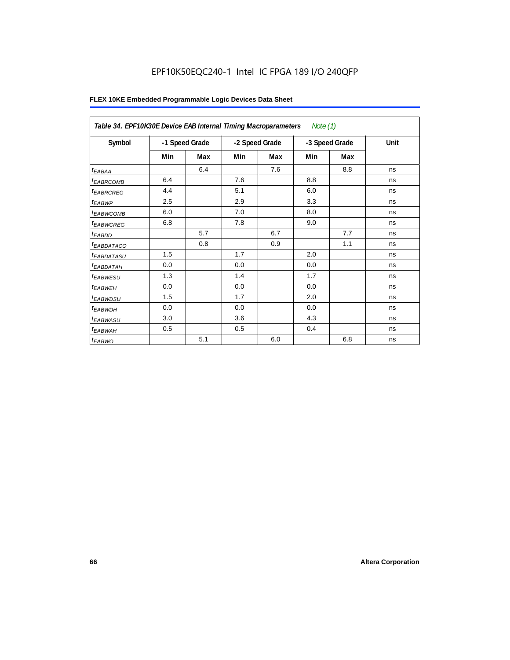## EPF10K50EQC240-1 Intel IC FPGA 189 I/O 240QFP

| Table 34. EPF10K30E Device EAB Internal Timing Macroparameters<br>Note $(1)$ |     |                |     |                |     |                |      |  |  |
|------------------------------------------------------------------------------|-----|----------------|-----|----------------|-----|----------------|------|--|--|
| Symbol                                                                       |     | -1 Speed Grade |     | -2 Speed Grade |     | -3 Speed Grade | Unit |  |  |
|                                                                              | Min | Max            | Min | Max            | Min | Max            |      |  |  |
| $t_{EABA}$                                                                   |     | 6.4            |     | 7.6            |     | 8.8            | ns   |  |  |
| <sup>t</sup> EABRCOMB                                                        | 6.4 |                | 7.6 |                | 8.8 |                | ns   |  |  |
| <sup>t</sup> EABRCREG                                                        | 4.4 |                | 5.1 |                | 6.0 |                | ns   |  |  |
| $t_{EABWP}$                                                                  | 2.5 |                | 2.9 |                | 3.3 |                | ns   |  |  |
| <sup>t</sup> ЕАВWСОМВ                                                        | 6.0 |                | 7.0 |                | 8.0 |                | ns   |  |  |
| <sup>t</sup> EABWCREG                                                        | 6.8 |                | 7.8 |                | 9.0 |                | ns   |  |  |
| <sup>t</sup> EABDD                                                           |     | 5.7            |     | 6.7            |     | 7.7            | ns   |  |  |
| <sup>t</sup> EABDATACO                                                       |     | 0.8            |     | 0.9            |     | 1.1            | ns   |  |  |
| <sup>t</sup> EABDATASU                                                       | 1.5 |                | 1.7 |                | 2.0 |                | ns   |  |  |
| <sup>t</sup> EABDATAH                                                        | 0.0 |                | 0.0 |                | 0.0 |                | ns   |  |  |
| <sup>t</sup> EABWESU                                                         | 1.3 |                | 1.4 |                | 1.7 |                | ns   |  |  |
| <sup>t</sup> EABWEH                                                          | 0.0 |                | 0.0 |                | 0.0 |                | ns   |  |  |
| t <sub>EABWDSU</sub>                                                         | 1.5 |                | 1.7 |                | 2.0 |                | ns   |  |  |
| <sup>t</sup> EABWDH                                                          | 0.0 |                | 0.0 |                | 0.0 |                | ns   |  |  |
| t <sub>EABWASU</sub>                                                         | 3.0 |                | 3.6 |                | 4.3 |                | ns   |  |  |
| <sup>t</sup> EABWAH                                                          | 0.5 |                | 0.5 |                | 0.4 |                | ns   |  |  |
| $t_{EABWO}$                                                                  |     | 5.1            |     | 6.0            |     | 6.8            | ns   |  |  |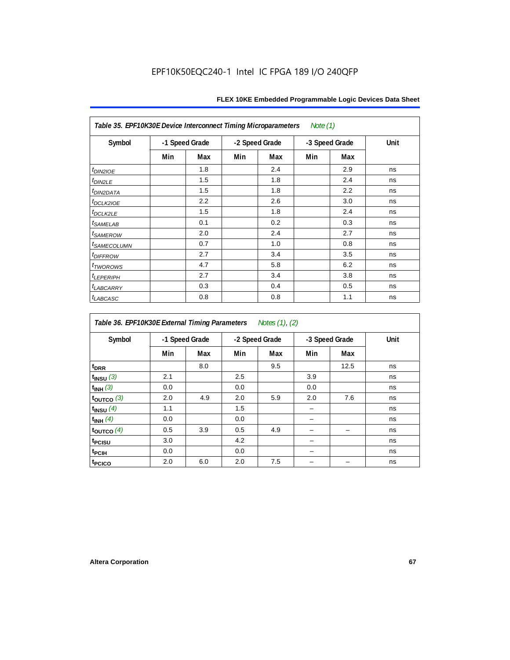| Table 35. EPF10K30E Device Interconnect Timing Microparameters<br>Note $(1)$ |     |                |     |                |     |                |      |  |  |  |
|------------------------------------------------------------------------------|-----|----------------|-----|----------------|-----|----------------|------|--|--|--|
| Symbol                                                                       |     | -1 Speed Grade |     | -2 Speed Grade |     | -3 Speed Grade | Unit |  |  |  |
|                                                                              | Min | Max            | Min | Max            | Min | Max            |      |  |  |  |
| $tD$ IN2IOE                                                                  |     | 1.8            |     | 2.4            |     | 2.9            | ns   |  |  |  |
| t <sub>DIN2LE</sub>                                                          |     | 1.5            |     | 1.8            |     | 2.4            | ns   |  |  |  |
| <sup>t</sup> DIN2DATA                                                        |     | 1.5            |     | 1.8            |     | 2.2            | ns   |  |  |  |
| t <sub>DCLK2IOE</sub>                                                        |     | 2.2            |     | 2.6            |     | 3.0            | ns   |  |  |  |
| $t_{DCLK2LE}$                                                                |     | 1.5            |     | 1.8            |     | 2.4            | ns   |  |  |  |
| <sup>t</sup> SAMELAB                                                         |     | 0.1            |     | 0.2            |     | 0.3            | ns   |  |  |  |
| <i>t<sub>SAMEROW</sub></i>                                                   |     | 2.0            |     | 2.4            |     | 2.7            | ns   |  |  |  |
| <i>t<sub>SAMECOLUMN</sub></i>                                                |     | 0.7            |     | 1.0            |     | 0.8            | ns   |  |  |  |
| t <sub>DIFFROW</sub>                                                         |     | 2.7            |     | 3.4            |     | 3.5            | ns   |  |  |  |
| <i>t</i> <sub>TWOROWS</sub>                                                  |     | 4.7            |     | 5.8            |     | 6.2            | ns   |  |  |  |
| <b><i>LEPERIPH</i></b>                                                       |     | 2.7            |     | 3.4            |     | 3.8            | ns   |  |  |  |
| t <sub>LABCARRY</sub>                                                        |     | 0.3            |     | 0.4            |     | 0.5            | ns   |  |  |  |
| t <sub>LABCASC</sub>                                                         |     | 0.8            |     | 0.8            |     | 1.1            | ns   |  |  |  |

| Table 36. EPF10K30E External Timing Parameters<br>Notes (1), (2) |     |                |     |                |     |                |      |  |  |  |
|------------------------------------------------------------------|-----|----------------|-----|----------------|-----|----------------|------|--|--|--|
| Symbol                                                           |     | -1 Speed Grade |     | -2 Speed Grade |     | -3 Speed Grade | Unit |  |  |  |
|                                                                  | Min | Max            | Min | Max            | Min | Max            |      |  |  |  |
| $t_{DRR}$                                                        |     | 8.0            |     | 9.5            |     | 12.5           | ns   |  |  |  |
| $t_{INSU}$ (3)                                                   | 2.1 |                | 2.5 |                | 3.9 |                | ns   |  |  |  |
| $t_{INH}$ (3)                                                    | 0.0 |                | 0.0 |                | 0.0 |                | ns   |  |  |  |
| $t_{\text{OUTCO}}$ (3)                                           | 2.0 | 4.9            | 2.0 | 5.9            | 2.0 | 7.6            | ns   |  |  |  |
| $t_{INSU}$ (4)                                                   | 1.1 |                | 1.5 |                |     |                | ns   |  |  |  |
| $t_{INH}$ (4)                                                    | 0.0 |                | 0.0 |                |     |                | ns   |  |  |  |
| $t_{\text{OUTCO}}$ (4)                                           | 0.5 | 3.9            | 0.5 | 4.9            |     |                | ns   |  |  |  |
| <sup>t</sup> PCISU                                               | 3.0 |                | 4.2 |                |     |                | ns   |  |  |  |
| t <sub>PCIH</sub>                                                | 0.0 |                | 0.0 |                |     |                | ns   |  |  |  |
| t <sub>PCICO</sub>                                               | 2.0 | 6.0            | 2.0 | 7.5            |     |                | ns   |  |  |  |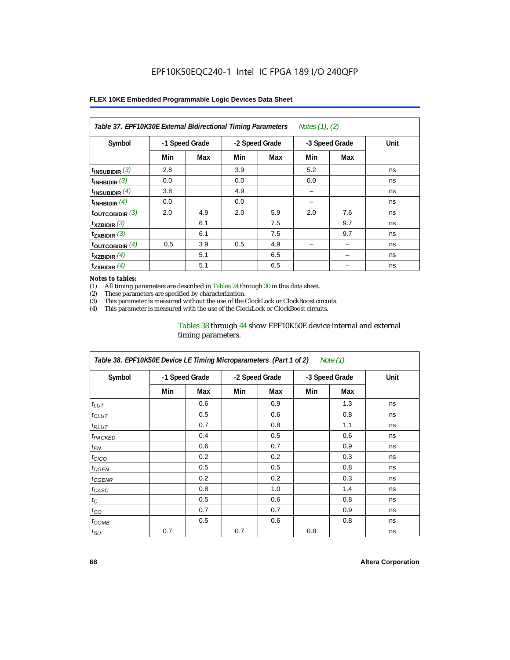| Table 37. EPF10K30E External Bidirectional Timing Parameters<br>Notes (1), (2) |                |     |                |     |     |                |      |  |  |  |
|--------------------------------------------------------------------------------|----------------|-----|----------------|-----|-----|----------------|------|--|--|--|
| Symbol                                                                         | -1 Speed Grade |     | -2 Speed Grade |     |     | -3 Speed Grade | Unit |  |  |  |
|                                                                                | Min            | Max | Min            | Max | Min | Max            |      |  |  |  |
| $t_{INSUBIDIR}$ (3)                                                            | 2.8            |     | 3.9            |     | 5.2 |                | ns   |  |  |  |
| $t_{INHBIDIR}$ (3)                                                             | 0.0            |     | 0.0            |     | 0.0 |                | ns   |  |  |  |
| $t_{INSUBIDIR}(4)$                                                             | 3.8            |     | 4.9            |     | -   |                | ns   |  |  |  |
| $t_{INHBIDIR}(4)$                                                              | 0.0            |     | 0.0            |     |     |                | ns   |  |  |  |
| $t_{\text{OUTCOBIDIR}}$ (3)                                                    | 2.0            | 4.9 | 2.0            | 5.9 | 2.0 | 7.6            | ns   |  |  |  |
| $t_{XZBIDIR}$ (3)                                                              |                | 6.1 |                | 7.5 |     | 9.7            | ns   |  |  |  |
| $t_{ZXBIDIR}$ (3)                                                              |                | 6.1 |                | 7.5 |     | 9.7            | ns   |  |  |  |
| $t_{\text{OUTCOBIDIR}}$ (4)                                                    | 0.5            | 3.9 | 0.5            | 4.9 |     |                | ns   |  |  |  |
| $t_{XZBIDIR}$ (4)                                                              |                | 5.1 |                | 6.5 |     |                | ns   |  |  |  |
| $t_{ZXBIDIR}$ (4)                                                              |                | 5.1 |                | 6.5 |     |                | ns   |  |  |  |

#### *Notes to tables:*

(1) All timing parameters are described in Tables 24 through 30 in this data sheet.<br>(2) These parameters are specified by characterization.

(2) These parameters are specified by characterization.<br>(3) This parameter is measured without the use of the C

This parameter is measured without the use of the ClockLock or ClockBoost circuits.

(4) This parameter is measured with the use of the ClockLock or ClockBoost circuits.

### Tables 38 through 44 show EPF10K50E device internal and external timing parameters.

| Table 38. EPF10K50E Device LE Timing Microparameters (Part 1 of 2)<br>Note (1) |     |                |     |                |                |     |      |  |  |  |
|--------------------------------------------------------------------------------|-----|----------------|-----|----------------|----------------|-----|------|--|--|--|
| Symbol                                                                         |     | -1 Speed Grade |     | -2 Speed Grade | -3 Speed Grade |     | Unit |  |  |  |
|                                                                                | Min | Max            | Min | Max            | Min            | Max |      |  |  |  |
| $t_{LUT}$                                                                      |     | 0.6            |     | 0.9            |                | 1.3 | ns   |  |  |  |
| $t_{CLUT}$                                                                     |     | 0.5            |     | 0.6            |                | 0.8 | ns   |  |  |  |
| $t_{RLUT}$                                                                     |     | 0.7            |     | 0.8            |                | 1.1 | ns   |  |  |  |
| <b><i>t<sub>PACKED</sub></i></b>                                               |     | 0.4            |     | 0.5            |                | 0.6 | ns   |  |  |  |
| $t_{EN}$                                                                       |     | 0.6            |     | 0.7            |                | 0.9 | ns   |  |  |  |
| $t_{CICO}$                                                                     |     | 0.2            |     | 0.2            |                | 0.3 | ns   |  |  |  |
| $t_{GEN}$                                                                      |     | 0.5            |     | 0.5            |                | 0.8 | ns   |  |  |  |
| ${}^{t}$ CGENR                                                                 |     | 0.2            |     | 0.2            |                | 0.3 | ns   |  |  |  |
| t <sub>CASC</sub>                                                              |     | 0.8            |     | 1.0            |                | 1.4 | ns   |  |  |  |
| $t_C$                                                                          |     | 0.5            |     | 0.6            |                | 0.8 | ns   |  |  |  |
| $t_{CO}$                                                                       |     | 0.7            |     | 0.7            |                | 0.9 | ns   |  |  |  |
| $t_{\text{COMB}}$                                                              |     | 0.5            |     | 0.6            |                | 0.8 | ns   |  |  |  |
| $t_{\text{SU}}$                                                                | 0.7 |                | 0.7 |                | 0.8            |     | ns   |  |  |  |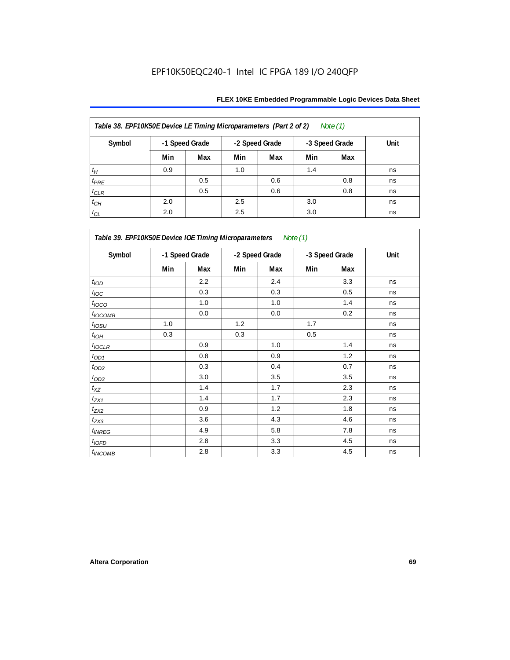| Table 38. EPF10K50E Device LE Timing Microparameters (Part 2 of 2)<br>Note $(1)$ |                                                    |     |      |     |     |     |    |  |  |  |
|----------------------------------------------------------------------------------|----------------------------------------------------|-----|------|-----|-----|-----|----|--|--|--|
| Symbol                                                                           | -1 Speed Grade<br>-2 Speed Grade<br>-3 Speed Grade |     | Unit |     |     |     |    |  |  |  |
|                                                                                  | Min                                                | Max | Min  | Max | Min | Max |    |  |  |  |
| $t_H$                                                                            | 0.9                                                |     | 1.0  |     | 1.4 |     | ns |  |  |  |
| $t_{PRE}$                                                                        |                                                    | 0.5 |      | 0.6 |     | 0.8 | ns |  |  |  |
| $t_{CLR}$                                                                        |                                                    | 0.5 |      | 0.6 |     | 0.8 | ns |  |  |  |
| $t_{CH}$                                                                         | 2.0                                                |     | 2.5  |     | 3.0 |     | ns |  |  |  |
| $t_{CL}$                                                                         | 2.0                                                |     | 2.5  |     | 3.0 |     | ns |  |  |  |

| Table 39. EPF10K50E Device IOE Timing Microparameters Note (1) |                |         |                |     |                |     |      |  |  |  |
|----------------------------------------------------------------|----------------|---------|----------------|-----|----------------|-----|------|--|--|--|
| Symbol                                                         | -1 Speed Grade |         | -2 Speed Grade |     | -3 Speed Grade |     | Unit |  |  |  |
|                                                                | Min            | Max     | Min            | Max | Min            | Max |      |  |  |  |
| t <sub>IOD</sub>                                               |                | 2.2     |                | 2.4 |                | 3.3 | ns   |  |  |  |
| $t_{\text{IOC}}$                                               |                | 0.3     |                | 0.3 |                | 0.5 | ns   |  |  |  |
| $t_{IOCO}$                                                     |                | 1.0     |                | 1.0 |                | 1.4 | ns   |  |  |  |
| $t_{IOCOMB}$                                                   |                | 0.0     |                | 0.0 |                | 0.2 | ns   |  |  |  |
| $t_{IOSU}$                                                     | 1.0            |         | 1.2            |     | 1.7            |     | ns   |  |  |  |
| $t_{IOM}$                                                      | 0.3            |         | 0.3            |     | 0.5            |     | ns   |  |  |  |
| $t_{IOCLR}$                                                    |                | 0.9     |                | 1.0 |                | 1.4 | ns   |  |  |  |
| $t_{OD1}$                                                      |                | 0.8     |                | 0.9 |                | 1.2 | ns   |  |  |  |
| $t_{OD2}$                                                      |                | 0.3     |                | 0.4 |                | 0.7 | ns   |  |  |  |
| $t_{OD3}$                                                      |                | 3.0     |                | 3.5 |                | 3.5 | ns   |  |  |  |
| $t_{\mathsf{XZ}}$                                              |                | 1.4     |                | 1.7 |                | 2.3 | ns   |  |  |  |
| $t_{ZX1}$                                                      |                | 1.4     |                | 1.7 |                | 2.3 | ns   |  |  |  |
| $t_{ZX2}$                                                      |                | 0.9     |                | 1.2 |                | 1.8 | ns   |  |  |  |
| $t_{ZX3}$                                                      |                | 3.6     |                | 4.3 |                | 4.6 | ns   |  |  |  |
| $t_{INREG}$                                                    |                | 4.9     |                | 5.8 |                | 7.8 | ns   |  |  |  |
| $t_{IOFD}$                                                     |                | 2.8     |                | 3.3 |                | 4.5 | ns   |  |  |  |
| $t_{INCOMB}$                                                   |                | $2.8\,$ |                | 3.3 |                | 4.5 | ns   |  |  |  |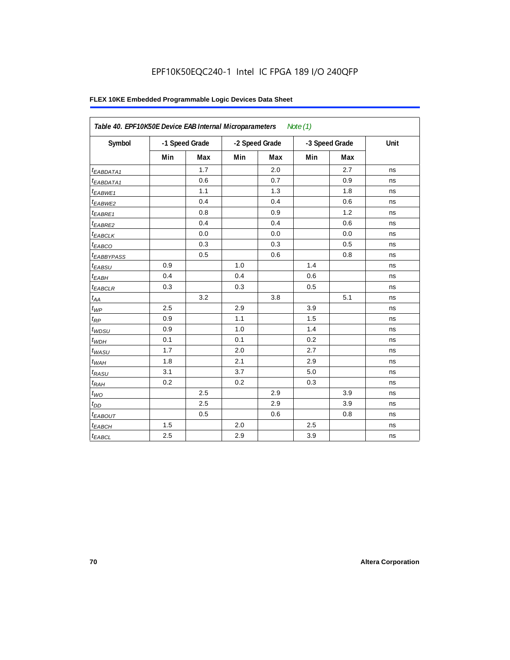| Table 40. EPF10K50E Device EAB Internal Microparameters<br>Note $(1)$ |       |                |     |                |                |     |      |  |  |
|-----------------------------------------------------------------------|-------|----------------|-----|----------------|----------------|-----|------|--|--|
| Symbol                                                                |       | -1 Speed Grade |     | -2 Speed Grade | -3 Speed Grade |     | Unit |  |  |
|                                                                       | Min   | Max            | Min | Max            | Min            | Max |      |  |  |
| <sup>t</sup> EABDATA1                                                 |       | 1.7            |     | 2.0            |                | 2.7 | ns   |  |  |
| $t_{EABDATA1}$                                                        |       | 0.6            |     | 0.7            |                | 0.9 | ns   |  |  |
| <sup>t</sup> EABWE1                                                   |       | 1.1            |     | 1.3            |                | 1.8 | ns   |  |  |
| t <sub>EABWE2</sub>                                                   |       | 0.4            |     | 0.4            |                | 0.6 | ns   |  |  |
| t <sub>EABRE1</sub>                                                   |       | 0.8            |     | 0.9            |                | 1.2 | ns   |  |  |
| $t_{EABRE2}$                                                          |       | 0.4            |     | 0.4            |                | 0.6 | ns   |  |  |
| $t_{EABCLK}$                                                          |       | 0.0            |     | 0.0            |                | 0.0 | ns   |  |  |
| t <sub>EABCO</sub>                                                    |       | 0.3            |     | 0.3            |                | 0.5 | ns   |  |  |
| <sup>t</sup> EABBYPASS                                                |       | 0.5            |     | 0.6            |                | 0.8 | ns   |  |  |
| $t_{EABSU}$                                                           | 0.9   |                | 1.0 |                | 1.4            |     | ns   |  |  |
| $t_{EABH}$                                                            | 0.4   |                | 0.4 |                | 0.6            |     | ns   |  |  |
| <sup>t</sup> EABCLR                                                   | 0.3   |                | 0.3 |                | 0.5            |     | ns   |  |  |
| $t_{AA}$                                                              |       | 3.2            |     | 3.8            |                | 5.1 | ns   |  |  |
| $t_{WP}$                                                              | 2.5   |                | 2.9 |                | 3.9            |     | ns   |  |  |
| $t_{RP}$                                                              | 0.9   |                | 1.1 |                | 1.5            |     | ns   |  |  |
| $t_{WDSU}$                                                            | 0.9   |                | 1.0 |                | 1.4            |     | ns   |  |  |
| $t_{WDH}$                                                             | 0.1   |                | 0.1 |                | 0.2            |     | ns   |  |  |
| $t_{WASU}$                                                            | 1.7   |                | 2.0 |                | 2.7            |     | ns   |  |  |
| $t_{WAH}$                                                             | 1.8   |                | 2.1 |                | 2.9            |     | ns   |  |  |
| $t_{RASU}$                                                            | 3.1   |                | 3.7 |                | 5.0            |     | ns   |  |  |
| $t_{RAH}$                                                             | 0.2   |                | 0.2 |                | 0.3            |     | ns   |  |  |
| $t_{\textit{WO}}$                                                     |       | 2.5            |     | 2.9            |                | 3.9 | ns   |  |  |
| $t_{DD}$                                                              |       | 2.5            |     | 2.9            |                | 3.9 | ns   |  |  |
| <b><i>EABOUT</i></b>                                                  |       | 0.5            |     | 0.6            |                | 0.8 | ns   |  |  |
| t <sub>EABCH</sub>                                                    | $1.5$ |                | 2.0 |                | 2.5            |     | ns   |  |  |
| $t_{EABCL}$                                                           | 2.5   |                | 2.9 |                | 3.9            |     | ns   |  |  |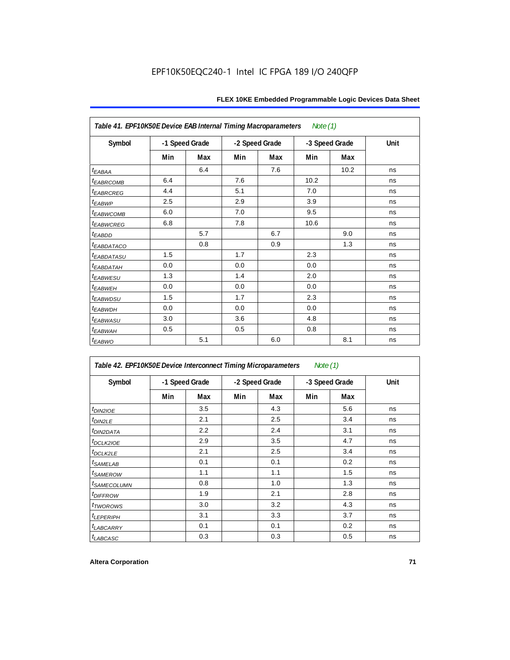| Table 41. EPF10K50E Device EAB Internal Timing Macroparameters<br>Note $(1)$ |     |                |     |                |      |                |      |  |  |  |
|------------------------------------------------------------------------------|-----|----------------|-----|----------------|------|----------------|------|--|--|--|
| Symbol                                                                       |     | -1 Speed Grade |     | -2 Speed Grade |      | -3 Speed Grade | Unit |  |  |  |
|                                                                              | Min | Max            | Min | Max            | Min  | Max            |      |  |  |  |
| $t_{EABA}$                                                                   |     | 6.4            |     | 7.6            |      | 10.2           | ns   |  |  |  |
| <b><i>EABRCOMB</i></b>                                                       | 6.4 |                | 7.6 |                | 10.2 |                | ns   |  |  |  |
| t <sub>EABRCREG</sub>                                                        | 4.4 |                | 5.1 |                | 7.0  |                | ns   |  |  |  |
| t <sub>EABWP</sub>                                                           | 2.5 |                | 2.9 |                | 3.9  |                | ns   |  |  |  |
| <sup>t</sup> EABWCOMB                                                        | 6.0 |                | 7.0 |                | 9.5  |                | ns   |  |  |  |
| <b><i>EABWCREG</i></b>                                                       | 6.8 |                | 7.8 |                | 10.6 |                | ns   |  |  |  |
| $t_{EABDD}$                                                                  |     | 5.7            |     | 6.7            |      | 9.0            | ns   |  |  |  |
| <sup>t</sup> EABDATACO                                                       |     | 0.8            |     | 0.9            |      | 1.3            | ns   |  |  |  |
| <sup>t</sup> EABDATASU                                                       | 1.5 |                | 1.7 |                | 2.3  |                | ns   |  |  |  |
| <sup>t</sup> EABDATAH                                                        | 0.0 |                | 0.0 |                | 0.0  |                | ns   |  |  |  |
| t <sub>EABWESU</sub>                                                         | 1.3 |                | 1.4 |                | 2.0  |                | ns   |  |  |  |
| t <sub>EABWEH</sub>                                                          | 0.0 |                | 0.0 |                | 0.0  |                | ns   |  |  |  |
| <sup>t</sup> EABWDSU                                                         | 1.5 |                | 1.7 |                | 2.3  |                | ns   |  |  |  |
| <sup>t</sup> EABWDH                                                          | 0.0 |                | 0.0 |                | 0.0  |                | ns   |  |  |  |
| <sup>t</sup> EABWASU                                                         | 3.0 |                | 3.6 |                | 4.8  |                | ns   |  |  |  |
| t <sub>EABWAH</sub>                                                          | 0.5 |                | 0.5 |                | 0.8  |                | ns   |  |  |  |
| $t_{EABWO}$                                                                  |     | 5.1            |     | 6.0            |      | 8.1            | ns   |  |  |  |

| Table 42. EPF10K50E Device Interconnect Timing Microparameters |     |                |     |                | Note $(1)$ |                |      |
|----------------------------------------------------------------|-----|----------------|-----|----------------|------------|----------------|------|
| Symbol                                                         |     | -1 Speed Grade |     | -2 Speed Grade |            | -3 Speed Grade | Unit |
|                                                                | Min | Max            | Min | Max            | Min        | Max            |      |
| $tD$ IN2IOE                                                    |     | 3.5            |     | 4.3            |            | 5.6            | ns   |
| t <sub>DIN2LE</sub>                                            |     | 2.1            |     | 2.5            |            | 3.4            | ns   |
| <sup>t</sup> DIN2DATA                                          |     | 2.2            |     | 2.4            |            | 3.1            | ns   |
| $t$ DCLK2IOE                                                   |     | 2.9            |     | 3.5            |            | 4.7            | ns   |
| $t$ DCLK2LE                                                    |     | 2.1            |     | 2.5            |            | 3.4            | ns   |
| <sup>t</sup> SAMELAB                                           |     | 0.1            |     | 0.1            |            | 0.2            | ns   |
| <i>t</i> SAMEROW                                               |     | 1.1            |     | 1.1            |            | 1.5            | ns   |
| <i>t<sub>SAMECOLUMN</sub></i>                                  |     | 0.8            |     | 1.0            |            | 1.3            | ns   |
| <i>t<sub>DIFFROW</sub></i>                                     |     | 1.9            |     | 2.1            |            | 2.8            | ns   |
| <i>t</i> TWOROWS                                               |     | 3.0            |     | 3.2            |            | 4.3            | ns   |
| <b><i>LEPERIPH</i></b>                                         |     | 3.1            |     | 3.3            |            | 3.7            | ns   |
| <b><i>LABCARRY</i></b>                                         |     | 0.1            |     | 0.1            |            | 0.2            | ns   |
| t <sub>LABCASC</sub>                                           |     | 0.3            |     | 0.3            |            | 0.5            | ns   |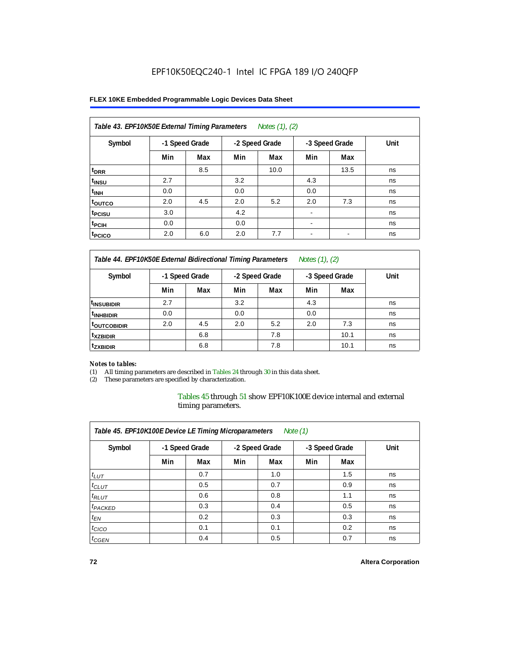### **FLEX 10KE Embedded Programmable Logic Devices Data Sheet**

| Table 43. EPF10K50E External Timing Parameters<br>Notes (1), (2) |                |     |                |      |                          |      |      |  |  |  |
|------------------------------------------------------------------|----------------|-----|----------------|------|--------------------------|------|------|--|--|--|
| Symbol                                                           | -1 Speed Grade |     | -2 Speed Grade |      | -3 Speed Grade           |      | Unit |  |  |  |
|                                                                  | Min            | Max | Min            | Max  | Min                      | Max  |      |  |  |  |
| t <sub>DRR</sub>                                                 |                | 8.5 |                | 10.0 |                          | 13.5 | ns   |  |  |  |
| t <sub>insu</sub>                                                | 2.7            |     | 3.2            |      | 4.3                      |      | ns   |  |  |  |
| $t_{\rm INH}$                                                    | 0.0            |     | 0.0            |      | 0.0                      |      | ns   |  |  |  |
| toutco                                                           | 2.0            | 4.5 | 2.0            | 5.2  | 2.0                      | 7.3  | ns   |  |  |  |
| t <sub>PCISU</sub>                                               | 3.0            |     | 4.2            |      |                          |      | ns   |  |  |  |
| <sup>t</sup> PCIH                                                | 0.0            |     | 0.0            |      | $\overline{\phantom{a}}$ |      | ns   |  |  |  |
| <sup>t</sup> PCICO                                               | 2.0            | 6.0 | 2.0            | 7.7  | $\blacksquare$           |      | ns   |  |  |  |

*Table 44. EPF10K50E External Bidirectional Timing Parameters Notes (1), (2)*

| Symbol                    | -1 Speed Grade |     |     | -2 Speed Grade |     | -3 Speed Grade | Unit |
|---------------------------|----------------|-----|-----|----------------|-----|----------------|------|
|                           | Min            | Max | Min | Max            | Min | Max            |      |
| <sup>I</sup> INSUBIDIR    | 2.7            |     | 3.2 |                | 4.3 |                | ns   |
| <sup>t</sup> INHBIDIR     | 0.0            |     | 0.0 |                | 0.0 |                | ns   |
| <b><i>LOUTCOBIDIR</i></b> | 2.0            | 4.5 | 2.0 | 5.2            | 2.0 | 7.3            | ns   |
| <sup>t</sup> xzbidir      |                | 6.8 |     | 7.8            |     | 10.1           | ns   |
| <sup>t</sup> zxbidir      |                | 6.8 |     | 7.8            |     | 10.1           | ns   |

#### *Notes to tables:*

(1) All timing parameters are described in Tables 24 through 30 in this data sheet.

(2) These parameters are specified by characterization.

Tables 45 through 51 show EPF10K100E device internal and external timing parameters.

| Table 45. EPF10K100E Device LE Timing Microparameters<br>Note $(1)$ |                |     |     |                |     |                |      |  |  |  |
|---------------------------------------------------------------------|----------------|-----|-----|----------------|-----|----------------|------|--|--|--|
| Symbol                                                              | -1 Speed Grade |     |     | -2 Speed Grade |     | -3 Speed Grade | Unit |  |  |  |
|                                                                     | Min            | Max | Min | Max            | Min | Max            |      |  |  |  |
| $t_{LUT}$                                                           |                | 0.7 |     | 1.0            |     | 1.5            | ns   |  |  |  |
| $t_{CLUT}$                                                          |                | 0.5 |     | 0.7            |     | 0.9            | ns   |  |  |  |
| $t_{RLUT}$                                                          |                | 0.6 |     | 0.8            |     | 1.1            | ns   |  |  |  |
| <sup>t</sup> PACKED                                                 |                | 0.3 |     | 0.4            |     | 0.5            | ns   |  |  |  |
| $t_{EN}$                                                            |                | 0.2 |     | 0.3            |     | 0.3            | ns   |  |  |  |
| $t_{CICO}$                                                          |                | 0.1 |     | 0.1            |     | 0.2            | ns   |  |  |  |
| $t_{\text{GEN}}$                                                    |                | 0.4 |     | 0.5            |     | 0.7            | ns   |  |  |  |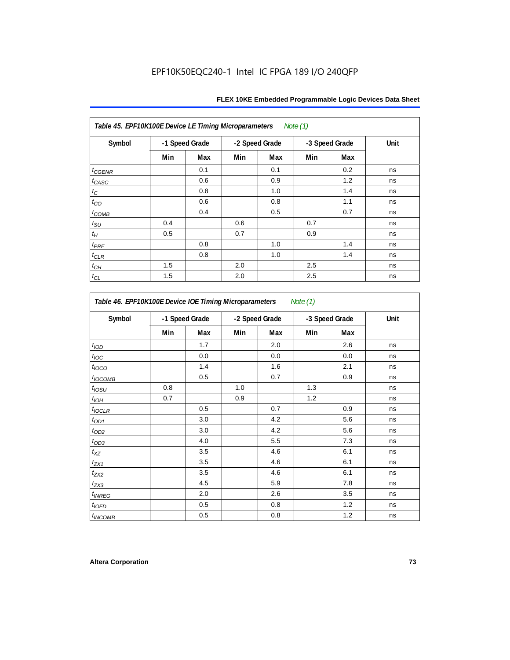| Table 45. EPF10K100E Device LE Timing Microparameters Note (1) |     |                |                |     |                |     |      |  |  |  |
|----------------------------------------------------------------|-----|----------------|----------------|-----|----------------|-----|------|--|--|--|
| Symbol                                                         |     | -1 Speed Grade | -2 Speed Grade |     | -3 Speed Grade |     | Unit |  |  |  |
|                                                                | Min | Max            | Min            | Max | Min            | Max |      |  |  |  |
| $t_{\text{GENR}}$                                              |     | 0.1            |                | 0.1 |                | 0.2 | ns   |  |  |  |
| $t_{CASC}$                                                     |     | 0.6            |                | 0.9 |                | 1.2 | ns   |  |  |  |
| $t_{\rm C}$                                                    |     | 0.8            |                | 1.0 |                | 1.4 | ns   |  |  |  |
| $t_{CO}$                                                       |     | 0.6            |                | 0.8 |                | 1.1 | ns   |  |  |  |
| $t_{COMB}$                                                     |     | 0.4            |                | 0.5 |                | 0.7 | ns   |  |  |  |
| $t_{\rm SU}$                                                   | 0.4 |                | 0.6            |     | 0.7            |     | ns   |  |  |  |
| $t_H\,$                                                        | 0.5 |                | 0.7            |     | 0.9            |     | ns   |  |  |  |
| $t_{PRE}$                                                      |     | 0.8            |                | 1.0 |                | 1.4 | ns   |  |  |  |
| $t_{\sf CLR}$                                                  |     | 0.8            |                | 1.0 |                | 1.4 | ns   |  |  |  |
| $t_{CH}$                                                       | 1.5 |                | 2.0            |     | 2.5            |     | ns   |  |  |  |
| $t_{CL}$                                                       | 1.5 |                | 2.0            |     | 2.5            |     | ns   |  |  |  |

| Symbol                |     | -1 Speed Grade |     | -2 Speed Grade | -3 Speed Grade |     | Unit |
|-----------------------|-----|----------------|-----|----------------|----------------|-----|------|
|                       | Min | Max            | Min | Max            | Min            | Max |      |
| t <sub>IOD</sub>      |     | 1.7            |     | 2.0            |                | 2.6 | ns   |
| $t_{\text{IOC}}$      |     | 0.0            |     | 0.0            |                | 0.0 | ns   |
| $t_{IOCO}$            |     | 1.4            |     | 1.6            |                | 2.1 | ns   |
| t <sub>IOCOMB</sub>   |     | 0.5            |     | 0.7            |                | 0.9 | ns   |
| $t_{IOSU}$            | 0.8 |                | 1.0 |                | 1.3            |     | ns   |
| $t_{I\underline{OH}}$ | 0.7 |                | 0.9 |                | 1.2            |     | ns   |
| $t_{IOCLR}$           |     | 0.5            |     | 0.7            |                | 0.9 | ns   |
| $t_{OD1}$             |     | 3.0            |     | 4.2            |                | 5.6 | ns   |
| $t_{OD2}$             |     | 3.0            |     | 4.2            |                | 5.6 | ns   |
| $t_{OD3}$             |     | 4.0            |     | 5.5            |                | 7.3 | ns   |
| $t_{XZ}$              |     | 3.5            |     | 4.6            |                | 6.1 | ns   |
| $t_{ZX1}$             |     | 3.5            |     | 4.6            |                | 6.1 | ns   |
| $t_{ZX2}$             |     | 3.5            |     | 4.6            |                | 6.1 | ns   |
| $t_{ZX3}$             |     | 4.5            |     | 5.9            |                | 7.8 | ns   |
| t <sub>INREG</sub>    |     | 2.0            |     | 2.6            |                | 3.5 | ns   |
| $t_{IOED}$            |     | 0.5            |     | 0.8            |                | 1.2 | ns   |
| <sup>t</sup> INCOMB   |     | $0.5\,$        |     | 0.8            |                | 1.2 | ns   |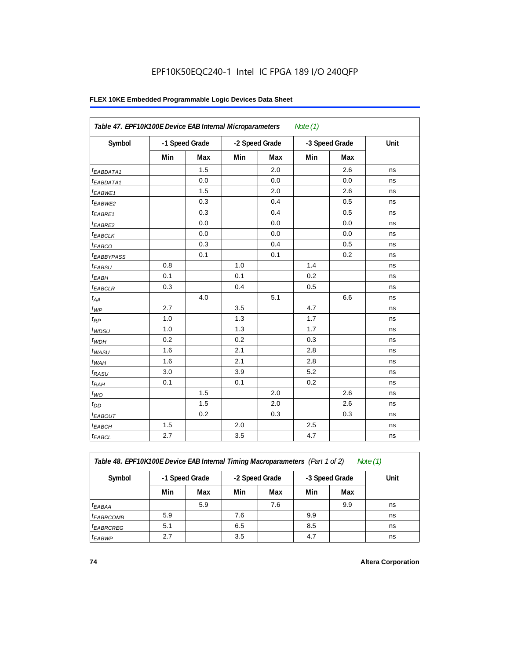| Table 47. EPF10K100E Device EAB Internal Microparameters |                |     |                |     |                |     |      |
|----------------------------------------------------------|----------------|-----|----------------|-----|----------------|-----|------|
| Symbol                                                   | -1 Speed Grade |     | -2 Speed Grade |     | -3 Speed Grade |     | Unit |
|                                                          | Min            | Max | Min            | Max | Min            | Max |      |
| <sup>t</sup> EABDATA1                                    |                | 1.5 |                | 2.0 |                | 2.6 | ns   |
| <sup>t</sup> EABDATA1                                    |                | 0.0 |                | 0.0 |                | 0.0 | ns   |
| <sup>t</sup> EABWE1                                      |                | 1.5 |                | 2.0 |                | 2.6 | ns   |
| t <sub>EABWE2</sub>                                      |                | 0.3 |                | 0.4 |                | 0.5 | ns   |
| <sup>t</sup> EABRE1                                      |                | 0.3 |                | 0.4 |                | 0.5 | ns   |
| $t_{EABRE2}$                                             |                | 0.0 |                | 0.0 |                | 0.0 | ns   |
| t <sub>EABCLK</sub>                                      |                | 0.0 |                | 0.0 |                | 0.0 | ns   |
| t <sub>EABCO</sub>                                       |                | 0.3 |                | 0.4 |                | 0.5 | ns   |
| <sup>t</sup> EABBYPASS                                   |                | 0.1 |                | 0.1 |                | 0.2 | ns   |
| t <sub>EABSU</sub>                                       | 0.8            |     | 1.0            |     | 1.4            |     | ns   |
| $t_{EABH}$                                               | 0.1            |     | 0.1            |     | 0.2            |     | ns   |
| <sup>t</sup> EABCLR                                      | 0.3            |     | 0.4            |     | 0.5            |     | ns   |
| $t_{AA}$                                                 |                | 4.0 |                | 5.1 |                | 6.6 | ns   |
| $t_{WP}$                                                 | 2.7            |     | 3.5            |     | 4.7            |     | ns   |
| $t_{RP}$                                                 | 1.0            |     | 1.3            |     | 1.7            |     | ns   |
| $t_{WDSU}$                                               | 1.0            |     | 1.3            |     | 1.7            |     | ns   |
| $t_{WDH}$                                                | 0.2            |     | 0.2            |     | 0.3            |     | ns   |
| $t_{WASU}$                                               | 1.6            |     | 2.1            |     | 2.8            |     | ns   |
| $t_{WAH}$                                                | 1.6            |     | 2.1            |     | 2.8            |     | ns   |
| $t_{RASU}$                                               | 3.0            |     | 3.9            |     | 5.2            |     | ns   |
| $t_{RAH}$                                                | 0.1            |     | 0.1            |     | 0.2            |     | ns   |
| $t_{WO}$                                                 |                | 1.5 |                | 2.0 |                | 2.6 | ns   |
| $t_{DD}$                                                 |                | 1.5 |                | 2.0 |                | 2.6 | ns   |
| t <sub>EABOUT</sub>                                      |                | 0.2 |                | 0.3 |                | 0.3 | ns   |
| <sup>t</sup> EABCH                                       | 1.5            |     | 2.0            |     | 2.5            |     | ns   |
| $t_{EABCL}$                                              | 2.7            |     | 3.5            |     | 4.7            |     | ns   |

*Table 48. EPF10K100E Device EAB Internal Timing Macroparameters (Part 1 of 2)* 

| Note (1 |  |
|---------|--|
|         |  |

| Symbol                | -1 Speed Grade |     | -2 Speed Grade |     |     | -3 Speed Grade | Unit |
|-----------------------|----------------|-----|----------------|-----|-----|----------------|------|
|                       | Min            | Max | Min            | Max | Min | Max            |      |
| $t_{EABA}$            |                | 5.9 |                | 7.6 |     | 9.9            | ns   |
| <sup>t</sup> EABRCOMB | 5.9            |     | 7.6            |     | 9.9 |                | ns   |
| <sup>t</sup> EABRCREG | 5.1            |     | 6.5            |     | 8.5 |                | ns   |
| <sup>t</sup> EABWP    | 2.7            |     | 3.5            |     | 4.7 |                | ns   |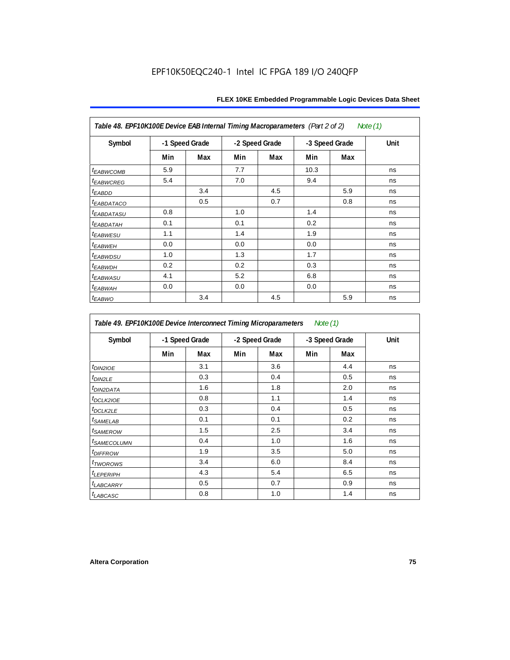| Table 48. EPF10K100E Device EAB Internal Timing Macroparameters (Part 2 of 2)<br>Note (1) |     |                |                |     |                |     |             |  |  |  |
|-------------------------------------------------------------------------------------------|-----|----------------|----------------|-----|----------------|-----|-------------|--|--|--|
| Symbol                                                                                    |     | -1 Speed Grade | -2 Speed Grade |     | -3 Speed Grade |     | <b>Unit</b> |  |  |  |
|                                                                                           | Min | Max            | Min            | Max | Min            | Max |             |  |  |  |
| <i>t<sub>EABWCOMB</sub></i>                                                               | 5.9 |                | 7.7            |     | 10.3           |     | ns          |  |  |  |
| <sup>t</sup> EABWCREG                                                                     | 5.4 |                | 7.0            |     | 9.4            |     | ns          |  |  |  |
| <sup>t</sup> EABDD                                                                        |     | 3.4            |                | 4.5 |                | 5.9 | ns          |  |  |  |
| <b><i>EABDATACO</i></b>                                                                   |     | 0.5            |                | 0.7 |                | 0.8 | ns          |  |  |  |
| <sup>t</sup> EABDATASU                                                                    | 0.8 |                | 1.0            |     | 1.4            |     | ns          |  |  |  |
| <sup>t</sup> EABDATAH                                                                     | 0.1 |                | 0.1            |     | 0.2            |     | ns          |  |  |  |
| <sup>t</sup> EABWESU                                                                      | 1.1 |                | 1.4            |     | 1.9            |     | ns          |  |  |  |
| <sup>t</sup> EABWEH                                                                       | 0.0 |                | 0.0            |     | 0.0            |     | ns          |  |  |  |
| t <sub>EABWDSU</sub>                                                                      | 1.0 |                | 1.3            |     | 1.7            |     | ns          |  |  |  |
| <sup>t</sup> EABWDH                                                                       | 0.2 |                | 0.2            |     | 0.3            |     | ns          |  |  |  |
| <sup>t</sup> EABWASU                                                                      | 4.1 |                | 5.2            |     | 6.8            |     | ns          |  |  |  |
| <sup>t</sup> ЕАВWАН                                                                       | 0.0 |                | 0.0            |     | 0.0            |     | ns          |  |  |  |
| t <sub>EABWO</sub>                                                                        |     | 3.4            |                | 4.5 |                | 5.9 | ns          |  |  |  |

*Table 49. EPF10K100E Device Interconnect Timing Microparameters Note (1)*

| Symbol                        |     | -1 Speed Grade |     | -2 Speed Grade | -3 Speed Grade | Unit |    |
|-------------------------------|-----|----------------|-----|----------------|----------------|------|----|
|                               | Min | Max            | Min | Max            | Min            | Max  |    |
| $tD$ IN2IOE                   |     | 3.1            |     | 3.6            |                | 4.4  | ns |
| t <sub>DIN2LE</sub>           |     | 0.3            |     | 0.4            |                | 0.5  | ns |
| <sup>t</sup> DIN2DATA         |     | 1.6            |     | 1.8            |                | 2.0  | ns |
| $t_{DCLK2IOE}$                |     | 0.8            |     | 1.1            |                | 1.4  | ns |
| $t$ DCLK2LE                   |     | 0.3            |     | 0.4            |                | 0.5  | ns |
| <sup>t</sup> SAMELAB          |     | 0.1            |     | 0.1            |                | 0.2  | ns |
| <i>t</i> SAMEROW              |     | 1.5            |     | 2.5            |                | 3.4  | ns |
| <i>t<sub>SAMECOLUMN</sub></i> |     | 0.4            |     | 1.0            |                | 1.6  | ns |
| <i>t<sub>DIFFROW</sub></i>    |     | 1.9            |     | 3.5            |                | 5.0  | ns |
| <i>t</i> TWOROWS              |     | 3.4            |     | 6.0            |                | 8.4  | ns |
| <b>LEPERIPH</b>               |     | 4.3            |     | 5.4            |                | 6.5  | ns |
| t <sub>LABCARRY</sub>         |     | 0.5            |     | 0.7            |                | 0.9  | ns |
| $t_{LABCASC}$                 |     | 0.8            |     | 1.0            |                | 1.4  | ns |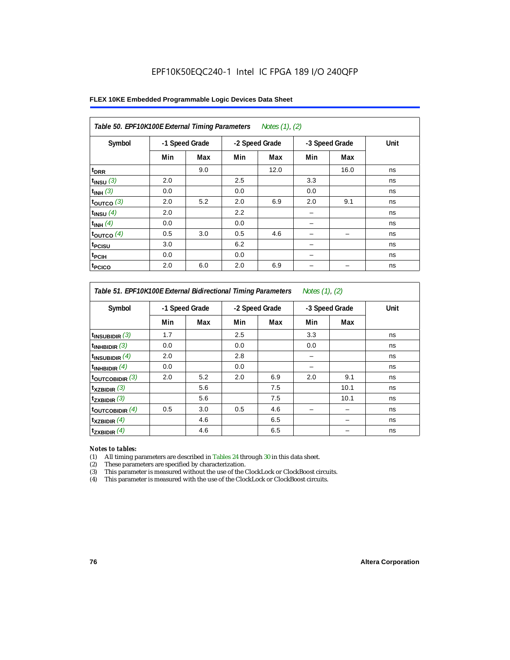| Table 50. EPF10K100E External Timing Parameters Notes (1), (2) |                |     |     |                |                |      |      |  |  |  |
|----------------------------------------------------------------|----------------|-----|-----|----------------|----------------|------|------|--|--|--|
| Symbol                                                         | -1 Speed Grade |     |     | -2 Speed Grade | -3 Speed Grade |      | Unit |  |  |  |
|                                                                | Min            | Max | Min | Max            | Min            | Max  |      |  |  |  |
| t <sub>DRR</sub>                                               |                | 9.0 |     | 12.0           |                | 16.0 | ns   |  |  |  |
| $t_{INSU}$ (3)                                                 | 2.0            |     | 2.5 |                | 3.3            |      | ns   |  |  |  |
| $t_{INH}$ (3)                                                  | 0.0            |     | 0.0 |                | 0.0            |      | ns   |  |  |  |
| $t_{OUTCO}$ (3)                                                | 2.0            | 5.2 | 2.0 | 6.9            | 2.0            | 9.1  | ns   |  |  |  |
| $t_{INSU}$ (4)                                                 | 2.0            |     | 2.2 |                |                |      | ns   |  |  |  |
| $t_{INH}$ (4)                                                  | 0.0            |     | 0.0 |                |                |      | ns   |  |  |  |
| $t_{OUTCO}$ (4)                                                | 0.5            | 3.0 | 0.5 | 4.6            |                | -    | ns   |  |  |  |
| <sup>t</sup> PCISU                                             | 3.0            |     | 6.2 |                |                |      | ns   |  |  |  |
| <sup>t</sup> PCIH                                              | 0.0            |     | 0.0 |                |                |      | ns   |  |  |  |
| <sup>t</sup> PCICO                                             | 2.0            | 6.0 | 2.0 | 6.9            |                |      | ns   |  |  |  |

*Table 51. EPF10K100E External Bidirectional Timing Parameters Notes (1), (2)*

| Symbol                      |     | -1 Speed Grade |     | -2 Speed Grade |     | -3 Speed Grade | Unit |
|-----------------------------|-----|----------------|-----|----------------|-----|----------------|------|
|                             | Min | Max            | Min | Max            | Min | Max            |      |
| $t_{INSUBIDIR}$ (3)         | 1.7 |                | 2.5 |                | 3.3 |                | ns   |
| $t_{INHBIDIR}$ (3)          | 0.0 |                | 0.0 |                | 0.0 |                | ns   |
| $t_{INSUBIDIR}(4)$          | 2.0 |                | 2.8 |                |     |                | ns   |
| $t_{INHBIDIR}$ $(4)$        | 0.0 |                | 0.0 |                |     |                | ns   |
| $t_{\text{OUTCOBIDIR}}$ (3) | 2.0 | 5.2            | 2.0 | 6.9            | 2.0 | 9.1            | ns   |
| $t_{XZBIDIR}$ (3)           |     | 5.6            |     | 7.5            |     | 10.1           | ns   |
| $t_{ZXBIDIR}$ (3)           |     | 5.6            |     | 7.5            |     | 10.1           | ns   |
| $t_{\text{OUTCOBIDIR}}$ (4) | 0.5 | 3.0            | 0.5 | 4.6            |     |                | ns   |
| $t_{XZBIDIR}$ (4)           |     | 4.6            |     | 6.5            |     |                | ns   |
| $t_{ZXBIDIR}$ (4)           |     | 4.6            |     | 6.5            |     |                | ns   |

#### *Notes to tables:*

(1) All timing parameters are described in Tables 24 through 30 in this data sheet.

(2) These parameters are specified by characterization.

(3) This parameter is measured without the use of the ClockLock or ClockBoost circuits.

(4) This parameter is measured with the use of the ClockLock or ClockBoost circuits.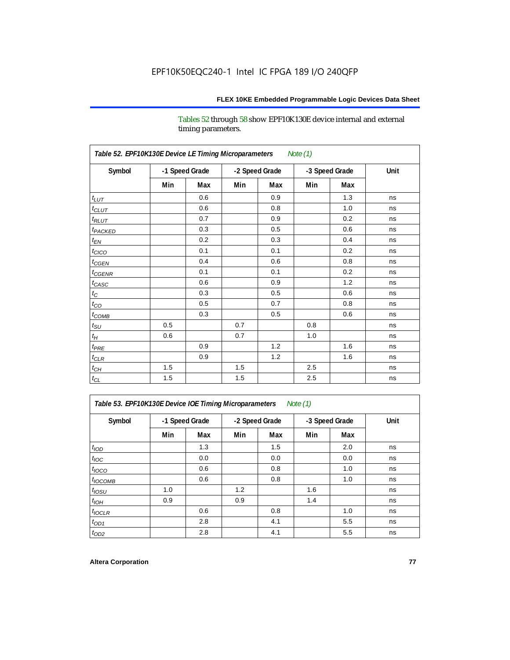Tables 52 through 58 show EPF10K130E device internal and external timing parameters.

| Table 52. EPF10K130E Device LE Timing Microparameters<br>Note (1) |     |                |     |                |     |                |      |  |  |  |
|-------------------------------------------------------------------|-----|----------------|-----|----------------|-----|----------------|------|--|--|--|
| Symbol                                                            |     | -1 Speed Grade |     | -2 Speed Grade |     | -3 Speed Grade | Unit |  |  |  |
|                                                                   | Min | Max            | Min | Max            | Min | Max            |      |  |  |  |
| $t_{LUT}$                                                         |     | 0.6            |     | 0.9            |     | 1.3            | ns   |  |  |  |
| $t_{CLUT}$                                                        |     | 0.6            |     | 0.8            |     | 1.0            | ns   |  |  |  |
| $t_{RLUT}$                                                        |     | 0.7            |     | 0.9            |     | 0.2            | ns   |  |  |  |
| t <sub>PACKED</sub>                                               |     | 0.3            |     | 0.5            |     | 0.6            | ns   |  |  |  |
| $t_{EN}$                                                          |     | 0.2            |     | 0.3            |     | 0.4            | ns   |  |  |  |
| $t_{CICO}$                                                        |     | 0.1            |     | 0.1            |     | 0.2            | ns   |  |  |  |
| $t_{CGEN}$                                                        |     | 0.4            |     | 0.6            |     | 0.8            | ns   |  |  |  |
| $t_{CGENR}$                                                       |     | 0.1            |     | 0.1            |     | 0.2            | ns   |  |  |  |
| $t_{CASC}$                                                        |     | 0.6            |     | 0.9            |     | 1.2            | ns   |  |  |  |
| $t_{\rm C}$                                                       |     | 0.3            |     | 0.5            |     | 0.6            | ns   |  |  |  |
| $t_{CO}$                                                          |     | 0.5            |     | 0.7            |     | 0.8            | ns   |  |  |  |
| $t_{COMB}$                                                        |     | 0.3            |     | 0.5            |     | 0.6            | ns   |  |  |  |
| $t_{\rm SU}$                                                      | 0.5 |                | 0.7 |                | 0.8 |                | ns   |  |  |  |
| $t_H$                                                             | 0.6 |                | 0.7 |                | 1.0 |                | ns   |  |  |  |
| $t_{PRE}$                                                         |     | 0.9            |     | 1.2            |     | 1.6            | ns   |  |  |  |
| $t_{CLR}$                                                         |     | 0.9            |     | 1.2            |     | 1.6            | ns   |  |  |  |
| $t_{CH}$                                                          | 1.5 |                | 1.5 |                | 2.5 |                | ns   |  |  |  |
| $t_{\rm CL}$                                                      | 1.5 |                | 1.5 |                | 2.5 |                | ns   |  |  |  |

*Table 53. EPF10K130E Device IOE Timing Microparameters Note (1)*

| Symbol           |     | -1 Speed Grade |     | -2 Speed Grade |     | -3 Speed Grade | Unit |  |
|------------------|-----|----------------|-----|----------------|-----|----------------|------|--|
|                  | Min | Max            | Min | Max            | Min | Max            |      |  |
| t <sub>IOD</sub> |     | 1.3            |     | 1.5            |     | 2.0            | ns   |  |
| $t_{\text{IOC}}$ |     | 0.0            |     | 0.0            |     | 0.0            | ns   |  |
| $t_{IOCO}$       |     | 0.6            |     | 0.8            |     | 1.0            | ns   |  |
| $t_{IOCOMB}$     |     | 0.6            |     | 0.8            |     | 1.0            | ns   |  |
| $t_{IOSU}$       | 1.0 |                | 1.2 |                | 1.6 |                | ns   |  |
| $t_{IOH}$        | 0.9 |                | 0.9 |                | 1.4 |                | ns   |  |
| $t_{IOCLR}$      |     | 0.6            |     | 0.8            |     | 1.0            | ns   |  |
| $t_{OD1}$        |     | 2.8            |     | 4.1            |     | 5.5            | ns   |  |
| $t_{OD2}$        |     | 2.8            |     | 4.1            |     | 5.5            | ns   |  |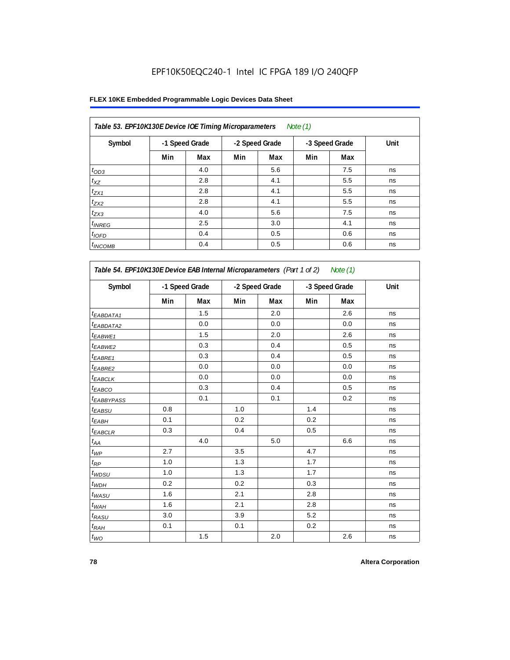| Table 53. EPF10K130E Device IOE Timing Microparameters |     |                |     |                | Note $(1)$ |                |      |
|--------------------------------------------------------|-----|----------------|-----|----------------|------------|----------------|------|
| Symbol                                                 |     | -1 Speed Grade |     | -2 Speed Grade |            | -3 Speed Grade | Unit |
|                                                        | Min | Max            | Min | Max            | Min        | Max            |      |
| $t_{OD3}$                                              |     | 4.0            |     | 5.6            |            | 7.5            | ns   |
| $t_{XZ}$                                               |     | 2.8            |     | 4.1            |            | 5.5            | ns   |
| $t_{ZX1}$                                              |     | 2.8            |     | 4.1            |            | 5.5            | ns   |
| $t_{ZX2}$                                              |     | 2.8            |     | 4.1            |            | 5.5            | ns   |
| $t_{ZX3}$                                              |     | 4.0            |     | 5.6            |            | 7.5            | ns   |
| $t_{INREG}$                                            |     | 2.5            |     | 3.0            |            | 4.1            | ns   |
| $t_{IOFD}$                                             |     | 0.4            |     | 0.5            |            | 0.6            | ns   |
| $t_{INCOMB}$                                           |     | 0.4            |     | 0.5            |            | 0.6            | ns   |

| Symbol                       |     | -1 Speed Grade |     | -2 Speed Grade |     | -3 Speed Grade |    |
|------------------------------|-----|----------------|-----|----------------|-----|----------------|----|
|                              | Min | <b>Max</b>     | Min | Max            | Min | Max            |    |
| <sup>t</sup> EABDATA1        |     | 1.5            |     | 2.0            |     | 2.6            | ns |
| <sup>t</sup> EABDATA2        |     | 0.0            |     | 0.0            |     | 0.0            | ns |
| t <sub>EABWE1</sub>          |     | 1.5            |     | 2.0            |     | 2.6            | ns |
| <sup>t</sup> EABWE2          |     | 0.3            |     | 0.4            |     | 0.5            | ns |
| t <sub>EABRE1</sub>          |     | 0.3            |     | 0.4            |     | 0.5            | ns |
| t <sub>EABRE2</sub>          |     | 0.0            |     | 0.0            |     | 0.0            | ns |
| t <sub>EABCLK</sub>          |     | 0.0            |     | 0.0            |     | 0.0            | ns |
| t <sub>EABCO</sub>           |     | 0.3            |     | 0.4            |     | 0.5            | ns |
| t <sub>EABBYPASS</sub>       |     | 0.1            |     | 0.1            |     | 0.2            | ns |
| t <sub>EABSU</sub>           | 0.8 |                | 1.0 |                | 1.4 |                | ns |
| t <sub>ЕАВН</sub>            | 0.1 |                | 0.2 |                | 0.2 |                | ns |
| t <sub>EABCLR</sub>          | 0.3 |                | 0.4 |                | 0.5 |                | ns |
| $t_{\mathcal{A}\mathcal{A}}$ |     | 4.0            |     | 5.0            |     | 6.6            | ns |
| $t_{\mathcal{WP}}$           | 2.7 |                | 3.5 |                | 4.7 |                | ns |
| $t_{RP}$                     | 1.0 |                | 1.3 |                | 1.7 |                | ns |
| $t_{WDSU}$                   | 1.0 |                | 1.3 |                | 1.7 |                | ns |
| $t_{WDH}$                    | 0.2 |                | 0.2 |                | 0.3 |                | ns |
| $t_{WASU}$                   | 1.6 |                | 2.1 |                | 2.8 |                | ns |
| $t_{WAH}$                    | 1.6 |                | 2.1 |                | 2.8 |                | ns |
| $t_{RASU}$                   | 3.0 |                | 3.9 |                | 5.2 |                | ns |
| $t_{RAH}$                    | 0.1 |                | 0.1 |                | 0.2 |                | ns |
| $t_{WO}$                     |     | 1.5            |     | 2.0            |     | 2.6            | ns |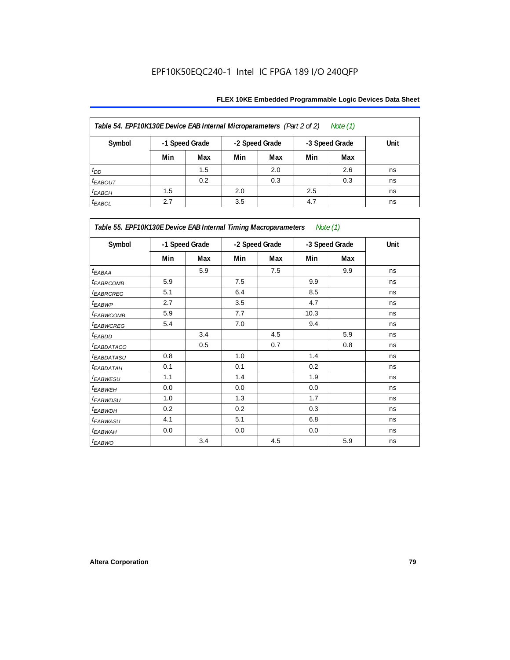| Table 54. EPF10K130E Device EAB Internal Microparameters (Part 2 of 2)<br>Note (1) |     |                |     |                |     |                |      |  |  |  |
|------------------------------------------------------------------------------------|-----|----------------|-----|----------------|-----|----------------|------|--|--|--|
| Symbol                                                                             |     | -1 Speed Grade |     | -2 Speed Grade |     | -3 Speed Grade | Unit |  |  |  |
|                                                                                    | Min | Max            | Min | Max            | Min | Max            |      |  |  |  |
| $t_{DD}$                                                                           |     | 1.5            |     | 2.0            |     | 2.6            | ns   |  |  |  |
| <b><i>EABOUT</i></b>                                                               |     | 0.2            |     | 0.3            |     | 0.3            | ns   |  |  |  |
| $t_{EABCH}$                                                                        | 1.5 |                | 2.0 |                | 2.5 |                | ns   |  |  |  |
| $t_{EABCL}$                                                                        | 2.7 |                | 3.5 |                | 4.7 |                | ns   |  |  |  |

| Table 55. EPF10K130E Device EAB Internal Timing Macroparameters Note (1) |     |                |     |                |      |                |             |  |  |
|--------------------------------------------------------------------------|-----|----------------|-----|----------------|------|----------------|-------------|--|--|
| Symbol                                                                   |     | -1 Speed Grade |     | -2 Speed Grade |      | -3 Speed Grade | <b>Unit</b> |  |  |
|                                                                          | Min | Max            | Min | Max            | Min  | Max            |             |  |  |
| $t_{EABA}$                                                               |     | 5.9            |     | 7.5            |      | 9.9            | ns          |  |  |
| <sup>t</sup> EABRCOMB                                                    | 5.9 |                | 7.5 |                | 9.9  |                | ns          |  |  |
| <sup>t</sup> EABRCREG                                                    | 5.1 |                | 6.4 |                | 8.5  |                | ns          |  |  |
| t <sub>EABWP</sub>                                                       | 2.7 |                | 3.5 |                | 4.7  |                | ns          |  |  |
| <sup>t</sup> EABWCOMB                                                    | 5.9 |                | 7.7 |                | 10.3 |                | ns          |  |  |
| <sup>t</sup> EABWCREG                                                    | 5.4 |                | 7.0 |                | 9.4  |                | ns          |  |  |
| <sup>t</sup> EABDD                                                       |     | 3.4            |     | 4.5            |      | 5.9            | ns          |  |  |
| <sup>t</sup> EABDATACO                                                   |     | 0.5            |     | 0.7            |      | 0.8            | ns          |  |  |
| <sup>t</sup> EABDATASU                                                   | 0.8 |                | 1.0 |                | 1.4  |                | ns          |  |  |
| <sup>t</sup> EABDATAH                                                    | 0.1 |                | 0.1 |                | 0.2  |                | ns          |  |  |
| t <sub>EABWESU</sub>                                                     | 1.1 |                | 1.4 |                | 1.9  |                | ns          |  |  |
| <sup>t</sup> EABWEH                                                      | 0.0 |                | 0.0 |                | 0.0  |                | ns          |  |  |
| <sup>t</sup> EABWDSU                                                     | 1.0 |                | 1.3 |                | 1.7  |                | ns          |  |  |
| <sup>t</sup> EABWDH                                                      | 0.2 |                | 0.2 |                | 0.3  |                | ns          |  |  |
| <sup>t</sup> EABWASU                                                     | 4.1 |                | 5.1 |                | 6.8  |                | ns          |  |  |
| <sup>t</sup> EABWAH                                                      | 0.0 |                | 0.0 |                | 0.0  |                | ns          |  |  |
| t <sub>EABWO</sub>                                                       |     | 3.4            |     | 4.5            |      | 5.9            | ns          |  |  |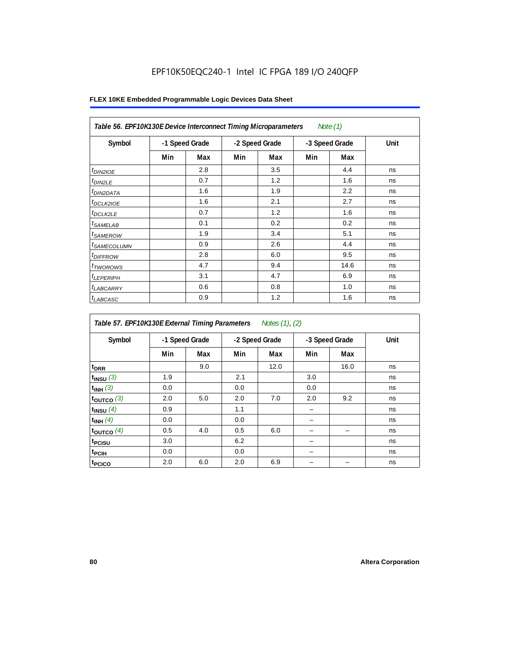| Table 56. EPF10K130E Device Interconnect Timing Microparameters<br>Note $(1)$ |                |     |                |     |                |      |      |  |  |  |
|-------------------------------------------------------------------------------|----------------|-----|----------------|-----|----------------|------|------|--|--|--|
| Symbol                                                                        | -1 Speed Grade |     | -2 Speed Grade |     | -3 Speed Grade |      | Unit |  |  |  |
|                                                                               | Min            | Max | Min            | Max | Min            | Max  |      |  |  |  |
| $t_{DIN2IOE}$                                                                 |                | 2.8 |                | 3.5 |                | 4.4  | ns   |  |  |  |
| $t_{DIN2LE}$                                                                  |                | 0.7 |                | 1.2 |                | 1.6  | ns   |  |  |  |
| <sup>t</sup> DIN2DATA                                                         |                | 1.6 |                | 1.9 |                | 2.2  | ns   |  |  |  |
| $t_{DCLK2IOE}$                                                                |                | 1.6 |                | 2.1 |                | 2.7  | ns   |  |  |  |
| $t_{DCLK2LE}$                                                                 |                | 0.7 |                | 1.2 |                | 1.6  | ns   |  |  |  |
| <sup>t</sup> SAMELAB                                                          |                | 0.1 |                | 0.2 |                | 0.2  | ns   |  |  |  |
| <sup>t</sup> SAMEROW                                                          |                | 1.9 |                | 3.4 |                | 5.1  | ns   |  |  |  |
| <sup>t</sup> SAMECOLUMN                                                       |                | 0.9 |                | 2.6 |                | 4.4  | ns   |  |  |  |
| <i>t<sub>DIFFROW</sub></i>                                                    |                | 2.8 |                | 6.0 |                | 9.5  | ns   |  |  |  |
| <sup>t</sup> TWOROWS                                                          |                | 4.7 |                | 9.4 |                | 14.6 | ns   |  |  |  |
| <sup>t</sup> LEPERIPH                                                         |                | 3.1 |                | 4.7 |                | 6.9  | ns   |  |  |  |
| <sup>t</sup> LABCARRY                                                         |                | 0.6 |                | 0.8 |                | 1.0  | ns   |  |  |  |
| <sup>t</sup> LABCASC                                                          |                | 0.9 |                | 1.2 |                | 1.6  | ns   |  |  |  |

| Table 57. EPF10K130E External Timing Parameters Notes (1), (2) |     |                |     |                |     |                |      |  |  |  |
|----------------------------------------------------------------|-----|----------------|-----|----------------|-----|----------------|------|--|--|--|
| Symbol                                                         |     | -1 Speed Grade |     | -2 Speed Grade |     | -3 Speed Grade | Unit |  |  |  |
|                                                                | Min | Max            | Min | Max            | Min | Max            |      |  |  |  |
| t <sub>DRR</sub>                                               |     | 9.0            |     | 12.0           |     | 16.0           | ns   |  |  |  |
| $t_{INSU}$ (3)                                                 | 1.9 |                | 2.1 |                | 3.0 |                | ns   |  |  |  |
| $t_{INH}$ (3)                                                  | 0.0 |                | 0.0 |                | 0.0 |                | ns   |  |  |  |
| $t_{OUTCO}$ (3)                                                | 2.0 | 5.0            | 2.0 | 7.0            | 2.0 | 9.2            | ns   |  |  |  |
| $t_{INSU}$ (4)                                                 | 0.9 |                | 1.1 |                |     |                | ns   |  |  |  |
| $t_{INH}$ (4)                                                  | 0.0 |                | 0.0 |                |     |                | ns   |  |  |  |
| toutco $(4)$                                                   | 0.5 | 4.0            | 0.5 | 6.0            |     |                | ns   |  |  |  |
| t <sub>PCISU</sub>                                             | 3.0 |                | 6.2 |                |     |                | ns   |  |  |  |
| <sup>t</sup> PCIH                                              | 0.0 |                | 0.0 |                |     |                | ns   |  |  |  |
| <sup>t</sup> PCICO                                             | 2.0 | 6.0            | 2.0 | 6.9            |     |                | ns   |  |  |  |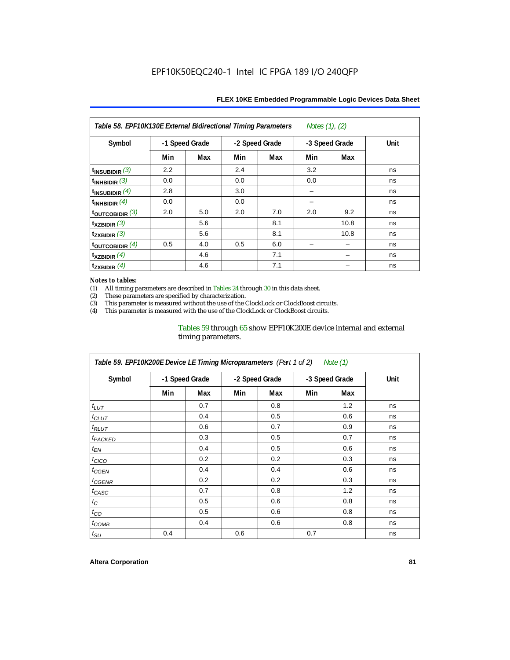| Table 58. EPF10K130E External Bidirectional Timing Parameters<br>Notes $(1)$ , $(2)$ |                |     |     |                |     |                |      |  |  |  |
|--------------------------------------------------------------------------------------|----------------|-----|-----|----------------|-----|----------------|------|--|--|--|
| Symbol                                                                               | -1 Speed Grade |     |     | -2 Speed Grade |     | -3 Speed Grade | Unit |  |  |  |
|                                                                                      | Min            | Max | Min | Max            | Min | Max            |      |  |  |  |
| $t_{INSUBIDIR}$ (3)                                                                  | 2.2            |     | 2.4 |                | 3.2 |                | ns   |  |  |  |
| $t_{INHBIDIR}$ (3)                                                                   | 0.0            |     | 0.0 |                | 0.0 |                | ns   |  |  |  |
| $t_{INSUBIDIR}(4)$                                                                   | 2.8            |     | 3.0 |                |     |                | ns   |  |  |  |
| $t_{INHBIDIR}(4)$                                                                    | 0.0            |     | 0.0 |                |     |                | ns   |  |  |  |
| toutcobidir $(3)$                                                                    | 2.0            | 5.0 | 2.0 | 7.0            | 2.0 | 9.2            | ns   |  |  |  |
| $\mathsf{t}_{\texttt{XZBIDIR}}(3)$                                                   |                | 5.6 |     | 8.1            |     | 10.8           | ns   |  |  |  |
| $t_{ZXBIDIR}$ (3)                                                                    |                | 5.6 |     | 8.1            |     | 10.8           | ns   |  |  |  |
| $\tt$ OUTCOBIDIR $(4)$                                                               | 0.5            | 4.0 | 0.5 | 6.0            |     |                | ns   |  |  |  |
| $t_{XZBIDIR}$ (4)                                                                    |                | 4.6 |     | 7.1            |     |                | ns   |  |  |  |
| $\mathsf{t}_{\mathsf{ZXBIDIR}}$ (4)                                                  |                | 4.6 |     | 7.1            |     |                | ns   |  |  |  |

#### *Notes to tables:*

(1) All timing parameters are described in Tables 24 through 30 in this data sheet.<br>(2) These parameters are specified by characterization.

(2) These parameters are specified by characterization.<br>
(3) This parameter is measured without the use of the C

This parameter is measured without the use of the ClockLock or ClockBoost circuits.

(4) This parameter is measured with the use of the ClockLock or ClockBoost circuits.

#### Tables 59 through 65 show EPF10K200E device internal and external timing parameters.

| Table 59. EPF10K200E Device LE Timing Microparameters (Part 1 of 2) Note (1) |                |     |     |                |     |                |      |  |  |  |
|------------------------------------------------------------------------------|----------------|-----|-----|----------------|-----|----------------|------|--|--|--|
| Symbol                                                                       | -1 Speed Grade |     |     | -2 Speed Grade |     | -3 Speed Grade | Unit |  |  |  |
|                                                                              | Min            | Max | Min | Max            | Min | Max            |      |  |  |  |
| $t_{LUT}$                                                                    |                | 0.7 |     | 0.8            |     | 1.2            | ns   |  |  |  |
| $t_{CLUT}$                                                                   |                | 0.4 |     | 0.5            |     | 0.6            | ns   |  |  |  |
| $t_{RLUT}$                                                                   |                | 0.6 |     | 0.7            |     | 0.9            | ns   |  |  |  |
| <sup>t</sup> PACKED                                                          |                | 0.3 |     | 0.5            |     | 0.7            | ns   |  |  |  |
| $t_{EN}$                                                                     |                | 0.4 |     | 0.5            |     | 0.6            | ns   |  |  |  |
| $t_{CICO}$                                                                   |                | 0.2 |     | 0.2            |     | 0.3            | ns   |  |  |  |
| $t_{CGEN}$                                                                   |                | 0.4 |     | 0.4            |     | 0.6            | ns   |  |  |  |
| <sup>t</sup> CGENR                                                           |                | 0.2 |     | 0.2            |     | 0.3            | ns   |  |  |  |
| $t_{CASC}$                                                                   |                | 0.7 |     | 0.8            |     | 1.2            | ns   |  |  |  |
| $t_C$                                                                        |                | 0.5 |     | 0.6            |     | 0.8            | ns   |  |  |  |
| $t_{CO}$                                                                     |                | 0.5 |     | 0.6            |     | 0.8            | ns   |  |  |  |
| $t_{COMB}$                                                                   |                | 0.4 |     | 0.6            |     | 0.8            | ns   |  |  |  |
| $t_{\rm SU}$                                                                 | 0.4            |     | 0.6 |                | 0.7 |                | ns   |  |  |  |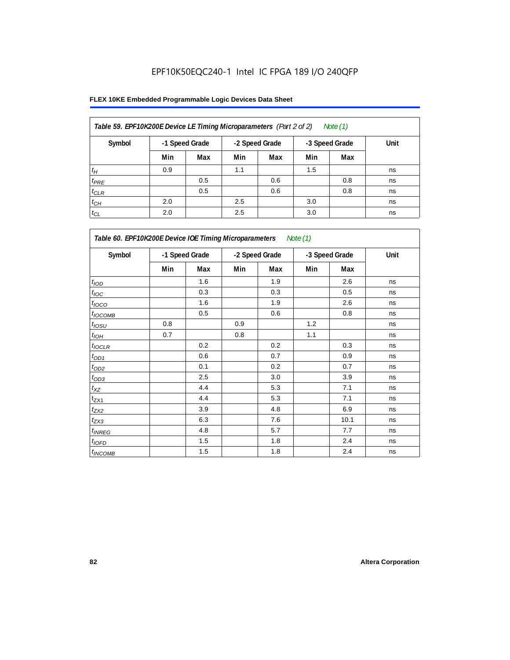| Table 59. EPF10K200E Device LE Timing Microparameters (Part 2 of 2) |                |     |                |     |                | Note (1) |      |
|---------------------------------------------------------------------|----------------|-----|----------------|-----|----------------|----------|------|
| Symbol                                                              | -1 Speed Grade |     | -2 Speed Grade |     | -3 Speed Grade |          | Unit |
|                                                                     | Min            | Max | Min            | Max | Min            | Max      |      |
| $t_H$                                                               | 0.9            |     | 1.1            |     | 1.5            |          | ns   |
| $t_{PRE}$                                                           |                | 0.5 |                | 0.6 |                | 0.8      | ns   |
| $t_{CLR}$                                                           |                | 0.5 |                | 0.6 |                | 0.8      | ns   |
| $t_{CH}$                                                            | 2.0            |     | 2.5            |     | 3.0            |          | ns   |
| $t_{CL}$                                                            | 2.0            |     | 2.5            |     | 3.0            |          | ns   |

| Table 60. EPF10K200E Device IOE Timing Microparameters<br>Note (1) |                |     |                |     |                |      |      |  |  |
|--------------------------------------------------------------------|----------------|-----|----------------|-----|----------------|------|------|--|--|
| Symbol                                                             | -1 Speed Grade |     | -2 Speed Grade |     | -3 Speed Grade |      | Unit |  |  |
|                                                                    | Min            | Max | Min            | Max | Min            | Max  |      |  |  |
| $t_{\rm IOD}$                                                      |                | 1.6 |                | 1.9 |                | 2.6  | ns   |  |  |
| $t_{\text{IOC}}$                                                   |                | 0.3 |                | 0.3 |                | 0.5  | ns   |  |  |
| $t_{IOCO}$                                                         |                | 1.6 |                | 1.9 |                | 2.6  | ns   |  |  |
| t <sub>IOCOMB</sub>                                                |                | 0.5 |                | 0.6 |                | 0.8  | ns   |  |  |
| $t_{IOSU}$                                                         | 0.8            |     | 0.9            |     | 1.2            |      | ns   |  |  |
| $t_{IOH}$                                                          | 0.7            |     | 0.8            |     | 1.1            |      | ns   |  |  |
| $t_{IOCLR}$                                                        |                | 0.2 |                | 0.2 |                | 0.3  | ns   |  |  |
| $t_{OD1}$                                                          |                | 0.6 |                | 0.7 |                | 0.9  | ns   |  |  |
| $t_{OD2}$                                                          |                | 0.1 |                | 0.2 |                | 0.7  | ns   |  |  |
| $t_{\underbar{OD3}}$                                               |                | 2.5 |                | 3.0 |                | 3.9  | ns   |  |  |
| $t_{\mathsf{XZ}}$                                                  |                | 4.4 |                | 5.3 |                | 7.1  | ns   |  |  |
| $t_{ZX1}$                                                          |                | 4.4 |                | 5.3 |                | 7.1  | ns   |  |  |
| $t_{ZX2}$                                                          |                | 3.9 |                | 4.8 |                | 6.9  | ns   |  |  |
| $t_{ZX3}$                                                          |                | 6.3 |                | 7.6 |                | 10.1 | ns   |  |  |
| $t_{INREG}$                                                        |                | 4.8 |                | 5.7 |                | 7.7  | ns   |  |  |
| $t_{IOED}$                                                         |                | 1.5 |                | 1.8 |                | 2.4  | ns   |  |  |
| $t_{INCOMB}$                                                       |                | 1.5 |                | 1.8 |                | 2.4  | ns   |  |  |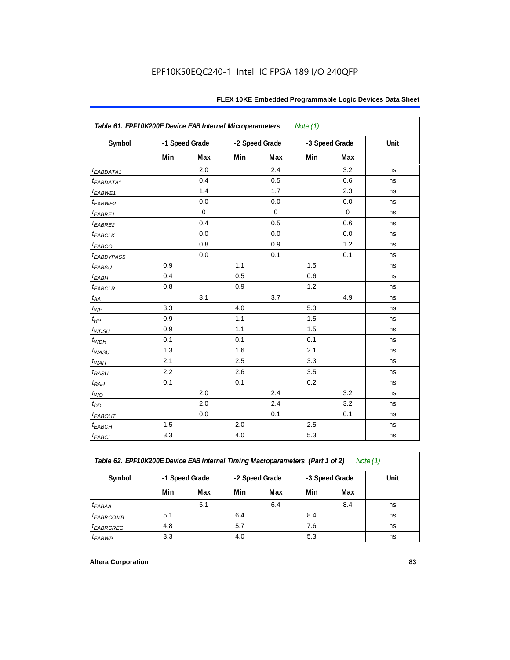| Table 61. EPF10K200E Device EAB Internal Microparameters<br>Note $(1)$ |     |                |     |                |     |                |      |  |  |  |
|------------------------------------------------------------------------|-----|----------------|-----|----------------|-----|----------------|------|--|--|--|
| Symbol                                                                 |     | -1 Speed Grade |     | -2 Speed Grade |     | -3 Speed Grade | Unit |  |  |  |
|                                                                        | Min | Max            | Min | Max            | Min | Max            |      |  |  |  |
| $t_{EABDATA1}$                                                         |     | 2.0            |     | 2.4            |     | 3.2            | ns   |  |  |  |
| t <sub>EABDATA1</sub>                                                  |     | 0.4            |     | 0.5            |     | 0.6            | ns   |  |  |  |
| t <sub>EABWE1</sub>                                                    |     | 1.4            |     | 1.7            |     | 2.3            | ns   |  |  |  |
| t <sub>EABWE2</sub>                                                    |     | 0.0            |     | 0.0            |     | 0.0            | ns   |  |  |  |
| $t_{EABRE1}$                                                           |     | $\mathbf 0$    |     | 0              |     | $\mathbf 0$    | ns   |  |  |  |
| t <sub>EABRE2</sub>                                                    |     | 0.4            |     | 0.5            |     | 0.6            | ns   |  |  |  |
| $t_{EABCLK}$                                                           |     | 0.0            |     | 0.0            |     | 0.0            | ns   |  |  |  |
| t <sub>EABCO</sub>                                                     |     | 0.8            |     | 0.9            |     | 1.2            | ns   |  |  |  |
| <i><b>EABBYPASS</b></i>                                                |     | 0.0            |     | 0.1            |     | 0.1            | ns   |  |  |  |
| t <sub>EABSU</sub>                                                     | 0.9 |                | 1.1 |                | 1.5 |                | ns   |  |  |  |
| $t_{EABH}$                                                             | 0.4 |                | 0.5 |                | 0.6 |                | ns   |  |  |  |
| $t_{EABCLR}$                                                           | 0.8 |                | 0.9 |                | 1.2 |                | ns   |  |  |  |
| $t_{AA}$                                                               |     | 3.1            |     | 3.7            |     | 4.9            | ns   |  |  |  |
| $t_{WP}$                                                               | 3.3 |                | 4.0 |                | 5.3 |                | ns   |  |  |  |
| $t_{RP}$                                                               | 0.9 |                | 1.1 |                | 1.5 |                | ns   |  |  |  |
| $t_{WDSU}$                                                             | 0.9 |                | 1.1 |                | 1.5 |                | ns   |  |  |  |
| $t_{WDH}$                                                              | 0.1 |                | 0.1 |                | 0.1 |                | ns   |  |  |  |
| $t_{WASU}$                                                             | 1.3 |                | 1.6 |                | 2.1 |                | ns   |  |  |  |
| $t_{WAH}$                                                              | 2.1 |                | 2.5 |                | 3.3 |                | ns   |  |  |  |
| t <sub>RASU</sub>                                                      | 2.2 |                | 2.6 |                | 3.5 |                | ns   |  |  |  |
| $t_{RAH}$                                                              | 0.1 |                | 0.1 |                | 0.2 |                | ns   |  |  |  |
| $t_{WO}$                                                               |     | 2.0            |     | 2.4            |     | 3.2            | ns   |  |  |  |
| $t_{\mathit{DD}}$                                                      |     | 2.0            |     | 2.4            |     | 3.2            | ns   |  |  |  |
| $t_{EABOUT}$                                                           |     | 0.0            |     | 0.1            |     | 0.1            | ns   |  |  |  |
| $t_{EABCH}$                                                            | 1.5 |                | 2.0 |                | 2.5 |                | ns   |  |  |  |
| $t_{EABCL}$                                                            | 3.3 |                | 4.0 |                | 5.3 |                | ns   |  |  |  |

*Table 62. EPF10K200E Device EAB Internal Timing Macroparameters (Part 1 of 2) Note (1)*

| Symbol                | -1 Speed Grade |     | -2 Speed Grade |     | -3 Speed Grade |     | Unit |
|-----------------------|----------------|-----|----------------|-----|----------------|-----|------|
|                       | Min            | Max | Min            | Max | Min            | Max |      |
| <sup>t</sup> EABAA    |                | 5.1 |                | 6.4 |                | 8.4 | ns   |
| <sup>t</sup> EABRCOMB | 5.1            |     | 6.4            |     | 8.4            |     | ns   |
| <sup>t</sup> EABRCREG | 4.8            |     | 5.7            |     | 7.6            |     | ns   |
| <sup>t</sup> EABWP    | 3.3            |     | 4.0            |     | 5.3            |     | ns   |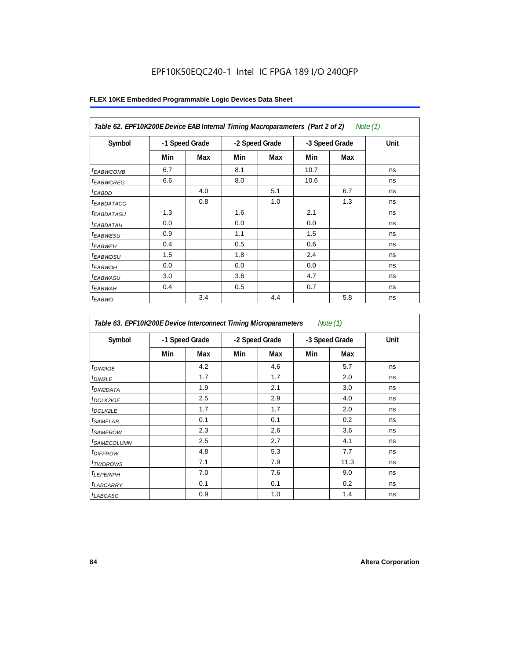|                        | Table 62. EPF10K200E Device EAB Internal Timing Macroparameters (Part 2 of 2)<br>Note $(1)$ |     |                |     |      |                |      |  |  |  |  |
|------------------------|---------------------------------------------------------------------------------------------|-----|----------------|-----|------|----------------|------|--|--|--|--|
| Symbol                 | -1 Speed Grade                                                                              |     | -2 Speed Grade |     |      | -3 Speed Grade | Unit |  |  |  |  |
|                        | Min                                                                                         | Max | Min            | Max | Min  | Max            |      |  |  |  |  |
| <sup>t</sup> EABWCOMB  | 6.7                                                                                         |     | 8.1            |     | 10.7 |                | ns   |  |  |  |  |
| <sup>t</sup> EABWCREG  | 6.6                                                                                         |     | 8.0            |     | 10.6 |                | ns   |  |  |  |  |
| <sup>t</sup> EABDD     |                                                                                             | 4.0 |                | 5.1 |      | 6.7            | ns   |  |  |  |  |
| <sup>t</sup> EABDATACO |                                                                                             | 0.8 |                | 1.0 |      | 1.3            | ns   |  |  |  |  |
| <sup>t</sup> EABDATASU | 1.3                                                                                         |     | 1.6            |     | 2.1  |                | ns   |  |  |  |  |
| <sup>t</sup> EABDATAH  | 0.0                                                                                         |     | 0.0            |     | 0.0  |                | ns   |  |  |  |  |
| <sup>t</sup> EABWESU   | 0.9                                                                                         |     | 1.1            |     | 1.5  |                | ns   |  |  |  |  |
| <sup>t</sup> EABWEH    | 0.4                                                                                         |     | 0.5            |     | 0.6  |                | ns   |  |  |  |  |
| <sup>t</sup> EABWDSU   | 1.5                                                                                         |     | 1.8            |     | 2.4  |                | ns   |  |  |  |  |
| <sup>t</sup> EABWDH    | 0.0                                                                                         |     | 0.0            |     | 0.0  |                | ns   |  |  |  |  |
| <sup>t</sup> EABWASU   | 3.0                                                                                         |     | 3.6            |     | 4.7  |                | ns   |  |  |  |  |
| <sup>t</sup> EABWAH    | 0.4                                                                                         |     | 0.5            |     | 0.7  |                | ns   |  |  |  |  |
| <sup>t</sup> EABWO     |                                                                                             | 3.4 |                | 4.4 |      | 5.8            | ns   |  |  |  |  |

| Symbol                  |     | -1 Speed Grade |     | -2 Speed Grade |     | -3 Speed Grade | Unit |
|-------------------------|-----|----------------|-----|----------------|-----|----------------|------|
|                         | Min | Max            | Min | Max            | Min | Max            |      |
| <sup>t</sup> DIN2IOE    |     | 4.2            |     | 4.6            |     | 5.7            | ns   |
| t <sub>DIN2LE</sub>     |     | 1.7            |     | 1.7            |     | 2.0            | ns   |
| <sup>t</sup> DIN2DATA   |     | 1.9            |     | 2.1            |     | 3.0            | ns   |
| <sup>t</sup> DCLK2IOE   |     | 2.5            |     | 2.9            |     | 4.0            | ns   |
| $t$ <sub>DCLK2LE</sub>  |     | 1.7            |     | 1.7            |     | 2.0            | ns   |
| <sup>t</sup> SAMELAB    |     | 0.1            |     | 0.1            |     | 0.2            | ns   |
| <sup>t</sup> SAMEROW    |     | 2.3            |     | 2.6            |     | 3.6            | ns   |
| <sup>t</sup> SAMECOLUMN |     | 2.5            |     | 2.7            |     | 4.1            | ns   |
| <sup>t</sup> DIFFROW    |     | 4.8            |     | 5.3            |     | 7.7            | ns   |
| <sup>t</sup> TWOROWS    |     | 7.1            |     | 7.9            |     | 11.3           | ns   |
| <sup>t</sup> LEPERIPH   |     | 7.0            |     | 7.6            |     | 9.0            | ns   |
| <sup>t</sup> LABCARRY   |     | 0.1            |     | 0.1            |     | 0.2            | ns   |
| t <sub>LABCASC</sub>    |     | 0.9            |     | 1.0            |     | 1.4            | ns   |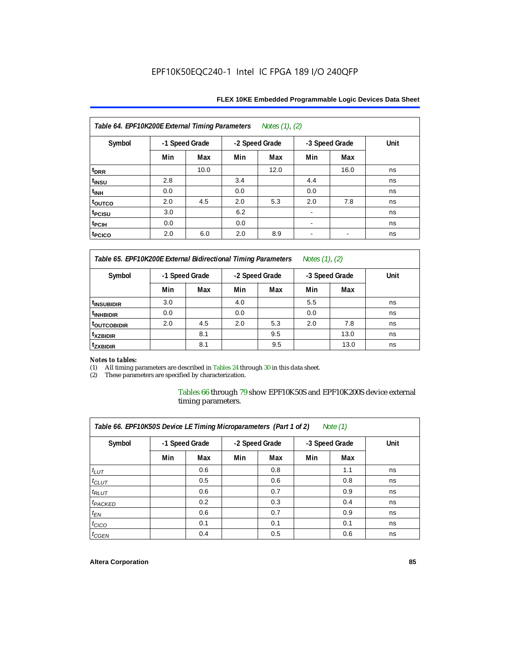| Table 64. EPF10K200E External Timing Parameters Notes (1), (2) |                |      |     |                |                          |                          |      |  |  |  |
|----------------------------------------------------------------|----------------|------|-----|----------------|--------------------------|--------------------------|------|--|--|--|
| Symbol                                                         | -1 Speed Grade |      |     | -2 Speed Grade |                          | -3 Speed Grade           | Unit |  |  |  |
|                                                                | Min            | Max  | Min | Max            | Min                      | Max                      |      |  |  |  |
| t <sub>DRR</sub>                                               |                | 10.0 |     | 12.0           |                          | 16.0                     | ns   |  |  |  |
| t <sub>INSU</sub>                                              | 2.8            |      | 3.4 |                | 4.4                      |                          | ns   |  |  |  |
| $t_{\text{INH}}$                                               | 0.0            |      | 0.0 |                | 0.0                      |                          | ns   |  |  |  |
| toutco                                                         | 2.0            | 4.5  | 2.0 | 5.3            | 2.0                      | 7.8                      | ns   |  |  |  |
| t <sub>PCISU</sub>                                             | 3.0            |      | 6.2 |                |                          |                          | ns   |  |  |  |
| t <sub>PCIH</sub>                                              | 0.0            |      | 0.0 |                | ۰                        |                          | ns   |  |  |  |
| t <sub>PCICO</sub>                                             | 2.0            | 6.0  | 2.0 | 8.9            | $\overline{\phantom{a}}$ | $\overline{\phantom{a}}$ | ns   |  |  |  |

*Table 65. EPF10K200E External Bidirectional Timing Parameters Notes (1), (2)*

| Symbol                  | -1 Speed Grade |     | -2 Speed Grade |     | -3 Speed Grade |      | Unit |  |  |  |  |
|-------------------------|----------------|-----|----------------|-----|----------------|------|------|--|--|--|--|
|                         | Min            | Max | Min            | Max | Min            | Max  |      |  |  |  |  |
| <sup>t</sup> INSUBIDIR  | 3.0            |     | 4.0            |     | 5.5            |      | ns   |  |  |  |  |
| <sup>t</sup> INHBIDIR   | 0.0            |     | 0.0            |     | 0.0            |      | ns   |  |  |  |  |
| <sup>T</sup> OUTCOBIDIR | 2.0            | 4.5 | 2.0            | 5.3 | 2.0            | 7.8  | ns   |  |  |  |  |
| <sup>t</sup> xzbidir    |                | 8.1 |                | 9.5 |                | 13.0 | ns   |  |  |  |  |
| <sup>T</sup> ZXBIDIR    |                | 8.1 |                | 9.5 |                | 13.0 | ns   |  |  |  |  |

# *Notes to tables:*

(1) All timing parameters are described in Tables 24 through 30 in this data sheet.<br>(2) These parameters are specified by characterization.

These parameters are specified by characterization.

Tables 66 through 79 show EPF10K50S and EPF10K200S device external timing parameters.

| Table 66. EPF10K50S Device LE Timing Microparameters (Part 1 of 2)<br>Note $(1)$ |                |     |                |     |                |     |      |  |  |  |
|----------------------------------------------------------------------------------|----------------|-----|----------------|-----|----------------|-----|------|--|--|--|
| Symbol                                                                           | -1 Speed Grade |     | -2 Speed Grade |     | -3 Speed Grade |     | Unit |  |  |  |
|                                                                                  | Min            | Max | Min            | Max | Min            | Max |      |  |  |  |
| $t_{LUT}$                                                                        |                | 0.6 |                | 0.8 |                | 1.1 | ns   |  |  |  |
| $t_{CLUT}$                                                                       |                | 0.5 |                | 0.6 |                | 0.8 | ns   |  |  |  |
| $t_{RLUT}$                                                                       |                | 0.6 |                | 0.7 |                | 0.9 | ns   |  |  |  |
| $t_{PACKED}$                                                                     |                | 0.2 |                | 0.3 |                | 0.4 | ns   |  |  |  |
| $t_{EN}$                                                                         |                | 0.6 |                | 0.7 |                | 0.9 | ns   |  |  |  |
| $t_{CICO}$                                                                       |                | 0.1 |                | 0.1 |                | 0.1 | ns   |  |  |  |
| $t_{GEN}$                                                                        |                | 0.4 |                | 0.5 |                | 0.6 | ns   |  |  |  |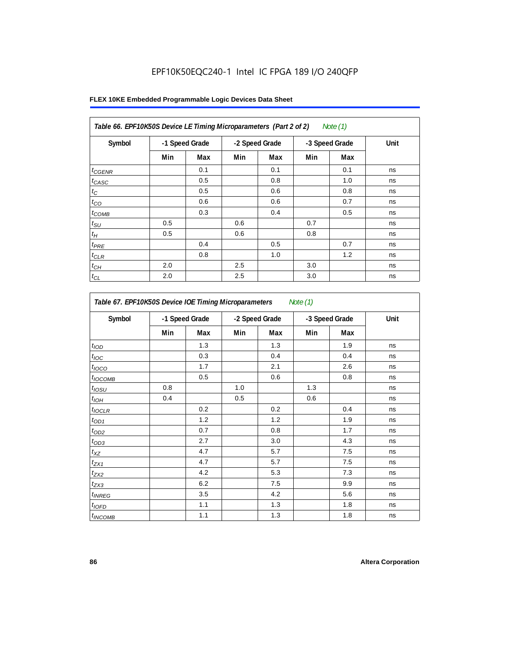| Table 66. EPF10K50S Device LE Timing Microparameters (Part 2 of 2)<br>Note (1) |                |     |     |                |     |                |      |  |  |  |
|--------------------------------------------------------------------------------|----------------|-----|-----|----------------|-----|----------------|------|--|--|--|
| Symbol                                                                         | -1 Speed Grade |     |     | -2 Speed Grade |     | -3 Speed Grade | Unit |  |  |  |
|                                                                                | Min            | Max | Min | Max            | Min | Max            |      |  |  |  |
| $t_{GENR}$                                                                     |                | 0.1 |     | 0.1            |     | 0.1            | ns   |  |  |  |
| $t_{CASC}$                                                                     |                | 0.5 |     | 0.8            |     | 1.0            | ns   |  |  |  |
| $t_C$                                                                          |                | 0.5 |     | 0.6            |     | 0.8            | ns   |  |  |  |
| $t_{CO}$                                                                       |                | 0.6 |     | 0.6            |     | 0.7            | ns   |  |  |  |
| $t_{COMB}$                                                                     |                | 0.3 |     | 0.4            |     | 0.5            | ns   |  |  |  |
| $t_{\text{SU}}$                                                                | 0.5            |     | 0.6 |                | 0.7 |                | ns   |  |  |  |
| $t_H\,$                                                                        | 0.5            |     | 0.6 |                | 0.8 |                | ns   |  |  |  |
| $t_{PRE}$                                                                      |                | 0.4 |     | 0.5            |     | 0.7            | ns   |  |  |  |
| $t_{CLR}$                                                                      |                | 0.8 |     | 1.0            |     | 1.2            | ns   |  |  |  |
| $t_{CH}$                                                                       | 2.0            |     | 2.5 |                | 3.0 |                | ns   |  |  |  |
| $t_{CL}$                                                                       | 2.0            |     | 2.5 |                | 3.0 |                | ns   |  |  |  |

| Symbol            | -1 Speed Grade |     | -2 Speed Grade |     | -3 Speed Grade |     | Unit |
|-------------------|----------------|-----|----------------|-----|----------------|-----|------|
|                   | Min            | Max | Min            | Max | Min            | Max |      |
| t <sub>IOD</sub>  |                | 1.3 |                | 1.3 |                | 1.9 | ns   |
| $t_{\text{IOC}}$  |                | 0.3 |                | 0.4 |                | 0.4 | ns   |
| $t_{IOCO}$        |                | 1.7 |                | 2.1 |                | 2.6 | ns   |
| $t_{IOCOMB}$      |                | 0.5 |                | 0.6 |                | 0.8 | ns   |
| t <sub>iOSU</sub> | 0.8            |     | 1.0            |     | 1.3            |     | ns   |
| $t_{IOM}$         | 0.4            |     | 0.5            |     | 0.6            |     | ns   |
| $t_{IOCLR}$       |                | 0.2 |                | 0.2 |                | 0.4 | ns   |
| $t_{OD1}$         |                | 1.2 |                | 1.2 |                | 1.9 | ns   |
| $t_{OD2}$         |                | 0.7 |                | 0.8 |                | 1.7 | ns   |
| $t_{OD3}$         |                | 2.7 |                | 3.0 |                | 4.3 | ns   |
| $t_{XZ}$          |                | 4.7 |                | 5.7 |                | 7.5 | ns   |
| $t_{ZX1}$         |                | 4.7 |                | 5.7 |                | 7.5 | ns   |
| $t_{ZX2}$         |                | 4.2 |                | 5.3 |                | 7.3 | ns   |
| $t_{ZX3}$         |                | 6.2 |                | 7.5 |                | 9.9 | ns   |
| $t_{INREG}$       |                | 3.5 |                | 4.2 |                | 5.6 | ns   |
| $t_{IOFD}$        |                | 1.1 |                | 1.3 |                | 1.8 | ns   |
| $t_{INCOMB}$      |                | 1.1 |                | 1.3 |                | 1.8 | ns   |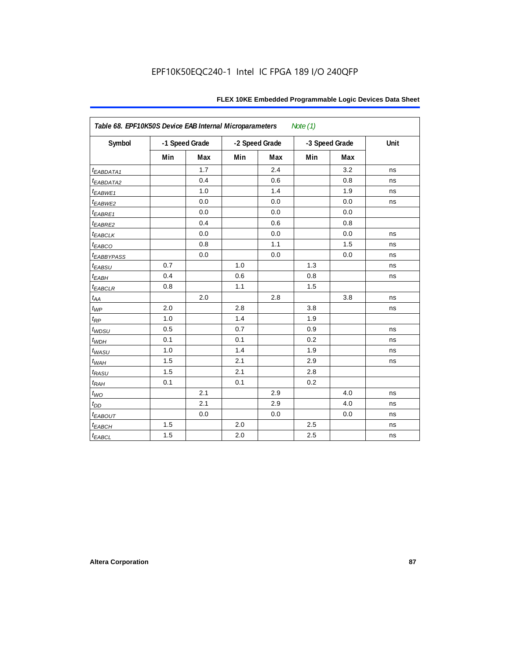| Table 68. EPF10K50S Device EAB Internal Microparameters<br>Note $(1)$ |     |                |     |                |     |                |      |  |  |  |
|-----------------------------------------------------------------------|-----|----------------|-----|----------------|-----|----------------|------|--|--|--|
| Symbol                                                                |     | -1 Speed Grade |     | -2 Speed Grade |     | -3 Speed Grade | Unit |  |  |  |
|                                                                       | Min | Max            | Min | Max            | Min | Max            |      |  |  |  |
| t <sub>EABDATA1</sub>                                                 |     | 1.7            |     | 2.4            |     | 3.2            | ns   |  |  |  |
| t <sub>EABDATA2</sub>                                                 |     | 0.4            |     | 0.6            |     | 0.8            | ns   |  |  |  |
| t <sub>EABWE1</sub>                                                   |     | 1.0            |     | 1.4            |     | 1.9            | ns   |  |  |  |
| t <sub>EABWE2</sub>                                                   |     | 0.0            |     | 0.0            |     | 0.0            | ns   |  |  |  |
| $t_{EABRE1}$                                                          |     | 0.0            |     | 0.0            |     | 0.0            |      |  |  |  |
| t <sub>EABRE2</sub>                                                   |     | 0.4            |     | 0.6            |     | 0.8            |      |  |  |  |
| $t_{EABCLK}$                                                          |     | 0.0            |     | 0.0            |     | 0.0            | ns   |  |  |  |
| $t_{EABCO}$                                                           |     | 0.8            |     | 1.1            |     | 1.5            | ns   |  |  |  |
| <b><i>EABBYPASS</i></b>                                               |     | 0.0            |     | 0.0            |     | 0.0            | ns   |  |  |  |
| $t_{EABSU}$                                                           | 0.7 |                | 1.0 |                | 1.3 |                | ns   |  |  |  |
| $t_{EABH}$                                                            | 0.4 |                | 0.6 |                | 0.8 |                | ns   |  |  |  |
| $t_{EABCLR}$                                                          | 0.8 |                | 1.1 |                | 1.5 |                |      |  |  |  |
| $t_{AA}$                                                              |     | 2.0            |     | 2.8            |     | 3.8            | ns   |  |  |  |
| $t_{WP}$                                                              | 2.0 |                | 2.8 |                | 3.8 |                | ns   |  |  |  |
| $t_{RP}$                                                              | 1.0 |                | 1.4 |                | 1.9 |                |      |  |  |  |
| $t_{WDSU}$                                                            | 0.5 |                | 0.7 |                | 0.9 |                | ns   |  |  |  |
| $t_{WDH}$                                                             | 0.1 |                | 0.1 |                | 0.2 |                | ns   |  |  |  |
| $t_{WASU}$                                                            | 1.0 |                | 1.4 |                | 1.9 |                | ns   |  |  |  |
| $t_{\textit{WAH}}$                                                    | 1.5 |                | 2.1 |                | 2.9 |                | ns   |  |  |  |
| $t_{RASU}$                                                            | 1.5 |                | 2.1 |                | 2.8 |                |      |  |  |  |
| $t_{RAH}$                                                             | 0.1 |                | 0.1 |                | 0.2 |                |      |  |  |  |
| $t_{WO}$                                                              |     | 2.1            |     | 2.9            |     | 4.0            | ns   |  |  |  |
| $t_{DD}$                                                              |     | 2.1            |     | 2.9            |     | 4.0            | ns   |  |  |  |
| $t_{EABOUT}$                                                          |     | 0.0            |     | 0.0            |     | 0.0            | ns   |  |  |  |
| $t_{EABCH}$                                                           | 1.5 |                | 2.0 |                | 2.5 |                | ns   |  |  |  |
| $t_{EABCL}$                                                           | 1.5 |                | 2.0 |                | 2.5 |                | ns   |  |  |  |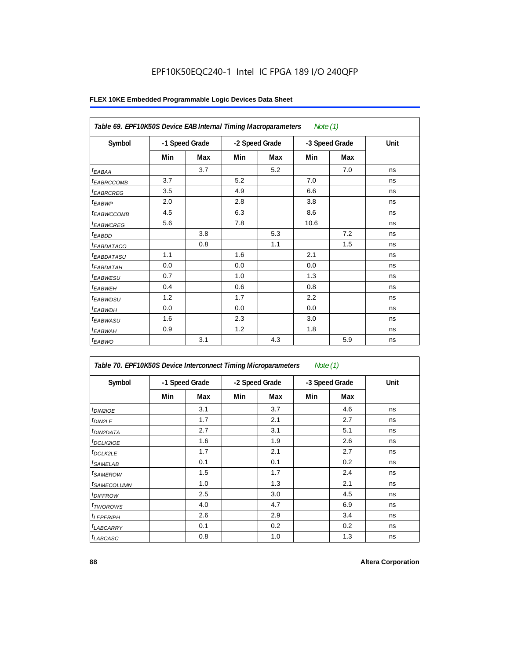| Table 69. EPF10K50S Device EAB Internal Timing Macroparameters |                |     |                |     | Note $(1)$     |     |      |
|----------------------------------------------------------------|----------------|-----|----------------|-----|----------------|-----|------|
| Symbol                                                         | -1 Speed Grade |     | -2 Speed Grade |     | -3 Speed Grade |     | Unit |
|                                                                | Min            | Max | Min            | Max | Min            | Max |      |
| $t_{EABA}$                                                     |                | 3.7 |                | 5.2 |                | 7.0 | ns   |
| <sup>t</sup> EABRCCOMB                                         | 3.7            |     | 5.2            |     | 7.0            |     | ns   |
| <sup>t</sup> EABRCREG                                          | 3.5            |     | 4.9            |     | 6.6            |     | ns   |
| $t_{EABWP}$                                                    | 2.0            |     | 2.8            |     | 3.8            |     | ns   |
| <sup>t</sup> EABWCCOMB                                         | 4.5            |     | 6.3            |     | 8.6            |     | ns   |
| <b><i>EABWCREG</i></b>                                         | 5.6            |     | 7.8            |     | 10.6           |     | ns   |
| $t_{EABDD}$                                                    |                | 3.8 |                | 5.3 |                | 7.2 | ns   |
| <i>EABDATACO</i>                                               |                | 0.8 |                | 1.1 |                | 1.5 | ns   |
| <i>t<sub>EABDATASU</sub></i>                                   | 1.1            |     | 1.6            |     | 2.1            |     | ns   |
| t <sub>EABDATAH</sub>                                          | 0.0            |     | 0.0            |     | 0.0            |     | ns   |
| t <sub>EABWESU</sub>                                           | 0.7            |     | 1.0            |     | 1.3            |     | ns   |
| $t_{EABWEH}$                                                   | 0.4            |     | 0.6            |     | 0.8            |     | ns   |
| <sup>t</sup> EABWDSU                                           | 1.2            |     | 1.7            |     | 2.2            |     | ns   |
| t <sub>EABWDH</sub>                                            | 0.0            |     | 0.0            |     | 0.0            |     | ns   |
| <sup>t</sup> EABWASU                                           | 1.6            |     | 2.3            |     | 3.0            |     | ns   |
| <sup>t</sup> EABWAH                                            | 0.9            |     | 1.2            |     | 1.8            |     | ns   |
| $t_{EABWO}$                                                    |                | 3.1 |                | 4.3 |                | 5.9 | ns   |

| Table 70. EPF10K50S Device Interconnect Timing Microparameters<br>Note (1) |     |                |     |                |                |     |      |  |  |  |
|----------------------------------------------------------------------------|-----|----------------|-----|----------------|----------------|-----|------|--|--|--|
| Symbol                                                                     |     | -1 Speed Grade |     | -2 Speed Grade | -3 Speed Grade |     | Unit |  |  |  |
|                                                                            | Min | Max            | Min | Max            | Min            | Max |      |  |  |  |
| $t_{DIN2IOE}$                                                              |     | 3.1            |     | 3.7            |                | 4.6 | ns   |  |  |  |
| t <sub>DIN2LE</sub>                                                        |     | 1.7            |     | 2.1            |                | 2.7 | ns   |  |  |  |
| <sup>t</sup> DIN2DATA                                                      |     | 2.7            |     | 3.1            |                | 5.1 | ns   |  |  |  |
| <sup>t</sup> DCLK2IOE                                                      |     | 1.6            |     | 1.9            |                | 2.6 | ns   |  |  |  |
| <sup>t</sup> DCLK2LE                                                       |     | 1.7            |     | 2.1            |                | 2.7 | ns   |  |  |  |
| <sup>t</sup> SAMELAB                                                       |     | 0.1            |     | 0.1            |                | 0.2 | ns   |  |  |  |
| <sup>t</sup> SAMEROW                                                       |     | 1.5            |     | 1.7            |                | 2.4 | ns   |  |  |  |
| <sup>t</sup> SAMECOLUMN                                                    |     | 1.0            |     | 1.3            |                | 2.1 | ns   |  |  |  |
| <i>t<sub>DIFFROW</sub></i>                                                 |     | 2.5            |     | 3.0            |                | 4.5 | ns   |  |  |  |
| <sup>t</sup> TWOROWS                                                       |     | 4.0            |     | 4.7            |                | 6.9 | ns   |  |  |  |
| <sup>t</sup> LEPERIPH                                                      |     | 2.6            |     | 2.9            |                | 3.4 | ns   |  |  |  |
| <sup>t</sup> LABCARRY                                                      |     | 0.1            |     | 0.2            |                | 0.2 | ns   |  |  |  |
| <sup>t</sup> LABCASC                                                       |     | 0.8            |     | 1.0            |                | 1.3 | ns   |  |  |  |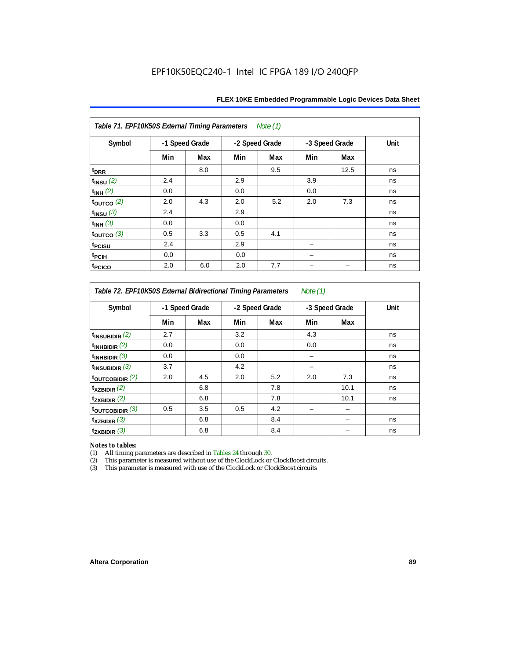| Table 71. EPF10K50S External Timing Parameters Note (1) |     |                |     |                |     |                |      |  |  |  |  |
|---------------------------------------------------------|-----|----------------|-----|----------------|-----|----------------|------|--|--|--|--|
| Symbol                                                  |     | -1 Speed Grade |     | -2 Speed Grade |     | -3 Speed Grade | Unit |  |  |  |  |
|                                                         | Min | Max            | Min | Max            | Min | Max            |      |  |  |  |  |
| t <sub>DRR</sub>                                        |     | 8.0            |     | 9.5            |     | 12.5           | ns   |  |  |  |  |
| $t_{INSU}$ (2)                                          | 2.4 |                | 2.9 |                | 3.9 |                | ns   |  |  |  |  |
| $t_{INH}$ (2)                                           | 0.0 |                | 0.0 |                | 0.0 |                | ns   |  |  |  |  |
| $t_{OUTCO}$ (2)                                         | 2.0 | 4.3            | 2.0 | 5.2            | 2.0 | 7.3            | ns   |  |  |  |  |
| $t_{INSU}$ (3)                                          | 2.4 |                | 2.9 |                |     |                | ns   |  |  |  |  |
| $t_{INH}$ (3)                                           | 0.0 |                | 0.0 |                |     |                | ns   |  |  |  |  |
| $t_{\text{OUTCO}}$ (3)                                  | 0.5 | 3.3            | 0.5 | 4.1            |     |                | ns   |  |  |  |  |
| t <sub>PCISU</sub>                                      | 2.4 |                | 2.9 |                |     |                | ns   |  |  |  |  |
| t <sub>PCIH</sub>                                       | 0.0 |                | 0.0 |                |     |                | ns   |  |  |  |  |
| <sup>t</sup> PCICO                                      | 2.0 | 6.0            | 2.0 | 7.7            |     |                | ns   |  |  |  |  |

*Table 72. EPF10K50S External Bidirectional Timing Parameters Note (1)*

| Symbol                     |     | -1 Speed Grade |     | -2 Speed Grade |     | -3 Speed Grade | Unit |
|----------------------------|-----|----------------|-----|----------------|-----|----------------|------|
|                            | Min | Max            | Min | Max            | Min | Max            |      |
| $t_{INSUBIDIR}$ (2)        | 2.7 |                | 3.2 |                | 4.3 |                | ns   |
| $t_{INHBIDIR}$ (2)         | 0.0 |                | 0.0 |                | 0.0 |                | ns   |
| $t_{INHBIDIR}$ (3)         | 0.0 |                | 0.0 |                |     |                | ns   |
| $t_{INSUBIDIR}$ (3)        | 3.7 |                | 4.2 |                |     |                | ns   |
| $t_{\text{OUTCOBIDIR}}(2)$ | 2.0 | 4.5            | 2.0 | 5.2            | 2.0 | 7.3            | ns   |
| $t_{XZBIDIR}$ (2)          |     | 6.8            |     | 7.8            |     | 10.1           | ns   |
| $t_{ZXBIDIR}$ (2)          |     | 6.8            |     | 7.8            |     | 10.1           | ns   |
| toutcobidir $(3)$          | 0.5 | 3.5            | 0.5 | 4.2            |     |                |      |
| $t_{XZBIDIR}$ (3)          |     | 6.8            |     | 8.4            |     |                | ns   |
| $t_{ZXBIDIR}$ (3)          |     | 6.8            |     | 8.4            |     |                | ns   |

*Notes to tables:* All timing parameters are described in Tables 24 through 30.

(2) This parameter is measured without use of the ClockLock or ClockBoost circuits.<br>(3) This parameter is measured with use of the ClockLock or ClockBoost circuits

This parameter is measured with use of the ClockLock or ClockBoost circuits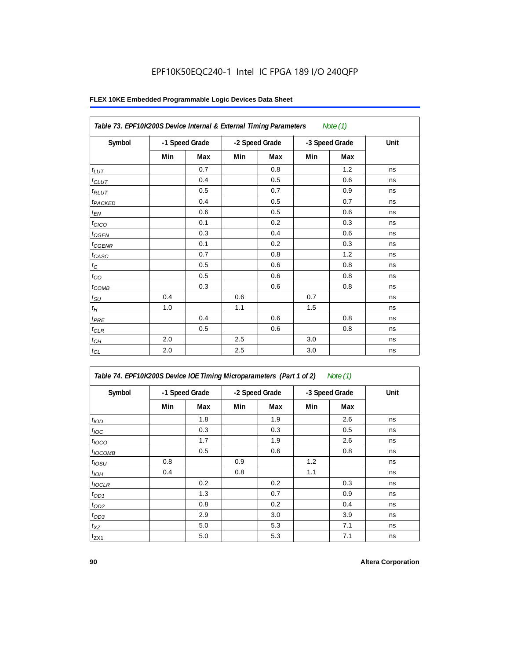| Table 73. EPF10K200S Device Internal & External Timing Parameters |                |     |     |                |     | Note $(1)$     |      |
|-------------------------------------------------------------------|----------------|-----|-----|----------------|-----|----------------|------|
| Symbol                                                            | -1 Speed Grade |     |     | -2 Speed Grade |     | -3 Speed Grade | Unit |
|                                                                   | Min            | Max | Min | Max            | Min | Max            |      |
| $t_{LUT}$                                                         |                | 0.7 |     | 0.8            |     | 1.2            | ns   |
| $t_{CLUT}$                                                        |                | 0.4 |     | 0.5            |     | 0.6            | ns   |
| $t_{RLUT}$                                                        |                | 0.5 |     | 0.7            |     | 0.9            | ns   |
| t <sub>PACKED</sub>                                               |                | 0.4 |     | 0.5            |     | 0.7            | ns   |
| $t_{EN}$                                                          |                | 0.6 |     | 0.5            |     | 0.6            | ns   |
| $t_{CICO}$                                                        |                | 0.1 |     | 0.2            |     | 0.3            | ns   |
| $t_{CGEN}$                                                        |                | 0.3 |     | 0.4            |     | 0.6            | ns   |
| $t_{\text{GENR}}$                                                 |                | 0.1 |     | 0.2            |     | 0.3            | ns   |
| $t_{CASC}$                                                        |                | 0.7 |     | 0.8            |     | 1.2            | ns   |
| $t_{\rm C}$                                                       |                | 0.5 |     | 0.6            |     | 0.8            | ns   |
| $t_{CO}$                                                          |                | 0.5 |     | 0.6            |     | 0.8            | ns   |
| $t_{COMB}$                                                        |                | 0.3 |     | 0.6            |     | 0.8            | ns   |
| $t_{\rm SU}$                                                      | 0.4            |     | 0.6 |                | 0.7 |                | ns   |
| $t_H\,$                                                           | 1.0            |     | 1.1 |                | 1.5 |                | ns   |
| $t_{PRE}$                                                         |                | 0.4 |     | 0.6            |     | 0.8            | ns   |
| $t_{CLR}$                                                         |                | 0.5 |     | 0.6            |     | 0.8            | ns   |
| $t_{CH}$                                                          | 2.0            |     | 2.5 |                | 3.0 |                | ns   |
| $t_{CL}$                                                          | 2.0            |     | 2.5 |                | 3.0 |                | ns   |

| Table 74. EPF10K200S Device IOE Timing Microparameters (Part 1 of 2) Note (1) |  |  |  |
|-------------------------------------------------------------------------------|--|--|--|
|-------------------------------------------------------------------------------|--|--|--|

| Symbol           | -1 Speed Grade |     |     | -2 Speed Grade |     | -3 Speed Grade | Unit |
|------------------|----------------|-----|-----|----------------|-----|----------------|------|
|                  | Min            | Max | Min | Max            | Min | Max            |      |
| t <sub>IOD</sub> |                | 1.8 |     | 1.9            |     | 2.6            | ns   |
| $t_{\text{IOC}}$ |                | 0.3 |     | 0.3            |     | 0.5            | ns   |
| $t_{IOCO}$       |                | 1.7 |     | 1.9            |     | 2.6            | ns   |
| $t_{IOCOMB}$     |                | 0.5 |     | 0.6            |     | 0.8            | ns   |
| $t_{IOSU}$       | 0.8            |     | 0.9 |                | 1.2 |                | ns   |
| $t_{IOH}$        | 0.4            |     | 0.8 |                | 1.1 |                | ns   |
| $t_{IOCLR}$      |                | 0.2 |     | 0.2            |     | 0.3            | ns   |
| $t_{OD1}$        |                | 1.3 |     | 0.7            |     | 0.9            | ns   |
| $t_{OD2}$        |                | 0.8 |     | 0.2            |     | 0.4            | ns   |
| $t_{OD3}$        |                | 2.9 |     | 3.0            |     | 3.9            | ns   |
| $t_{XZ}$         |                | 5.0 |     | 5.3            |     | 7.1            | ns   |
| $t_{ZX1}$        |                | 5.0 |     | 5.3            |     | 7.1            | ns   |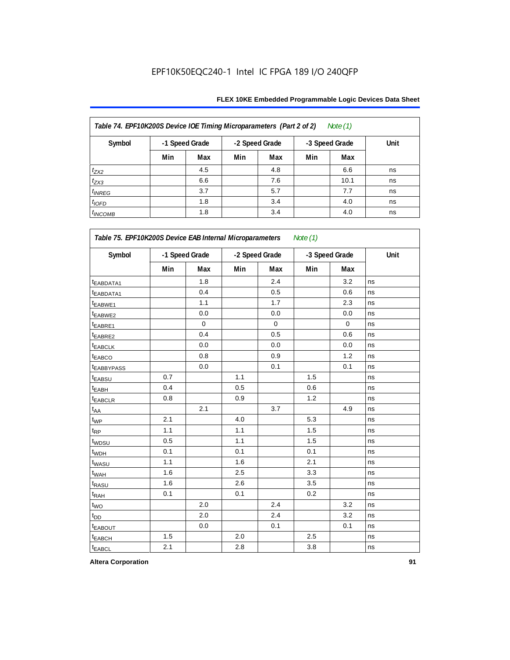| Table 74. EPF10K200S Device IOE Timing Microparameters (Part 2 of 2)<br>Note $(1)$ |                |     |     |                |     |                |      |  |  |  |  |
|------------------------------------------------------------------------------------|----------------|-----|-----|----------------|-----|----------------|------|--|--|--|--|
| Symbol                                                                             | -1 Speed Grade |     |     | -2 Speed Grade |     | -3 Speed Grade | Unit |  |  |  |  |
|                                                                                    | Min            | Max | Min | Max            | Min | Max            |      |  |  |  |  |
| $t_{ZX2}$                                                                          |                | 4.5 |     | 4.8            |     | 6.6            | ns   |  |  |  |  |
| $t_{ZX3}$                                                                          |                | 6.6 |     | 7.6            |     | 10.1           | ns   |  |  |  |  |
| $t_{INREG}$                                                                        |                | 3.7 |     | 5.7            |     | 7.7            | ns   |  |  |  |  |
| $t_{IOFD}$                                                                         |                | 1.8 |     | 3.4            |     | 4.0            | ns   |  |  |  |  |
| $t_{INCOMB}$                                                                       |                | 1.8 |     | 3.4            |     | 4.0            | ns   |  |  |  |  |

| Symbol                  | -1 Speed Grade |          | -2 Speed Grade |          | -3 Speed Grade |          | Unit |  |
|-------------------------|----------------|----------|----------------|----------|----------------|----------|------|--|
|                         | Min            | Max      | Min            | Max      | Min            | Max      |      |  |
| <sup>t</sup> EABDATA1   |                | 1.8      |                | 2.4      |                | 3.2      | ns   |  |
| t <sub>EABDATA1</sub>   |                | 0.4      |                | 0.5      |                | 0.6      | ns   |  |
| t <sub>EABWE1</sub>     |                | 1.1      |                | 1.7      |                | 2.3      | ns   |  |
| t <sub>EABWE2</sub>     |                | 0.0      |                | 0.0      |                | 0.0      | ns   |  |
| t <sub>EABRE1</sub>     |                | $\Omega$ |                | $\Omega$ |                | $\Omega$ | ns   |  |
| t <sub>EABRE2</sub>     |                | 0.4      |                | 0.5      |                | 0.6      | ns   |  |
| t <sub>EABCLK</sub>     |                | 0.0      |                | 0.0      |                | 0.0      | ns   |  |
| t <sub>EABCO</sub>      |                | 0.8      |                | 0.9      |                | 1.2      | ns   |  |
| <b><i>EABBYPASS</i></b> |                | 0.0      |                | 0.1      |                | 0.1      | ns   |  |
| t <sub>EABSU</sub>      | 0.7            |          | 1.1            |          | 1.5            |          | ns   |  |
| t <sub>EABH</sub>       | 0.4            |          | 0.5            |          | 0.6            |          | ns   |  |
| t <sub>EABCLR</sub>     | 0.8            |          | 0.9            |          | 1.2            |          | ns   |  |
| $t_{AA}$                |                | 2.1      |                | 3.7      |                | 4.9      | ns   |  |
| $t_{WP}$                | 2.1            |          | 4.0            |          | 5.3            |          | ns   |  |
| $t_{\mathsf{RP}}$       | 1.1            |          | 1.1            |          | 1.5            |          | ns   |  |
| t <sub>WDSU</sub>       | 0.5            |          | 1.1            |          | 1.5            |          | ns   |  |
| t <sub>WDH</sub>        | 0.1            |          | 0.1            |          | 0.1            |          | ns   |  |
| t <sub>WASU</sub>       | 1.1            |          | 1.6            |          | 2.1            |          | ns   |  |
| t <sub>WAH</sub>        | 1.6            |          | 2.5            |          | 3.3            |          | ns   |  |
| t <sub>RASU</sub>       | 1.6            |          | 2.6            |          | 3.5            |          | ns   |  |
| t <sub>RAH</sub>        | 0.1            |          | 0.1            |          | 0.2            |          | ns   |  |
| t <sub>WO</sub>         |                | 2.0      |                | 2.4      |                | 3.2      | ns   |  |
| t <sub>DD</sub>         |                | 2.0      |                | 2.4      |                | 3.2      | ns   |  |
| <b><i>EABOUT</i></b>    |                | 0.0      |                | 0.1      |                | 0.1      | ns   |  |
| t <sub>EABCH</sub>      | 1.5            |          | 2.0            |          | 2.5            |          | ns   |  |
| t <sub>EABCL</sub>      | 2.1            |          | 2.8            |          | 3.8            |          | ns   |  |

**Altera Corporation 91**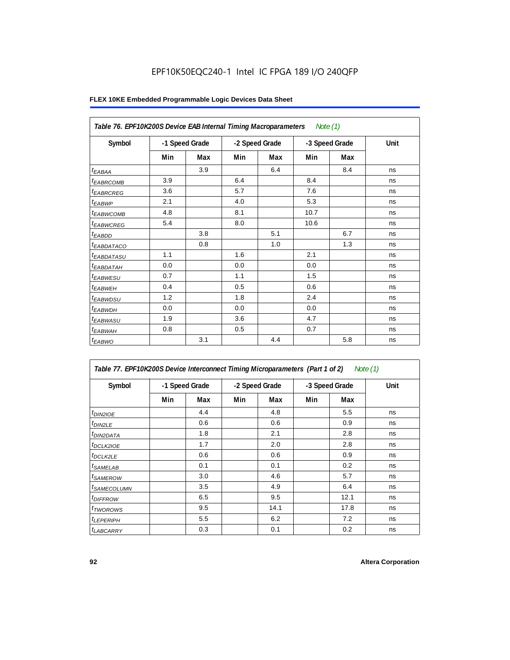| Table 76. EPF10K200S Device EAB Internal Timing Macroparameters |                |     |                |     | Note (1)       |     |      |
|-----------------------------------------------------------------|----------------|-----|----------------|-----|----------------|-----|------|
| Symbol                                                          | -1 Speed Grade |     | -2 Speed Grade |     | -3 Speed Grade |     | Unit |
|                                                                 | Min            | Max | Min            | Max | Min            | Max |      |
| $t_{EABA}$                                                      |                | 3.9 |                | 6.4 |                | 8.4 | ns   |
| <sup>t</sup> EABRCOMB                                           | 3.9            |     | 6.4            |     | 8.4            |     | ns   |
| <sup>t</sup> EABRCREG                                           | 3.6            |     | 5.7            |     | 7.6            |     | ns   |
| <sup>t</sup> EABWP                                              | 2.1            |     | 4.0            |     | 5.3            |     | ns   |
| <sup>t</sup> EABWCOMB                                           | 4.8            |     | 8.1            |     | 10.7           |     | ns   |
| <sup>t</sup> EABWCREG                                           | 5.4            |     | 8.0            |     | 10.6           |     | ns   |
| $t_{EABDD}$                                                     |                | 3.8 |                | 5.1 |                | 6.7 | ns   |
| <sup>t</sup> EABDATACO                                          |                | 0.8 |                | 1.0 |                | 1.3 | ns   |
| <sup>t</sup> EABDATASU                                          | 1.1            |     | 1.6            |     | 2.1            |     | ns   |
| <sup>t</sup> EABDATAH                                           | 0.0            |     | 0.0            |     | 0.0            |     | ns   |
| <sup>t</sup> EABWESU                                            | 0.7            |     | 1.1            |     | 1.5            |     | ns   |
| <sup>t</sup> EABWEH                                             | 0.4            |     | 0.5            |     | 0.6            |     | ns   |
| <sup>t</sup> EABWDSU                                            | 1.2            |     | 1.8            |     | 2.4            |     | ns   |
| <sup>t</sup> EABWDH                                             | 0.0            |     | 0.0            |     | 0.0            |     | ns   |
| <sup>t</sup> EABWASU                                            | 1.9            |     | 3.6            |     | 4.7            |     | ns   |
| <sup>t</sup> EABWAH                                             | 0.8            |     | 0.5            |     | 0.7            |     | ns   |
| $t_{EABWO}$                                                     |                | 3.1 |                | 4.4 |                | 5.8 | ns   |

| Table 77. EPF10K200S Device Interconnect Timing Microparameters (Part 1 of 2)<br>Note (1) |     |                |     |                |     |                |      |  |  |  |
|-------------------------------------------------------------------------------------------|-----|----------------|-----|----------------|-----|----------------|------|--|--|--|
| Symbol                                                                                    |     | -1 Speed Grade |     | -2 Speed Grade |     | -3 Speed Grade | Unit |  |  |  |
|                                                                                           | Min | Max            | Min | Max            | Min | Max            |      |  |  |  |
| $t_{DIN2IOE}$                                                                             |     | 4.4            |     | 4.8            |     | 5.5            | ns   |  |  |  |
| $t_{DIN2LE}$                                                                              |     | 0.6            |     | 0.6            |     | 0.9            | ns   |  |  |  |
| <sup>t</sup> DIN2DATA                                                                     |     | 1.8            |     | 2.1            |     | 2.8            | ns   |  |  |  |
| <sup>t</sup> DCLK2IOE                                                                     |     | 1.7            |     | 2.0            |     | 2.8            | ns   |  |  |  |
| <sup>t</sup> DCLK2LE                                                                      |     | 0.6            |     | 0.6            |     | 0.9            | ns   |  |  |  |
| <sup>t</sup> SAMELAB                                                                      |     | 0.1            |     | 0.1            |     | 0.2            | ns   |  |  |  |
| <sup>t</sup> SAMEROW                                                                      |     | 3.0            |     | 4.6            |     | 5.7            | ns   |  |  |  |
| <sup>t</sup> SAMECOLUMN                                                                   |     | 3.5            |     | 4.9            |     | 6.4            | ns   |  |  |  |
| <sup>t</sup> DIFFROW                                                                      |     | 6.5            |     | 9.5            |     | 12.1           | ns   |  |  |  |
| <sup>t</sup> TWOROWS                                                                      |     | 9.5            |     | 14.1           |     | 17.8           | ns   |  |  |  |
| <sup>t</sup> LEPERIPH                                                                     |     | 5.5            |     | 6.2            |     | 7.2            | ns   |  |  |  |
| <b><i>LABCARRY</i></b>                                                                    |     | 0.3            |     | 0.1            |     | 0.2            | ns   |  |  |  |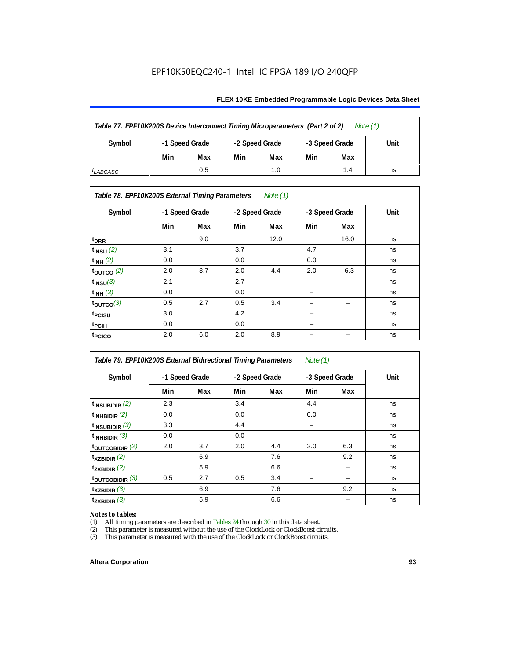#### **FLEX 10KE Embedded Programmable Logic Devices Data Sheet**

| Table 77. EPF10K200S Device Interconnect Timing Microparameters (Part 2 of 2)<br>Note $(1)$ |     |                                  |     |                |     |      |    |  |  |
|---------------------------------------------------------------------------------------------|-----|----------------------------------|-----|----------------|-----|------|----|--|--|
| Symbol                                                                                      |     | -1 Speed Grade<br>-2 Speed Grade |     | -3 Speed Grade |     | Unit |    |  |  |
|                                                                                             | Min | Max                              | Min | Max            | Min | Max  |    |  |  |
| <sup>I</sup> LABCASC                                                                        |     | 0.5                              |     | 1.0            |     | 1.4  | ns |  |  |

### *Table 78. EPF10K200S External Timing Parameters Note (1)*

| Symbol                    |     | -1 Speed Grade |     | -2 Speed Grade |     | -3 Speed Grade | Unit |
|---------------------------|-----|----------------|-----|----------------|-----|----------------|------|
|                           | Min | Max            | Min | Max            | Min | Max            |      |
| t <sub>DRR</sub>          |     | 9.0            |     | 12.0           |     | 16.0           | ns   |
| $t$ <sub>INSU</sub> $(2)$ | 3.1 |                | 3.7 |                | 4.7 |                | ns   |
| $t_{INH}$ (2)             | 0.0 |                | 0.0 |                | 0.0 |                | ns   |
| $t_{\text{OUTCO}}(2)$     | 2.0 | 3.7            | 2.0 | 4.4            | 2.0 | 6.3            | ns   |
| $t_{INSU}(3)$             | 2.1 |                | 2.7 |                |     |                | ns   |
| $t_{INH}$ (3)             | 0.0 |                | 0.0 |                | -   |                | ns   |
| $t_{OUTCO}(3)$            | 0.5 | 2.7            | 0.5 | 3.4            | -   | -              | ns   |
| t <sub>PCISU</sub>        | 3.0 |                | 4.2 |                | -   |                | ns   |
| <sup>t</sup> PCIH         | 0.0 |                | 0.0 |                | -   |                | ns   |
| t <sub>PCICO</sub>        | 2.0 | 6.0            | 2.0 | 8.9            |     |                | ns   |

| Table 79. EPF10K200S External Bidirectional Timing Parameters<br>Note $(1)$ |                |     |                |     |                |     |      |
|-----------------------------------------------------------------------------|----------------|-----|----------------|-----|----------------|-----|------|
| Symbol                                                                      | -1 Speed Grade |     | -2 Speed Grade |     | -3 Speed Grade |     | Unit |
|                                                                             | Min            | Max | Min            | Max | Min            | Max |      |
| $t_{\text{INSUBIDIR}}(2)$                                                   | 2.3            |     | 3.4            |     | 4.4            |     | ns   |
| $t_{INHBIDIR}$ (2)                                                          | 0.0            |     | 0.0            |     | 0.0            |     | ns   |
| $t_{INSUBIDIR}$ (3)                                                         | 3.3            |     | 4.4            |     |                |     | ns   |
| $t_{INHBIDIR}$ (3)                                                          | 0.0            |     | 0.0            |     |                |     | ns   |
| toutcobidir $(2)$                                                           | 2.0            | 3.7 | 2.0            | 4.4 | 2.0            | 6.3 | ns   |
| $t_{XZBIDIR}$ (2)                                                           |                | 6.9 |                | 7.6 |                | 9.2 | ns   |
| $t_{ZXBIDIR}$ (2)                                                           |                | 5.9 |                | 6.6 |                |     | ns   |
| $t_{\text{OUTC}OBIDIR}$ (3)                                                 | 0.5            | 2.7 | 0.5            | 3.4 |                |     | ns   |
| $t_{XZBIDIR}$ (3)                                                           |                | 6.9 |                | 7.6 |                | 9.2 | ns   |
| $t_{ZXBIDIR}$ (3)                                                           |                | 5.9 |                | 6.6 |                |     | ns   |

# *Notes to tables:*<br>(1) All timing p

(1) All timing parameters are described in Tables  $24$  through  $30$  in this data sheet.<br>
(2) This parameter is measured without the use of the ClockLock or ClockBoost ci

(2) This parameter is measured without the use of the ClockLock or ClockBoost circuits.<br>(3) This parameter is measured with the use of the ClockLock or ClockBoost circuits.

This parameter is measured with the use of the ClockLock or ClockBoost circuits.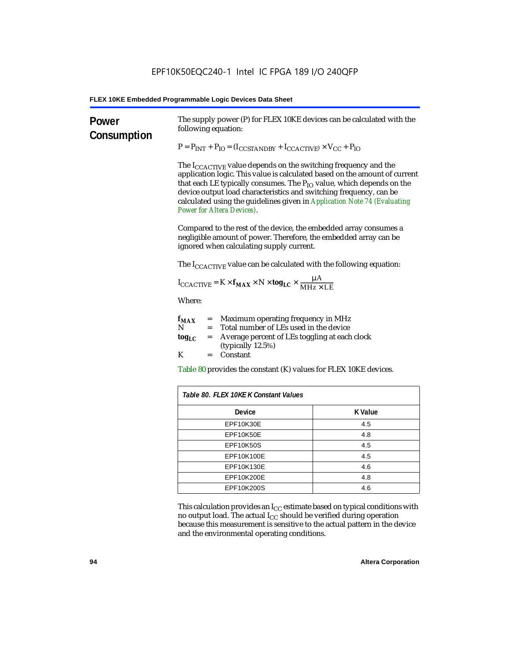| Power<br>Consumption | The supply power (P) for FLEX 10KE devices can be calculated with the<br>following equation:                                                                                                                                                                                                                                                                                                                                 |                |  |  |
|----------------------|------------------------------------------------------------------------------------------------------------------------------------------------------------------------------------------------------------------------------------------------------------------------------------------------------------------------------------------------------------------------------------------------------------------------------|----------------|--|--|
|                      | $P = P_{INT} + P_{IO} = (I_{COSTANDBY} + I_{CCACTIVE}) \times V_{CC} + P_{IO}$                                                                                                                                                                                                                                                                                                                                               |                |  |  |
|                      | The $I_{\text{CCACTIVE}}$ value depends on the switching frequency and the<br>application logic. This value is calculated based on the amount of current<br>that each LE typically consumes. The $P_{IO}$ value, which depends on the<br>device output load characteristics and switching frequency, can be<br>calculated using the guidelines given in Application Note 74 (Evaluating<br><b>Power for Altera Devices).</b> |                |  |  |
|                      | Compared to the rest of the device, the embedded array consumes a<br>negligible amount of power. Therefore, the embedded array can be<br>ignored when calculating supply current.                                                                                                                                                                                                                                            |                |  |  |
|                      | The $I_{\text{CCACTIVE}}$ value can be calculated with the following equation:                                                                                                                                                                                                                                                                                                                                               |                |  |  |
|                      | $I_{\text{CCACTIVE}} = K \times f_{\text{MAX}} \times N \times \text{tog}_{\text{LC}} \times \frac{\mu A}{\text{MHz} \times \text{LE}}$                                                                                                                                                                                                                                                                                      |                |  |  |
|                      | Where:                                                                                                                                                                                                                                                                                                                                                                                                                       |                |  |  |
|                      | = Maximum operating frequency in MHz<br>$f_{MAX}$<br>N<br>Total number of LEs used in the device<br>$=$ $-$                                                                                                                                                                                                                                                                                                                  |                |  |  |
|                      | Average percent of LEs toggling at each clock<br>$log_{LC}$<br>$=$<br>(typically 12.5%)                                                                                                                                                                                                                                                                                                                                      |                |  |  |
|                      | K<br>$=$ Constant                                                                                                                                                                                                                                                                                                                                                                                                            |                |  |  |
|                      | Table 80 provides the constant (K) values for FLEX 10KE devices.                                                                                                                                                                                                                                                                                                                                                             |                |  |  |
|                      | Table 80. FLEX 10KE K Constant Values                                                                                                                                                                                                                                                                                                                                                                                        |                |  |  |
|                      | Device                                                                                                                                                                                                                                                                                                                                                                                                                       | <b>K</b> Value |  |  |
|                      | EPF10K30E                                                                                                                                                                                                                                                                                                                                                                                                                    | 4.5            |  |  |
|                      | EPF10K50E<br>4.8                                                                                                                                                                                                                                                                                                                                                                                                             |                |  |  |
|                      | <b>EPF10K50S</b><br>4.5                                                                                                                                                                                                                                                                                                                                                                                                      |                |  |  |
|                      | EPF10K100E<br>4.5                                                                                                                                                                                                                                                                                                                                                                                                            |                |  |  |
|                      | EPF10K130E                                                                                                                                                                                                                                                                                                                                                                                                                   | 4.6            |  |  |
|                      | EPF10K200E<br>4.8                                                                                                                                                                                                                                                                                                                                                                                                            |                |  |  |
|                      | EPF10K200S                                                                                                                                                                                                                                                                                                                                                                                                                   | 4.6            |  |  |

This calculation provides an  $\rm I_{CC}$  estimate based on typical conditions with no output load. The actual I $_{\rm CC}$  should be verified during operation because this measurement is sensitive to the actual pattern in the device and the environmental operating conditions.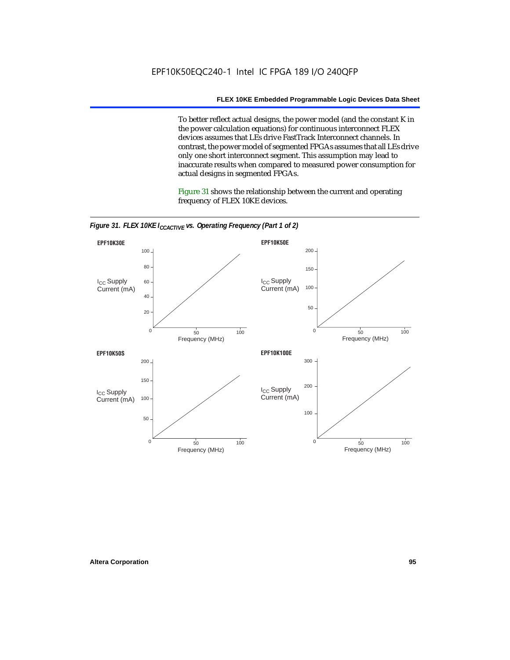To better reflect actual designs, the power model (and the constant K in the power calculation equations) for continuous interconnect FLEX devices assumes that LEs drive FastTrack Interconnect channels. In contrast, the power model of segmented FPGAs assumes that all LEs drive only one short interconnect segment. This assumption may lead to inaccurate results when compared to measured power consumption for actual designs in segmented FPGAs.

Figure 31 shows the relationship between the current and operating frequency of FLEX 10KE devices.



*Figure 31. FLEX 10KE I<sub>CCACTIVE</sub> vs. Operating Frequency (Part 1 of 2)*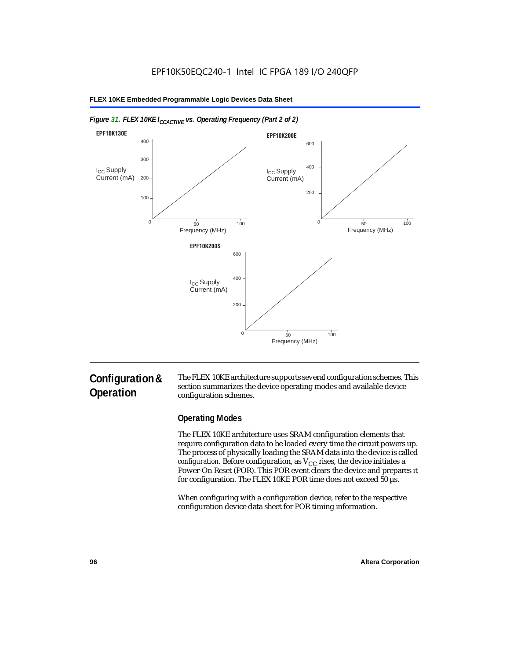

#### *Figure 31. FLEX 10KE I<sub>CCACTIVE</sub> vs. Operating Frequency (Part 2 of 2)*

# **Configuration & Operation**

The FLEX 10KE architecture supports several configuration schemes. This section summarizes the device operating modes and available device configuration schemes.

### **Operating Modes**

The FLEX 10KE architecture uses SRAM configuration elements that require configuration data to be loaded every time the circuit powers up. The process of physically loading the SRAM data into the device is called *configuration.* Before configuration, as  $V_{CC}$  rises, the device initiates a Power-On Reset (POR). This POR event clears the device and prepares it for configuration. The FLEX 10KE POR time does not exceed 50 µs.

When configuring with a configuration device, refer to the respective configuration device data sheet for POR timing information.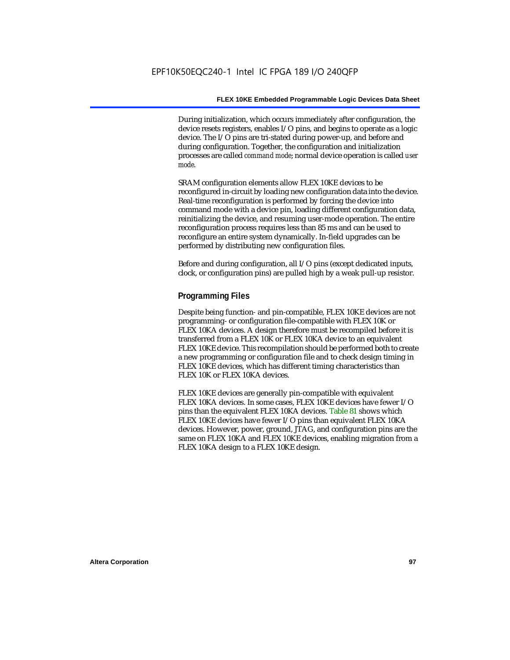During initialization, which occurs immediately after configuration, the device resets registers, enables I/O pins, and begins to operate as a logic device. The I/O pins are tri-stated during power-up, and before and during configuration. Together, the configuration and initialization processes are called *command mode*; normal device operation is called *user mode*.

SRAM configuration elements allow FLEX 10KE devices to be reconfigured in-circuit by loading new configuration data into the device. Real-time reconfiguration is performed by forcing the device into command mode with a device pin, loading different configuration data, reinitializing the device, and resuming user-mode operation. The entire reconfiguration process requires less than 85 ms and can be used to reconfigure an entire system dynamically. In-field upgrades can be performed by distributing new configuration files.

Before and during configuration, all I/O pins (except dedicated inputs, clock, or configuration pins) are pulled high by a weak pull-up resistor.

### **Programming Files**

Despite being function- and pin-compatible, FLEX 10KE devices are not programming- or configuration file-compatible with FLEX 10K or FLEX 10KA devices. A design therefore must be recompiled before it is transferred from a FLEX 10K or FLEX 10KA device to an equivalent FLEX 10KE device. This recompilation should be performed both to create a new programming or configuration file and to check design timing in FLEX 10KE devices, which has different timing characteristics than FLEX 10K or FLEX 10KA devices.

FLEX 10KE devices are generally pin-compatible with equivalent FLEX 10KA devices. In some cases, FLEX 10KE devices have fewer I/O pins than the equivalent FLEX 10KA devices. Table 81 shows which FLEX 10KE devices have fewer I/O pins than equivalent FLEX 10KA devices. However, power, ground, JTAG, and configuration pins are the same on FLEX 10KA and FLEX 10KE devices, enabling migration from a FLEX 10KA design to a FLEX 10KE design.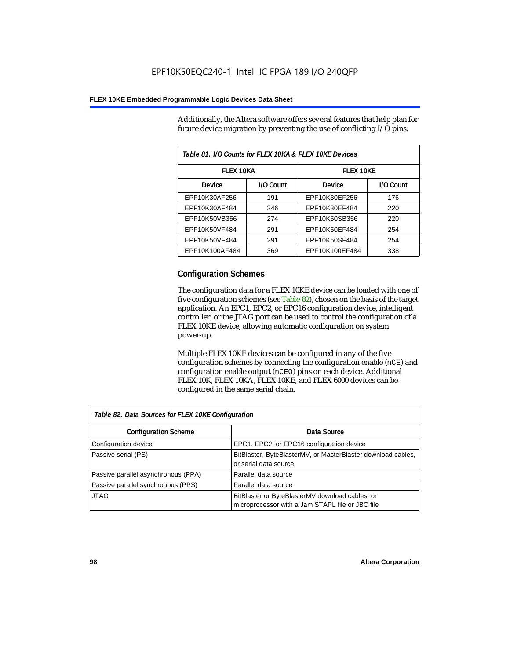Additionally, the Altera software offers several features that help plan for future device migration by preventing the use of conflicting I/O pins.

| Table 81. I/O Counts for FLEX 10KA & FLEX 10KE Devices |           |                  |           |  |
|--------------------------------------------------------|-----------|------------------|-----------|--|
| <b>FLEX 10KA</b>                                       |           | <b>FLEX 10KE</b> |           |  |
| <b>Device</b>                                          | I/O Count | Device           | I/O Count |  |
| EPF10K30AF256                                          | 191       | EPF10K30EF256    | 176       |  |
| EPF10K30AF484                                          | 246       | EPF10K30EF484    | 220       |  |
| EPF10K50VB356                                          | 274       | EPF10K50SB356    | 220       |  |
| EPF10K50VF484                                          | 291       | EPF10K50EF484    | 254       |  |
| EPF10K50VF484                                          | 291       | EPF10K50SF484    | 254       |  |
| EPF10K100AF484                                         | 369       | EPF10K100EF484   | 338       |  |

### **Configuration Schemes**

The configuration data for a FLEX 10KE device can be loaded with one of five configuration schemes (see Table 82), chosen on the basis of the target application. An EPC1, EPC2, or EPC16 configuration device, intelligent controller, or the JTAG port can be used to control the configuration of a FLEX 10KE device, allowing automatic configuration on system power-up.

Multiple FLEX 10KE devices can be configured in any of the five configuration schemes by connecting the configuration enable (nCE) and configuration enable output (nCEO) pins on each device. Additional FLEX 10K, FLEX 10KA, FLEX 10KE, and FLEX 6000 devices can be configured in the same serial chain.

| Table 82. Data Sources for FLEX 10KE Configuration |                                                                                                     |  |
|----------------------------------------------------|-----------------------------------------------------------------------------------------------------|--|
| <b>Configuration Scheme</b>                        | Data Source                                                                                         |  |
| Configuration device                               | EPC1, EPC2, or EPC16 configuration device                                                           |  |
| Passive serial (PS)                                | BitBlaster, ByteBlasterMV, or MasterBlaster download cables,<br>or serial data source               |  |
| Passive parallel asynchronous (PPA)                | Parallel data source                                                                                |  |
| Passive parallel synchronous (PPS)                 | Parallel data source                                                                                |  |
| <b>JTAG</b>                                        | BitBlaster or ByteBlasterMV download cables, or<br>microprocessor with a Jam STAPL file or JBC file |  |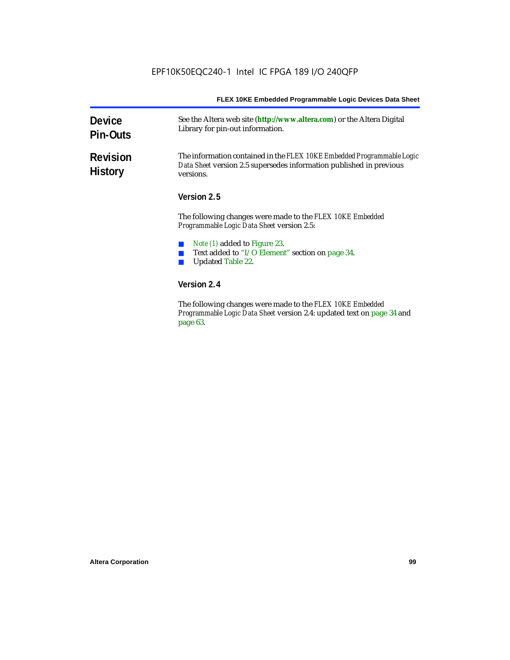| <b>Device</b><br><b>Pin-Outs</b>  | See the Altera web site (http://www.altera.com) or the Altera Digital<br>Library for pin-out information.                                                  |  |
|-----------------------------------|------------------------------------------------------------------------------------------------------------------------------------------------------------|--|
| <b>Revision</b><br><b>History</b> | The information contained in the FLEX 10KE Embedded Programmable Logic<br>Data Sheet version 2.5 supersedes information published in previous<br>versions. |  |
|                                   | Version 2.5                                                                                                                                                |  |
|                                   | The following changes were made to the FLEX 10KE Embedded<br><i>Programmable Logic Data Sheet version 2.5:</i>                                             |  |
|                                   | <i>Note (1)</i> added to Figure 23.                                                                                                                        |  |
|                                   | Text added to "I/O Element" section on page 34.                                                                                                            |  |
|                                   | <b>Updated Table 22.</b>                                                                                                                                   |  |
|                                   | Version 2.4                                                                                                                                                |  |
|                                   | The fillends a decorate come and details. IT EV 101/E Each dd.d                                                                                            |  |

The following changes were made to the *FLEX 10KE Embedded Programmable Logic Data Sheet* version 2.4: updated text on page 34 and page 63.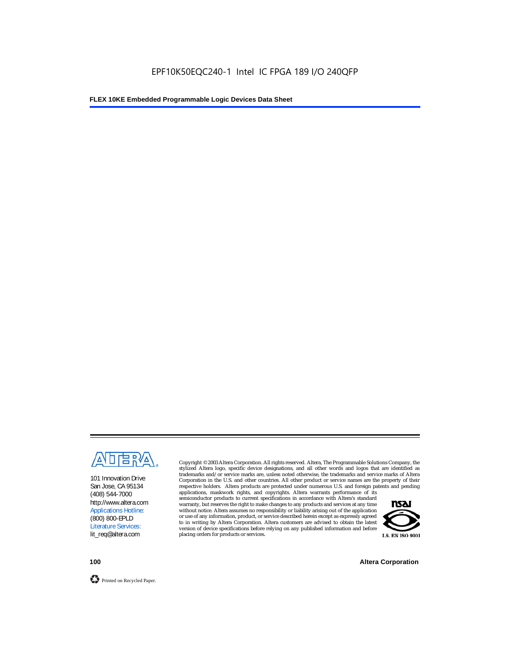

101 Innovation Drive San Jose, CA 95134 (408) 544-7000 http://www.altera.com Applications Hotline: (800) 800-EPLD Literature Services: lit\_req@altera.com

Copyright © 2003 Altera Corporation. All rights reserved. Altera, The Programmable Solutions Company, the stylized Altera logo, specific device designations, and all other words and logos that are identified as trademarks and/or service marks are, unless noted otherwise, the trademarks and service marks of Altera Corporation in the U.S. and other countries. All other product or service names are the property of their respective holders. Altera products are protected under numerous U.S. and foreign patents and pending

applications, maskwork rights, and copyrights. Altera warrants performance of its semiconductor products to current specifications in accordance with Altera's standard warranty, but reserves the right to make changes to any products and services at any time without notice. Altera assumes no responsibility or liability arising out of the application or use of any information, product, or service described herein except as expressly agreed to in writing by Altera Corporation. Altera customers are advised to obtain the latest version of device specifications before relying on any published information and before placing orders for products or services.



**100 Altera Corporation**